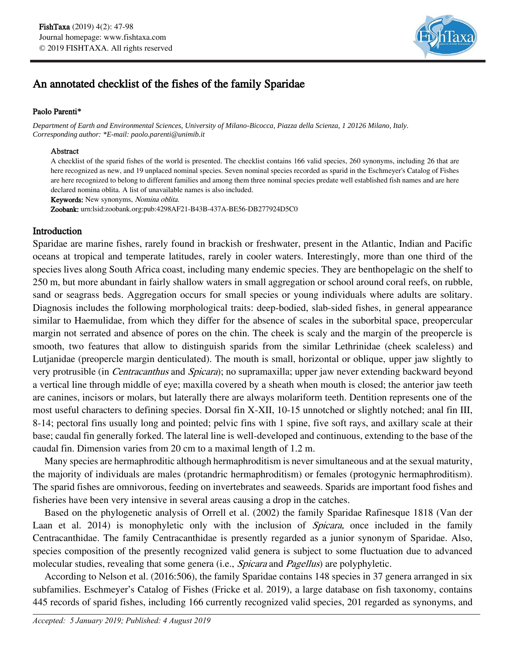

# An annotated checklist of the fishes of the family Sparidae

#### Paolo Parenti**\***

*Department of Earth and Environmental Sciences, University of Milano-Bicocca, Piazza della Scienza, 1 20126 Milano, Italy. Corresponding author: \*E-mail: paolo.parenti@unimib.it*

#### Abstract

A checklist of the sparid fishes of the world is presented. The checklist contains 166 valid species, 260 synonyms, including 26 that are here recognized as new, and 19 unplaced nominal species. Seven nominal species recorded as sparid in the Eschmeyer's Catalog of Fishes are here recognized to belong to different families and among them three nominal species predate well established fish names and are here declared nomina oblita. A list of unavailable names is also included.

Keywords: New synonyms, Nomina oblita.

Zoobank: urn:lsid:zoobank.org:pub:4298AF21-B43B-437A-BE56-DB277924D5C0

### Introduction

Sparidae are marine fishes, rarely found in brackish or freshwater, present in the Atlantic, Indian and Pacific oceans at tropical and temperate latitudes, rarely in cooler waters. Interestingly, more than one third of the species lives along South Africa coast, including many endemic species. They are benthopelagic on the shelf to 250 m, but more abundant in fairly shallow waters in small aggregation or school around coral reefs, on rubble, sand or seagrass beds. Aggregation occurs for small species or young individuals where adults are solitary. Diagnosis includes the following morphological traits: deep-bodied, slab-sided fishes, in general appearance similar to Haemulidae, from which they differ for the absence of scales in the suborbital space, preopercular margin not serrated and absence of pores on the chin. The cheek is scaly and the margin of the preopercle is smooth, two features that allow to distinguish sparids from the similar Lethrinidae (cheek scaleless) and Lutjanidae (preopercle margin denticulated). The mouth is small, horizontal or oblique, upper jaw slightly to very protrusible (in *Centracanthus* and *Spicara*); no supramaxilla; upper jaw never extending backward beyond a vertical line through middle of eye; maxilla covered by a sheath when mouth is closed; the anterior jaw teeth are canines, incisors or molars, but laterally there are always molariform teeth. Dentition represents one of the most useful characters to defining species. Dorsal fin X-XII, 10-15 unnotched or slightly notched; anal fin III, 8-14; pectoral fins usually long and pointed; pelvic fins with 1 spine, five soft rays, and axillary scale at their base; caudal fin generally forked. The lateral line is well-developed and continuous, extending to the base of the caudal fin. Dimension varies from 20 cm to a maximal length of 1.2 m.

Many species are hermaphroditic although hermaphroditism is never simultaneous and at the sexual maturity, the majority of individuals are males (protandric hermaphroditism) or females (protogynic hermaphroditism). The sparid fishes are omnivorous, feeding on invertebrates and seaweeds. Sparids are important food fishes and fisheries have been very intensive in several areas causing a drop in the catches.

Based on the phylogenetic analysis of Orrell et al. (2002) the family Sparidae Rafinesque 1818 (Van der Laan et al. 2014) is monophyletic only with the inclusion of *Spicara*, once included in the family Centracanthidae. The family Centracanthidae is presently regarded as a junior synonym of Sparidae. Also, species composition of the presently recognized valid genera is subject to some fluctuation due to advanced molecular studies, revealing that some genera (i.e., *Spicara* and *Pagellus*) are polyphyletic.

According to Nelson et al. (2016:506), the family Sparidae contains 148 species in 37 genera arranged in six subfamilies. Eschmeyer's Catalog of Fishes (Fricke et al. 2019), a large database on fish taxonomy, contains 445 records of sparid fishes, including 166 currently recognized valid species, 201 regarded as synonyms, and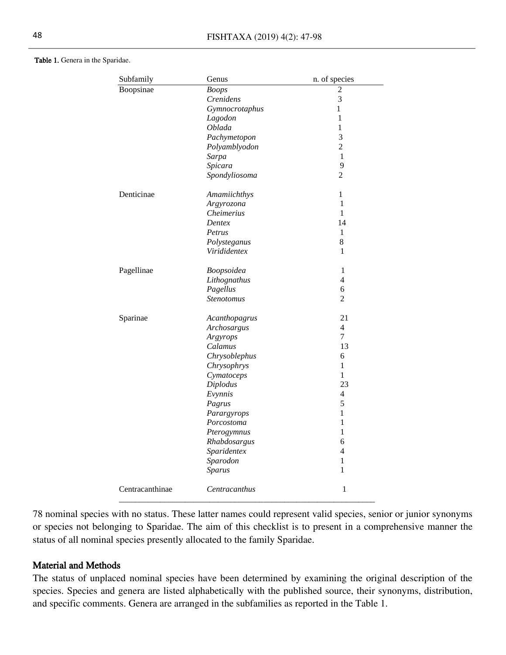#### Table 1. Genera in the Sparidae.

| Subfamily       | Genus             | n. of species  |
|-----------------|-------------------|----------------|
| Boopsinae       | <b>Boops</b>      | 2              |
|                 | <b>Crenidens</b>  | 3              |
|                 | Gymnocrotaphus    | 1              |
|                 | Lagodon           | $\mathbf{1}$   |
|                 | Oblada            | $\mathbf{1}$   |
|                 | Pachymetopon      | 3              |
|                 | Polyamblyodon     | $\overline{2}$ |
|                 | Sarpa             | 1              |
|                 | Spicara           | 9              |
|                 | Spondyliosoma     | $\overline{c}$ |
| Denticinae      | Amamiichthys      | $\mathbf{1}$   |
|                 | Argyrozona        | 1              |
|                 | Cheimerius        | 1              |
|                 | Dentex            | 14             |
|                 | Petrus            | 1              |
|                 | Polysteganus      | 8              |
|                 | Virididentex      | 1              |
| Pagellinae      | Boopsoidea        | 1              |
|                 | Lithognathus      | $\overline{4}$ |
|                 | Pagellus          | 6              |
|                 | <b>Stenotomus</b> | $\overline{2}$ |
| Sparinae        | Acanthopagrus     | 21             |
|                 | Archosargus       | 4              |
|                 | Argyrops          | $\overline{7}$ |
|                 | Calamus           | 13             |
|                 | Chrysoblephus     | 6              |
|                 | Chrysophrys       | $\mathbf 1$    |
|                 | Cymatoceps        | $\mathbf 1$    |
|                 | Diplodus          | 23             |
|                 | Evynnis           | 4              |
|                 | Pagrus            | 5              |
|                 | Parargyrops       | $\mathbf{1}$   |
|                 | Porcostoma        | 1              |
|                 | Pterogymnus       | 1              |
|                 | Rhabdosargus      | 6              |
|                 | Sparidentex       | 4              |
|                 | Sparodon          | 1              |
|                 | Sparus            | 1              |
| Centracanthinae | Centracanthus     | $\mathbf 1$    |

78 nominal species with no status. These latter names could represent valid species, senior or junior synonyms or species not belonging to Sparidae. The aim of this checklist is to present in a comprehensive manner the status of all nominal species presently allocated to the family Sparidae.

#### Material and Methods

The status of unplaced nominal species have been determined by examining the original description of the species. Species and genera are listed alphabetically with the published source, their synonyms, distribution, and specific comments. Genera are arranged in the subfamilies as reported in the Table 1.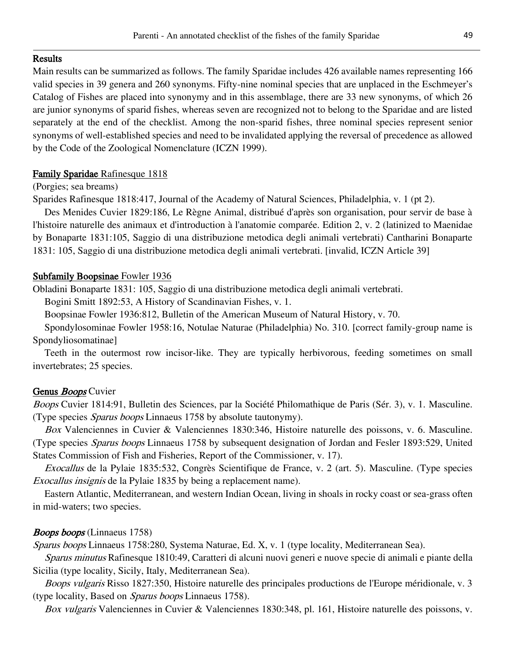#### Results

Main results can be summarized as follows. The family Sparidae includes 426 available names representing 166 valid species in 39 genera and 260 synonyms. Fifty-nine nominal species that are unplaced in the Eschmeyer's Catalog of Fishes are placed into synonymy and in this assemblage, there are 33 new synonyms, of which 26 are junior synonyms of sparid fishes, whereas seven are recognized not to belong to the Sparidae and are listed separately at the end of the checklist. Among the non-sparid fishes, three nominal species represent senior synonyms of well-established species and need to be invalidated applying the reversal of precedence as allowed by the Code of the Zoological Nomenclature (ICZN 1999).

### Family Sparidae Rafinesque 1818

#### (Porgies; sea breams)

Sparides Rafinesque 1818:417, Journal of the Academy of Natural Sciences, Philadelphia, v. 1 (pt 2).

Des Menides Cuvier 1829:186, Le Règne Animal, distribué d'après son organisation, pour servir de base à l'histoire naturelle des animaux et d'introduction à l'anatomie comparée. Edition 2, v. 2 (latinized to Maenidae by Bonaparte 1831:105, Saggio di una distribuzione metodica degli animali vertebrati) Cantharini Bonaparte 1831: 105, Saggio di una distribuzione metodica degli animali vertebrati. [invalid, ICZN Article 39]

#### Subfamily Boopsinae Fowler 1936

Obladini Bonaparte 1831: 105, Saggio di una distribuzione metodica degli animali vertebrati.

Bogini Smitt 1892:53, A History of Scandinavian Fishes, v. 1.

Boopsinae Fowler 1936:812, Bulletin of the American Museum of Natural History, v. 70.

Spondylosominae Fowler 1958:16, Notulae Naturae (Philadelphia) No. 310. [correct family-group name is Spondyliosomatinae]

Teeth in the outermost row incisor-like. They are typically herbivorous, feeding sometimes on small invertebrates; 25 species.

#### Genus *Boops* Cuvier

Boops Cuvier 1814:91, Bulletin des Sciences, par la Société Philomathique de Paris (Sér. 3), v. 1. Masculine. (Type species Sparus boops Linnaeus 1758 by absolute tautonymy).

Box Valenciennes in Cuvier & Valenciennes 1830:346, Histoire naturelle des poissons, v. 6. Masculine. (Type species Sparus boops Linnaeus 1758 by subsequent designation of Jordan and Fesler 1893:529, United States Commission of Fish and Fisheries, Report of the Commissioner, v. 17).

Exocallus de la Pylaie 1835:532, Congrès Scientifique de France, v. 2 (art. 5). Masculine. (Type species Exocallus insignis de la Pylaie 1835 by being a replacement name).

Eastern Atlantic, Mediterranean, and western Indian Ocean, living in shoals in rocky coast or sea-grass often in mid-waters; two species.

#### Boops boops (Linnaeus 1758)

Sparus boops Linnaeus 1758:280, Systema Naturae, Ed. X, v. 1 (type locality, Mediterranean Sea).

Sparus minutus Rafinesque 1810:49, Caratteri di alcuni nuovi generi e nuove specie di animali e piante della Sicilia (type locality, Sicily, Italy, Mediterranean Sea).

Boops vulgaris Risso 1827:350, Histoire naturelle des principales productions de l'Europe méridionale, v. 3 (type locality, Based on Sparus boops Linnaeus 1758).

Box vulgaris Valenciennes in Cuvier & Valenciennes 1830:348, pl. 161, Histoire naturelle des poissons, v.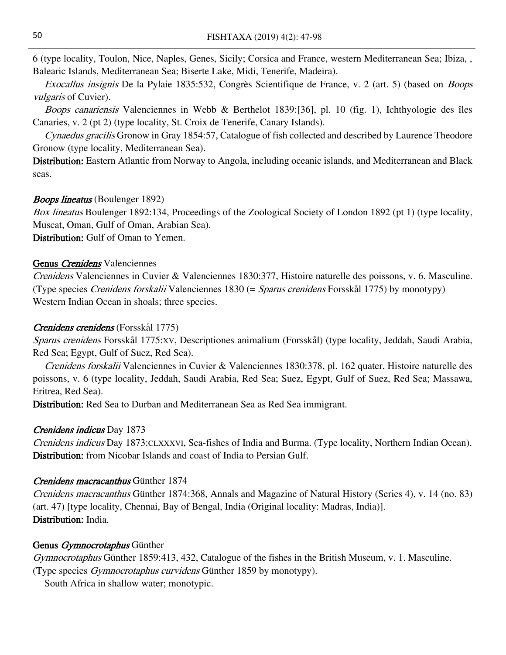6 (type locality, Toulon, Nice, Naples, Genes, Sicily; Corsica and France, western Mediterranean Sea; Ibiza, , Balearic Islands, Mediterranean Sea; Biserte Lake, Midi, Tenerife, Madeira).

Exocallus insignis De la Pylaie 1835:532, Congrès Scientifique de France, v. 2 (art. 5) (based on Boops vulgaris of Cuvier).

Boops canariensis Valenciennes in Webb & Berthelot 1839:[36], pl. 10 (fig. 1), Ichthyologie des îles Canaries, v. 2 (pt 2) (type locality, St. Croix de Tenerife, Canary Islands).

Cynaedus gracilis Gronow in Gray 1854:57, Catalogue of fish collected and described by Laurence Theodore Gronow (type locality, Mediterranean Sea).

Distribution: Eastern Atlantic from Norway to Angola, including oceanic islands, and Mediterranean and Black seas.

#### Boops lineatus (Boulenger 1892)

Box lineatus Boulenger 1892:134, Proceedings of the Zoological Society of London 1892 (pt 1) (type locality, Muscat, Oman, Gulf of Oman, Arabian Sea).

Distribution: Gulf of Oman to Yemen.

#### Genus Crenidens Valenciennes

Crenidens Valenciennes in Cuvier & Valenciennes 1830:377, Histoire naturelle des poissons, v. 6. Masculine. (Type species Crenidens forskalii Valenciennes 1830 (= Sparus crenidens Forsskål 1775) by monotypy) Western Indian Ocean in shoals; three species.

### Crenidens crenidens (Forsskål 1775)

Sparus crenidens Forsskål 1775:XV, Descriptiones animalium (Forsskål) (type locality, Jeddah, Saudi Arabia, Red Sea; Egypt, Gulf of Suez, Red Sea).

Crenidens forskalii Valenciennes in Cuvier & Valenciennes 1830:378, pl. 162 quater, Histoire naturelle des poissons, v. 6 (type locality, Jeddah, Saudi Arabia, Red Sea; Suez, Egypt, Gulf of Suez, Red Sea; Massawa, Eritrea, Red Sea).

Distribution: Red Sea to Durban and Mediterranean Sea as Red Sea immigrant.

#### Crenidens indicus Day 1873

Crenidens indicus Day 1873:CLXXXVI, Sea-fishes of India and Burma. (Type locality, Northern Indian Ocean). Distribution: from Nicobar Islands and coast of India to Persian Gulf.

#### Crenidens macracanthus Günther 1874

Crenidens macracanthus Günther 1874:368, Annals and Magazine of Natural History (Series 4), v. 14 (no. 83) (art. 47) [type locality, Chennai, Bay of Bengal, India (Original locality: Madras, India)]. Distribution: India.

# Genus Gymnocrotaphus Günther

Gymnocrotaphus Günther 1859:413, 432, Catalogue of the fishes in the British Museum, v. 1. Masculine. (Type species Gymnocrotaphus curvidens Günther 1859 by monotypy).

South Africa in shallow water; monotypic.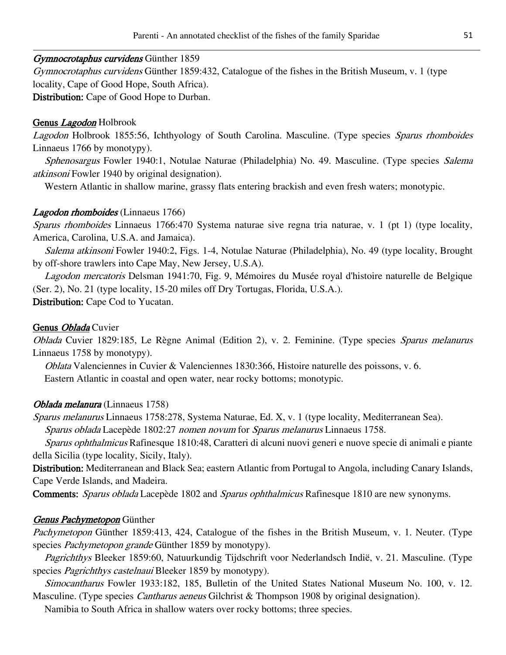### Gymnocrotaphus curvidens Günther 1859

Gymnocrotaphus curvidens Günther 1859:432, Catalogue of the fishes in the British Museum, v. 1 (type locality, Cape of Good Hope, South Africa). Distribution: Cape of Good Hope to Durban.

# Genus *Lagodon* Holbrook

Lagodon Holbrook 1855:56, Ichthyology of South Carolina. Masculine. (Type species Sparus rhomboides Linnaeus 1766 by monotypy).

Sphenosargus Fowler 1940:1, Notulae Naturae (Philadelphia) No. 49. Masculine. (Type species Salema atkinsoni Fowler 1940 by original designation).

Western Atlantic in shallow marine, grassy flats entering brackish and even fresh waters; monotypic.

### Lagodon rhomboides (Linnaeus 1766)

Sparus rhomboides Linnaeus 1766:470 Systema naturae sive regna tria naturae, v. 1 (pt 1) (type locality, America, Carolina, U.S.A. and Jamaica).

Salema atkinsoni Fowler 1940:2, Figs. 1-4, Notulae Naturae (Philadelphia), No. 49 (type locality, Brought by off-shore trawlers into Cape May, New Jersey, U.S.A).

Lagodon mercatoris Delsman 1941:70, Fig. 9, Mémoires du Musée royal d'histoire naturelle de Belgique (Ser. 2), No. 21 (type locality, 15-20 miles off Dry Tortugas, Florida, U.S.A.). Distribution: Cape Cod to Yucatan.

#### Genus Oblada Cuvier

Oblada Cuvier 1829:185, Le Règne Animal (Edition 2), v. 2. Feminine. (Type species Sparus melanurus Linnaeus 1758 by monotypy).

Oblata Valenciennes in Cuvier & Valenciennes 1830:366, Histoire naturelle des poissons, v. 6. Eastern Atlantic in coastal and open water, near rocky bottoms; monotypic.

#### Oblada melanura (Linnaeus 1758)

Sparus melanurus Linnaeus 1758:278, Systema Naturae, Ed. X, v. 1 (type locality, Mediterranean Sea). Sparus oblada Lacepède 1802:27 nomen novum for Sparus melanurus Linnaeus 1758.

Sparus ophthalmicus Rafinesque 1810:48, Caratteri di alcuni nuovi generi e nuove specie di animali e piante della Sicilia (type locality, Sicily, Italy).

Distribution: Mediterranean and Black Sea; eastern Atlantic from Portugal to Angola, including Canary Islands, Cape Verde Islands, and Madeira.

Comments: Sparus oblada Lacepède 1802 and Sparus ophthalmicus Rafinesque 1810 are new synonyms.

#### **Genus Pachymetopon** Günther

Pachymetopon Günther 1859:413, 424, Catalogue of the fishes in the British Museum, v. 1. Neuter. (Type species *Pachymetopon grande* Günther 1859 by monotypy).

Pagrichthys Bleeker 1859:60, Natuurkundig Tijdschrift voor Nederlandsch Indië, v. 21. Masculine. (Type species *Pagrichthys castelnaui* Bleeker 1859 by monotypy).

Simocantharus Fowler 1933:182, 185, Bulletin of the United States National Museum No. 100, v. 12. Masculine. (Type species *Cantharus aeneus* Gilchrist & Thompson 1908 by original designation).

Namibia to South Africa in shallow waters over rocky bottoms; three species.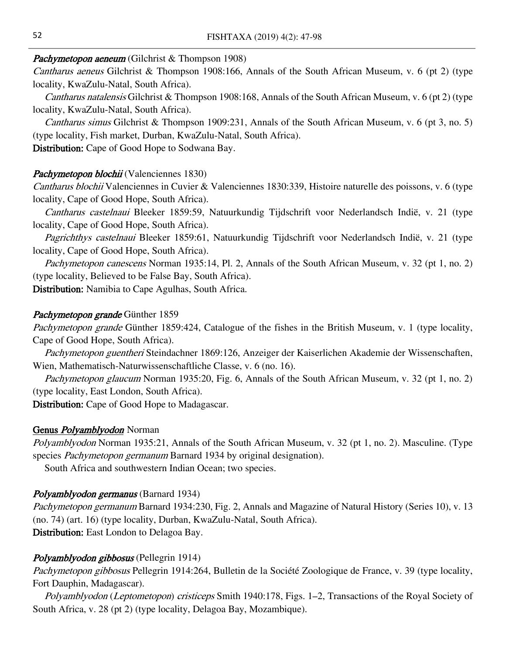#### Pachymetopon aeneum (Gilchrist & Thompson 1908)

Cantharus aeneus Gilchrist & Thompson 1908:166, Annals of the South African Museum, v. 6 (pt 2) (type locality, KwaZulu-Natal, South Africa).

*Cantharus natalensis* Gilchrist & Thompson 1908:168, Annals of the South African Museum, v. 6 (pt 2) (type locality, KwaZulu-Natal, South Africa).

Cantharus simus Gilchrist & Thompson 1909:231, Annals of the South African Museum, v. 6 (pt 3, no. 5) (type locality, Fish market, Durban, KwaZulu-Natal, South Africa).

Distribution: Cape of Good Hope to Sodwana Bay.

#### Pachymetopon blochii (Valenciennes 1830)

Cantharus blochii Valenciennes in Cuvier & Valenciennes 1830:339, Histoire naturelle des poissons, v. 6 (type locality, Cape of Good Hope, South Africa).

Cantharus castelnaui Bleeker 1859:59, Natuurkundig Tijdschrift voor Nederlandsch Indië, v. 21 (type locality, Cape of Good Hope, South Africa).

Pagrichthys castelnaui Bleeker 1859:61, Natuurkundig Tijdschrift voor Nederlandsch Indië, v. 21 (type locality, Cape of Good Hope, South Africa).

Pachymetopon canescens Norman 1935:14, Pl. 2, Annals of the South African Museum, v. 32 (pt 1, no. 2) (type locality, Believed to be False Bay, South Africa).

Distribution: Namibia to Cape Agulhas, South Africa.

#### Pachymetopon grande Günther 1859

Pachymetopon grande Günther 1859:424, Catalogue of the fishes in the British Museum, v. 1 (type locality, Cape of Good Hope, South Africa).

Pachymetopon guentheri Steindachner 1869:126, Anzeiger der Kaiserlichen Akademie der Wissenschaften, Wien, Mathematisch-Naturwissenschaftliche Classe, v. 6 (no. 16).

Pachymetopon glaucum Norman 1935:20, Fig. 6, Annals of the South African Museum, v. 32 (pt 1, no. 2) (type locality, East London, South Africa).

Distribution: Cape of Good Hope to Madagascar.

#### Genus *Polyamblyodon* Norman

Polyamblyodon Norman 1935:21, Annals of the South African Museum, v. 32 (pt 1, no. 2). Masculine. (Type species *Pachymetopon germanum* Barnard 1934 by original designation).

South Africa and southwestern Indian Ocean; two species.

#### Polyamblyodon germanus (Barnard 1934)

Pachymetopon germanum Barnard 1934:230, Fig. 2, Annals and Magazine of Natural History (Series 10), v. 13 (no. 74) (art. 16) (type locality, Durban, KwaZulu-Natal, South Africa). Distribution: East London to Delagoa Bay.

#### Polyamblyodon gibbosus (Pellegrin 1914)

Pachymetopon gibbosus Pellegrin 1914:264, Bulletin de la Société Zoologique de France, v. 39 (type locality, Fort Dauphin, Madagascar).

Polyamblyodon (Leptometopon) cristiceps Smith 1940:178, Figs. 1–2, Transactions of the Royal Society of South Africa, v. 28 (pt 2) (type locality, Delagoa Bay, Mozambique).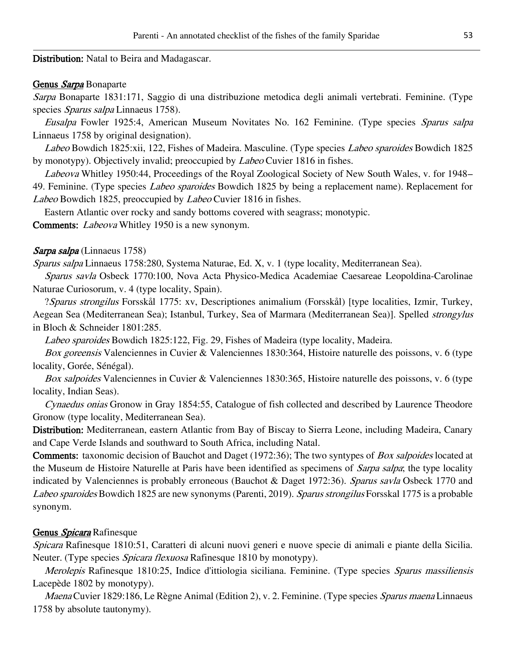Distribution: Natal to Beira and Madagascar.

#### Genus Sarpa Bonaparte

Sarpa Bonaparte 1831:171, Saggio di una distribuzione metodica degli animali vertebrati. Feminine. (Type species Sparus salpa Linnaeus 1758).

Eusalpa Fowler 1925:4, American Museum Novitates No. 162 Feminine. (Type species Sparus salpa Linnaeus 1758 by original designation).

Labeo Bowdich 1825:xii, 122, Fishes of Madeira. Masculine. (Type species Labeo sparoides Bowdich 1825 by monotypy). Objectively invalid; preoccupied by Labeo Cuvier 1816 in fishes.

Labeova Whitley 1950:44, Proceedings of the Royal Zoological Society of New South Wales, v. for 1948– 49. Feminine. (Type species *Labeo sparoides* Bowdich 1825 by being a replacement name). Replacement for Labeo Bowdich 1825, preoccupied by Labeo Cuvier 1816 in fishes.

Eastern Atlantic over rocky and sandy bottoms covered with seagrass; monotypic.

Comments: Labeova Whitley 1950 is a new synonym.

#### Sarpa salpa (Linnaeus 1758)

Sparus salpa Linnaeus 1758:280, Systema Naturae, Ed. X, v. 1 (type locality, Mediterranean Sea).

Sparus savla Osbeck 1770:100, Nova Acta Physico-Medica Academiae Caesareae Leopoldina-Carolinae Naturae Curiosorum, v. 4 (type locality, Spain).

?Sparus strongilus Forsskål 1775: xv, Descriptiones animalium (Forsskål) [type localities, Izmir, Turkey, Aegean Sea (Mediterranean Sea); Istanbul, Turkey, Sea of Marmara (Mediterranean Sea)]. Spelled strongylus in Bloch & Schneider 1801:285.

Labeo sparoides Bowdich 1825:122, Fig. 29, Fishes of Madeira (type locality, Madeira.

Box goreensis Valenciennes in Cuvier & Valenciennes 1830:364, Histoire naturelle des poissons, v. 6 (type locality, Gorée, Sénégal).

Box salpoides Valenciennes in Cuvier & Valenciennes 1830:365, Histoire naturelle des poissons, v. 6 (type locality, Indian Seas).

Cynaedus onias Gronow in Gray 1854:55, Catalogue of fish collected and described by Laurence Theodore Gronow (type locality, Mediterranean Sea).

Distribution: Mediterranean, eastern Atlantic from Bay of Biscay to Sierra Leone, including Madeira, Canary and Cape Verde Islands and southward to South Africa, including Natal.

Comments: taxonomic decision of Bauchot and Daget (1972:36); The two syntypes of Box salpoides located at the Museum de Histoire Naturelle at Paris have been identified as specimens of Sarpa salpa; the type locality indicated by Valenciennes is probably erroneous (Bauchot & Daget 1972:36). Sparus savla Osbeck 1770 and Labeo sparoides Bowdich 1825 are new synonyms (Parenti, 2019). Sparus strongilus Forsskal 1775 is a probable synonym.

#### Genus Spicara Rafinesque

Spicara Rafinesque 1810:51, Caratteri di alcuni nuovi generi e nuove specie di animali e piante della Sicilia. Neuter. (Type species *Spicara flexuosa* Rafinesque 1810 by monotypy).

Merolepis Rafinesque 1810:25, Indice d'ittiologia siciliana. Feminine. (Type species Sparus massiliensis Lacepède 1802 by monotypy).

Maena Cuvier 1829:186, Le Règne Animal (Edition 2), v. 2. Feminine. (Type species Sparus maena Linnaeus 1758 by absolute tautonymy).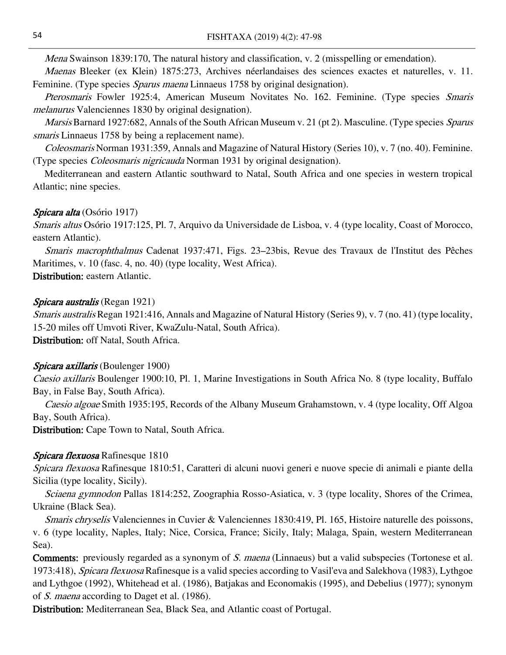Mena Swainson 1839:170, The natural history and classification, v. 2 (misspelling or emendation).

Maenas Bleeker (ex Klein) 1875:273, Archives néerlandaises des sciences exactes et naturelles, v. 11. Feminine. (Type species *Sparus maena* Linnaeus 1758 by original designation).

Pterosmaris Fowler 1925:4, American Museum Novitates No. 162. Feminine. (Type species Smaris melanurus Valenciennes 1830 by original designation).

Marsis Barnard 1927:682, Annals of the South African Museum v. 21 (pt 2). Masculine. (Type species Sparus smaris Linnaeus 1758 by being a replacement name).

Coleosmaris Norman 1931:359, Annals and Magazine of Natural History (Series 10), v. 7 (no. 40). Feminine. (Type species Coleosmaris nigricauda Norman 1931 by original designation).

Mediterranean and eastern Atlantic southward to Natal, South Africa and one species in western tropical Atlantic; nine species.

#### Spicara alta (Osório 1917)

Smaris altus Osório 1917:125, Pl. 7, Arquivo da Universidade de Lisboa, v. 4 (type locality, Coast of Morocco, eastern Atlantic).

Smaris macrophthalmus Cadenat 1937:471, Figs. 23–23bis, Revue des Travaux de l'Institut des Pêches Maritimes, v. 10 (fasc. 4, no. 40) (type locality, West Africa).

Distribution: eastern Atlantic.

#### Spicara australis (Regan 1921)

Smaris australis Regan 1921:416, Annals and Magazine of Natural History (Series 9), v. 7 (no. 41) (type locality, 15-20 miles off Umvoti River, KwaZulu-Natal, South Africa).

Distribution: off Natal, South Africa.

#### Spicara axillaris (Boulenger 1900)

Caesio axillaris Boulenger 1900:10, Pl. 1, Marine Investigations in South Africa No. 8 (type locality, Buffalo Bay, in False Bay, South Africa).

Caesio algoae Smith 1935:195, Records of the Albany Museum Grahamstown, v. 4 (type locality, Off Algoa Bay, South Africa).

Distribution: Cape Town to Natal, South Africa.

### Spicara flexuosa Rafinesque 1810

Spicara flexuosa Rafinesque 1810:51, Caratteri di alcuni nuovi generi e nuove specie di animali e piante della Sicilia (type locality, Sicily).

Sciaena gymnodon Pallas 1814:252, Zoographia Rosso-Asiatica, v. 3 (type locality, Shores of the Crimea, Ukraine (Black Sea).

Smaris chryselis Valenciennes in Cuvier & Valenciennes 1830:419, Pl. 165, Histoire naturelle des poissons, v. 6 (type locality, Naples, Italy; Nice, Corsica, France; Sicily, Italy; Malaga, Spain, western Mediterranean Sea).

**Comments:** previously regarded as a synonym of *S. maena* (Linnaeus) but a valid subspecies (Tortonese et al. 1973:418), Spicara flexuosa Rafinesque is a valid species according to Vasil'eva and Salekhova (1983), Lythgoe and Lythgoe (1992), Whitehead et al. (1986), Batjakas and Economakis (1995), and Debelius (1977); synonym of S. maena according to Daget et al. (1986).

Distribution: Mediterranean Sea, Black Sea, and Atlantic coast of Portugal.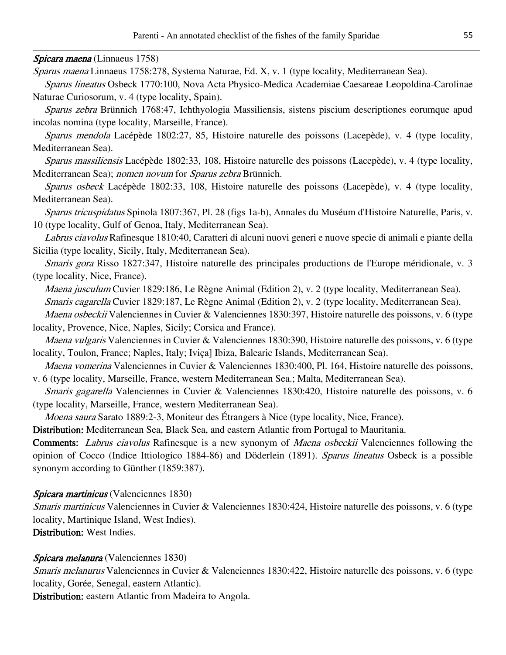#### Spicara maena (Linnaeus 1758)

Sparus maena Linnaeus 1758:278, Systema Naturae, Ed. X, v. 1 (type locality, Mediterranean Sea).

Sparus lineatus Osbeck 1770:100, Nova Acta Physico-Medica Academiae Caesareae Leopoldina-Carolinae Naturae Curiosorum, v. 4 (type locality, Spain).

Sparus zebra Brünnich 1768:47, Ichthyologia Massiliensis, sistens piscium descriptiones eorumque apud incolas nomina (type locality, Marseille, France).

Sparus mendola Lacépède 1802:27, 85, Histoire naturelle des poissons (Lacepède), v. 4 (type locality, Mediterranean Sea).

Sparus massiliensis Lacépède 1802:33, 108, Histoire naturelle des poissons (Lacepède), v. 4 (type locality, Mediterranean Sea); nomen novum for Sparus zebra Brünnich.

Sparus osbeck Lacépède 1802:33, 108, Histoire naturelle des poissons (Lacepède), v. 4 (type locality, Mediterranean Sea).

Sparus tricuspidatus Spinola 1807:367, Pl. 28 (figs 1a-b), Annales du Muséum d'Histoire Naturelle, Paris, v. 10 (type locality, Gulf of Genoa, Italy, Mediterranean Sea).

Labrus ciavolus Rafinesque 1810:40, Caratteri di alcuni nuovi generi e nuove specie di animali e piante della Sicilia (type locality, Sicily, Italy, Mediterranean Sea).

Smaris gora Risso 1827:347, Histoire naturelle des principales productions de l'Europe méridionale, v. 3 (type locality, Nice, France).

Maena jusculum Cuvier 1829:186, Le Règne Animal (Edition 2), v. 2 (type locality, Mediterranean Sea).

Smaris cagarella Cuvier 1829:187, Le Règne Animal (Edition 2), v. 2 (type locality, Mediterranean Sea).

Maena osbeckii Valenciennes in Cuvier & Valenciennes 1830:397, Histoire naturelle des poissons, v. 6 (type locality, Provence, Nice, Naples, Sicily; Corsica and France).

Maena vulgaris Valenciennes in Cuvier & Valenciennes 1830:390, Histoire naturelle des poissons, v. 6 (type locality, Toulon, France; Naples, Italy; Iviça] Ibiza, Balearic Islands, Mediterranean Sea).

Maena vomerina Valenciennes in Cuvier & Valenciennes 1830:400, Pl. 164, Histoire naturelle des poissons, v. 6 (type locality, Marseille, France, western Mediterranean Sea.; Malta, Mediterranean Sea).

Smaris gagarella Valenciennes in Cuvier & Valenciennes 1830:420, Histoire naturelle des poissons, v. 6 (type locality, Marseille, France, western Mediterranean Sea).

Moena saura Sarato 1889:2-3, Moniteur des Étrangers à Nice (type locality, Nice, France).

Distribution: Mediterranean Sea, Black Sea, and eastern Atlantic from Portugal to Mauritania.

Comments: *Labrus ciavolus* Rafinesque is a new synonym of *Maena osbeckii* Valenciennes following the opinion of Cocco (Indice Ittiologico 1884-86) and Döderlein (1891). Sparus lineatus Osbeck is a possible synonym according to Günther (1859:387).

#### Spicara martinicus (Valenciennes 1830)

Smaris martinicus Valenciennes in Cuvier & Valenciennes 1830:424, Histoire naturelle des poissons, v. 6 (type locality, Martinique Island, West Indies).

Distribution: West Indies.

#### Spicara melanura (Valenciennes 1830)

Smaris melanurus Valenciennes in Cuvier & Valenciennes 1830:422, Histoire naturelle des poissons, v. 6 (type locality, Gorée, Senegal, eastern Atlantic).

Distribution: eastern Atlantic from Madeira to Angola.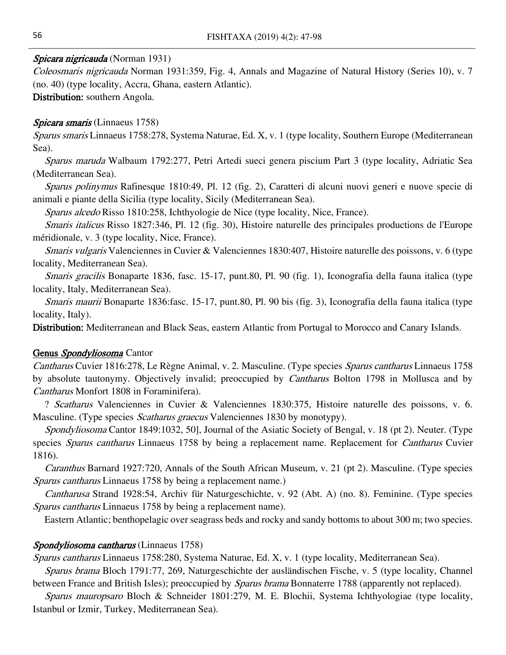#### Spicara nigricauda (Norman 1931)

Coleosmaris nigricauda Norman 1931:359, Fig. 4, Annals and Magazine of Natural History (Series 10), v. 7 (no. 40) (type locality, Accra, Ghana, eastern Atlantic). Distribution: southern Angola.

#### Spicara smaris (Linnaeus 1758)

Sparus smaris Linnaeus 1758:278, Systema Naturae, Ed. X, v. 1 (type locality, Southern Europe (Mediterranean Sea).

Sparus maruda Walbaum 1792:277, Petri Artedi sueci genera piscium Part 3 (type locality, Adriatic Sea (Mediterranean Sea).

Sparus polinymus Rafinesque 1810:49, Pl. 12 (fig. 2), Caratteri di alcuni nuovi generi e nuove specie di animali e piante della Sicilia (type locality, Sicily (Mediterranean Sea).

Sparus alcedo Risso 1810:258, Ichthyologie de Nice (type locality, Nice, France).

Smaris italicus Risso 1827:346, Pl. 12 (fig. 30), Histoire naturelle des principales productions de l'Europe méridionale, v. 3 (type locality, Nice, France).

Smaris vulgaris Valenciennes in Cuvier & Valenciennes 1830:407, Histoire naturelle des poissons, v. 6 (type locality, Mediterranean Sea).

Smaris gracilis Bonaparte 1836, fasc. 15-17, punt.80, Pl. 90 (fig. 1), Iconografia della fauna italica (type locality, Italy, Mediterranean Sea).

Smaris maurii Bonaparte 1836:fasc. 15-17, punt.80, Pl. 90 bis (fig. 3), Iconografia della fauna italica (type locality, Italy).

Distribution: Mediterranean and Black Seas, eastern Atlantic from Portugal to Morocco and Canary Islands.

#### Genus Spondyliosoma Cantor

Cantharus Cuvier 1816:278, Le Règne Animal, v. 2. Masculine. (Type species Sparus cantharus Linnaeus 1758 by absolute tautonymy. Objectively invalid; preoccupied by *Cantharus* Bolton 1798 in Mollusca and by Cantharus Monfort 1808 in Foraminifera).

? Scatharus Valenciennes in Cuvier & Valenciennes 1830:375, Histoire naturelle des poissons, v. 6. Masculine. (Type species *Scatharus graecus* Valenciennes 1830 by monotypy).

Spondyliosoma Cantor 1849:1032, 50], Journal of the Asiatic Society of Bengal, v. 18 (pt 2). Neuter. (Type species *Sparus cantharus* Linnaeus 1758 by being a replacement name. Replacement for *Cantharus* Cuvier 1816).

Caranthus Barnard 1927:720, Annals of the South African Museum, v. 21 (pt 2). Masculine. (Type species Sparus cantharus Linnaeus 1758 by being a replacement name.)

Cantharusa Strand 1928:54, Archiv für Naturgeschichte, v. 92 (Abt. A) (no. 8). Feminine. (Type species Sparus cantharus Linnaeus 1758 by being a replacement name).

Eastern Atlantic; benthopelagic over seagrass beds and rocky and sandy bottoms to about 300 m; two species.

#### Spondyliosoma cantharus (Linnaeus 1758)

Sparus cantharus Linnaeus 1758:280, Systema Naturae, Ed. X, v. 1 (type locality, Mediterranean Sea). Sparus brama Bloch 1791:77, 269, Naturgeschichte der ausländischen Fische, v. 5 (type locality, Channel

between France and British Isles); preoccupied by *Sparus brama* Bonnaterre 1788 (apparently not replaced).

Sparus mauropsaro Bloch & Schneider 1801:279, M. E. Blochii, Systema Ichthyologiae (type locality, Istanbul or Izmir, Turkey, Mediterranean Sea).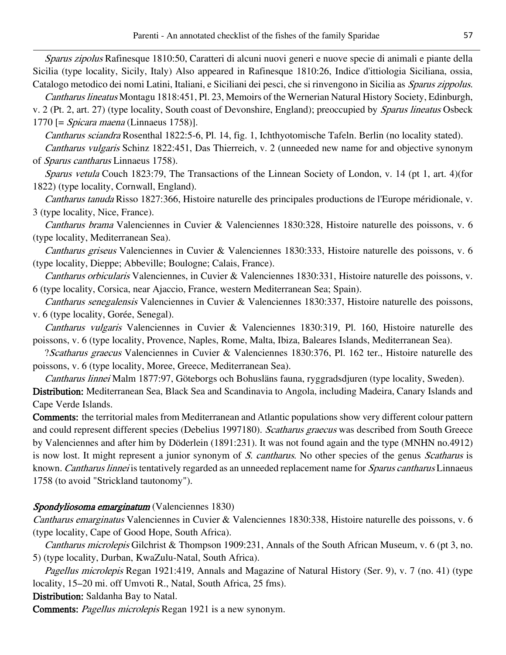Sparus zipolus Rafinesque 1810:50, Caratteri di alcuni nuovi generi e nuove specie di animali e piante della Sicilia (type locality, Sicily, Italy) Also appeared in Rafinesque 1810:26, Indice d'ittiologia Siciliana, ossia, Catalogo metodico dei nomi Latini, Italiani, e Siciliani dei pesci, che si rinvengono in Sicilia as Sparus zippolus.

Cantharus lineatus Montagu 1818:451, Pl. 23, Memoirs of the Wernerian Natural History Society, Edinburgh, v. 2 (Pt. 2, art. 27) (type locality, South coast of Devonshire, England); preoccupied by Sparus lineatus Osbeck 1770 [= Spicara maena (Linnaeus 1758)].

Cantharus sciandra Rosenthal 1822:5-6, Pl. 14, fig. 1, Ichthyotomische Tafeln. Berlin (no locality stated).

Cantharus vulgaris Schinz 1822:451, Das Thierreich, v. 2 (unneeded new name for and objective synonym of Sparus cantharus Linnaeus 1758).

Sparus vetula Couch 1823:79, The Transactions of the Linnean Society of London, v. 14 (pt 1, art. 4)(for 1822) (type locality, Cornwall, England).

Cantharus tanuda Risso 1827:366, Histoire naturelle des principales productions de l'Europe méridionale, v. 3 (type locality, Nice, France).

Cantharus brama Valenciennes in Cuvier & Valenciennes 1830:328, Histoire naturelle des poissons, v. 6 (type locality, Mediterranean Sea).

Cantharus griseus Valenciennes in Cuvier & Valenciennes 1830:333, Histoire naturelle des poissons, v. 6 (type locality, Dieppe; Abbeville; Boulogne; Calais, France).

Cantharus orbicularis Valenciennes, in Cuvier & Valenciennes 1830:331, Histoire naturelle des poissons, v. 6 (type locality, Corsica, near Ajaccio, France, western Mediterranean Sea; Spain).

Cantharus senegalensis Valenciennes in Cuvier & Valenciennes 1830:337, Histoire naturelle des poissons, v. 6 (type locality, Gorée, Senegal).

Cantharus vulgaris Valenciennes in Cuvier & Valenciennes 1830:319, Pl. 160, Histoire naturelle des poissons, v. 6 (type locality, Provence, Naples, Rome, Malta, Ibiza, Baleares Islands, Mediterranean Sea).

?Scatharus graecus Valenciennes in Cuvier & Valenciennes 1830:376, Pl. 162 ter., Histoire naturelle des poissons, v. 6 (type locality, Moree, Greece, Mediterranean Sea).

Cantharus linnei Malm 1877:97, Göteborgs och Bohusläns fauna, ryggradsdjuren (type locality, Sweden).

Distribution: Mediterranean Sea, Black Sea and Scandinavia to Angola, including Madeira, Canary Islands and Cape Verde Islands.

Comments: the territorial males from Mediterranean and Atlantic populations show very different colour pattern and could represent different species (Debelius 1997180). Scatharus graecus was described from South Greece by Valenciennes and after him by Döderlein (1891:231). It was not found again and the type (MNHN no.4912) is now lost. It might represent a junior synonym of S. cantharus. No other species of the genus Scatharus is known. Cantharus linnei is tentatively regarded as an unneeded replacement name for Sparus cantharus Linnaeus 1758 (to avoid "Strickland tautonomy").

# Spondyliosoma emarginatum (Valenciennes 1830)

Cantharus emarginatus Valenciennes in Cuvier & Valenciennes 1830:338, Histoire naturelle des poissons, v. 6 (type locality, Cape of Good Hope, South Africa).

Cantharus microlepis Gilchrist & Thompson 1909:231, Annals of the South African Museum, v. 6 (pt 3, no. 5) (type locality, Durban, KwaZulu-Natal, South Africa).

Pagellus microlepis Regan 1921:419, Annals and Magazine of Natural History (Ser. 9), v. 7 (no. 41) (type locality, 15–20 mi. off Umvoti R., Natal, South Africa, 25 fms).

Distribution: Saldanha Bay to Natal.

Comments: Pagellus microlepis Regan 1921 is a new synonym.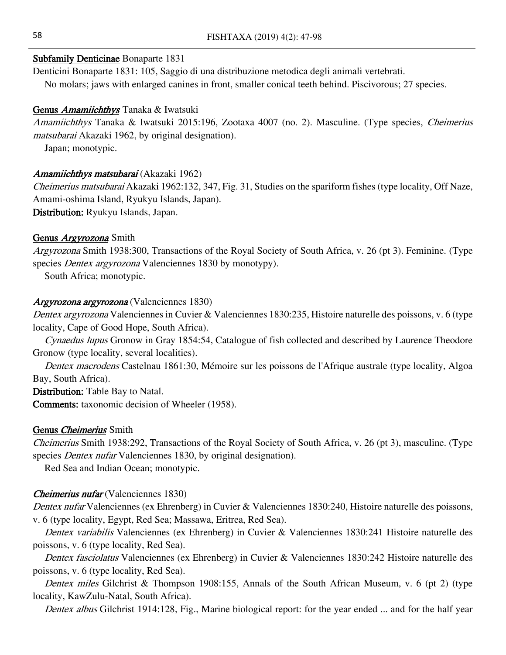#### Subfamily Denticinae Bonaparte 1831

Denticini Bonaparte 1831: 105, Saggio di una distribuzione metodica degli animali vertebrati. No molars; jaws with enlarged canines in front, smaller conical teeth behind. Piscivorous; 27 species.

#### Genus Amamiichthys Tanaka & Iwatsuki

Amamiichthys Tanaka & Iwatsuki 2015:196, Zootaxa 4007 (no. 2). Masculine. (Type species, Cheimerius matsubarai Akazaki 1962, by original designation).

Japan; monotypic.

#### Amamiichthys matsubarai (Akazaki 1962)

Cheimerius matsubarai Akazaki 1962:132, 347, Fig. 31, Studies on the spariform fishes (type locality, Off Naze, Amami-oshima Island, Ryukyu Islands, Japan). Distribution: Ryukyu Islands, Japan.

#### Genus *Argyrozona* Smith

Argyrozona Smith 1938:300, Transactions of the Royal Society of South Africa, v. 26 (pt 3). Feminine. (Type species *Dentex argyrozona* Valenciennes 1830 by monotypy).

South Africa; monotypic.

#### Argyrozona argyrozona (Valenciennes 1830)

Dentex argyrozona Valenciennes in Cuvier & Valenciennes 1830:235, Histoire naturelle des poissons, v. 6 (type locality, Cape of Good Hope, South Africa).

Cynaedus lupus Gronow in Gray 1854:54, Catalogue of fish collected and described by Laurence Theodore Gronow (type locality, several localities).

Dentex macrodens Castelnau 1861:30, Mémoire sur les poissons de l'Afrique australe (type locality, Algoa Bay, South Africa).

Distribution: Table Bay to Natal. Comments: taxonomic decision of Wheeler (1958).

#### Genus Cheimerius Smith

Cheimerius Smith 1938:292, Transactions of the Royal Society of South Africa, v. 26 (pt 3), masculine. (Type species *Dentex nufar* Valenciennes 1830, by original designation).

Red Sea and Indian Ocean; monotypic.

#### Cheimerius nufar (Valenciennes 1830)

Dentex nufar Valenciennes (ex Ehrenberg) in Cuvier & Valenciennes 1830:240, Histoire naturelle des poissons, v. 6 (type locality, Egypt, Red Sea; Massawa, Eritrea, Red Sea).

Dentex variabilis Valenciennes (ex Ehrenberg) in Cuvier & Valenciennes 1830:241 Histoire naturelle des poissons, v. 6 (type locality, Red Sea).

Dentex fasciolatus Valenciennes (ex Ehrenberg) in Cuvier & Valenciennes 1830:242 Histoire naturelle des poissons, v. 6 (type locality, Red Sea).

Dentex miles Gilchrist & Thompson 1908:155, Annals of the South African Museum, v. 6 (pt 2) (type locality, KawZulu-Natal, South Africa).

Dentex albus Gilchrist 1914:128, Fig., Marine biological report: for the year ended ... and for the half year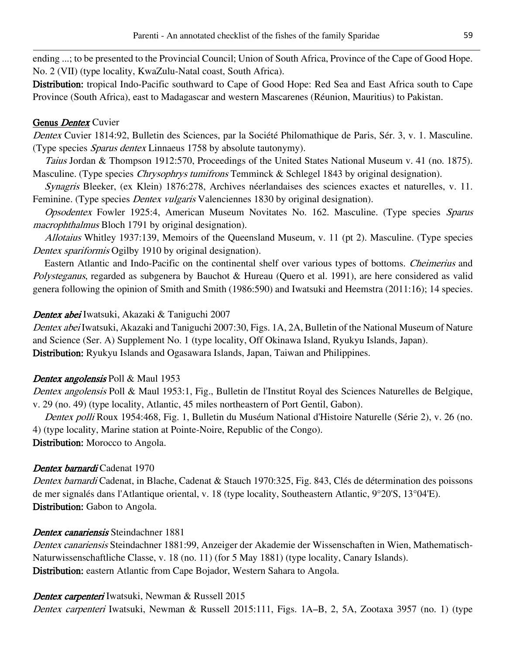ending ...; to be presented to the Provincial Council; Union of South Africa, Province of the Cape of Good Hope. No. 2 (VII) (type locality, KwaZulu-Natal coast, South Africa).

Distribution: tropical Indo-Pacific southward to Cape of Good Hope: Red Sea and East Africa south to Cape Province (South Africa), east to Madagascar and western Mascarenes (Réunion, Mauritius) to Pakistan.

# Genus *Dentex* Cuvier

Dentex Cuvier 1814:92, Bulletin des Sciences, par la Société Philomathique de Paris, Sér. 3, v. 1. Masculine. (Type species Sparus dentex Linnaeus 1758 by absolute tautonymy).

Taius Jordan & Thompson 1912:570, Proceedings of the United States National Museum v. 41 (no. 1875). Masculine. (Type species *Chrysophrys tumifrons* Temminck & Schlegel 1843 by original designation).

Synagris Bleeker, (ex Klein) 1876:278, Archives néerlandaises des sciences exactes et naturelles, v. 11. Feminine. (Type species *Dentex vulgaris* Valenciennes 1830 by original designation).

Opsodentex Fowler 1925:4, American Museum Novitates No. 162. Masculine. (Type species Sparus macrophthalmus Bloch 1791 by original designation).

Allotaius Whitley 1937:139, Memoirs of the Queensland Museum, v. 11 (pt 2). Masculine. (Type species Dentex *spariformis* Ogilby 1910 by original designation).

Eastern Atlantic and Indo-Pacific on the continental shelf over various types of bottoms. Cheimerius and Polysteganus, regarded as subgenera by Bauchot & Hureau (Quero et al. 1991), are here considered as valid genera following the opinion of Smith and Smith (1986:590) and Iwatsuki and Heemstra (2011:16); 14 species.

# Dentex abei Iwatsuki, Akazaki & Taniguchi 2007

Dentex abei Iwatsuki, Akazaki and Taniguchi 2007:30, Figs. 1A, 2A, Bulletin of the National Museum of Nature and Science (Ser. A) Supplement No. 1 (type locality, Off Okinawa Island, Ryukyu Islands, Japan). Distribution: Ryukyu Islands and Ogasawara Islands, Japan, Taiwan and Philippines.

# Dentex angolensis Poll & Maul 1953

Dentex angolensis Poll & Maul 1953:1, Fig., Bulletin de l'Institut Royal des Sciences Naturelles de Belgique, v. 29 (no. 49) (type locality, Atlantic, 45 miles northeastern of Port Gentil, Gabon).

Dentex polli Roux 1954:468, Fig. 1, Bulletin du Muséum National d'Histoire Naturelle (Série 2), v. 26 (no. 4) (type locality, Marine station at Pointe-Noire, Republic of the Congo).

Distribution: Morocco to Angola.

# Dentex barnardi Cadenat 1970

Dentex barnardi Cadenat, in Blache, Cadenat & Stauch 1970:325, Fig. 843, Clés de détermination des poissons de mer signalés dans l'Atlantique oriental, v. 18 (type locality, Southeastern Atlantic, 9°20'S, 13°04'E). Distribution: Gabon to Angola.

# Dentex canariensis Steindachner 1881

Dentex canariensis Steindachner 1881:99, Anzeiger der Akademie der Wissenschaften in Wien, Mathematisch-Naturwissenschaftliche Classe, v. 18 (no. 11) (for 5 May 1881) (type locality, Canary Islands). Distribution: eastern Atlantic from Cape Bojador, Western Sahara to Angola.

Dentex carpenteri Iwatsuki, Newman & Russell 2015

Dentex carpenteri Iwatsuki, Newman & Russell 2015:111, Figs. 1A–B, 2, 5A, Zootaxa 3957 (no. 1) (type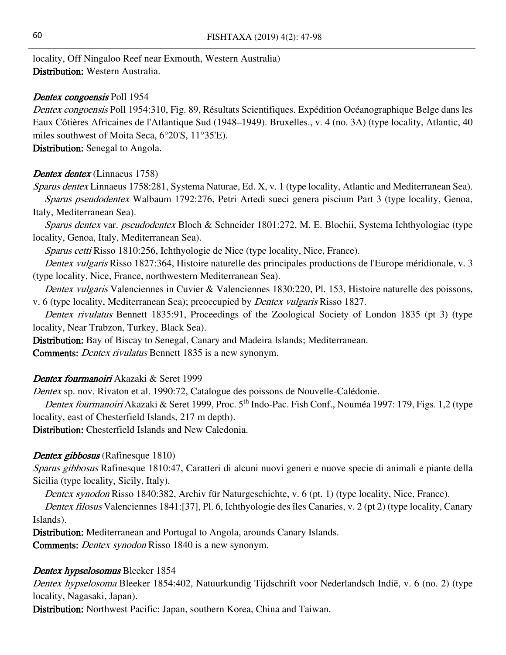locality, Off Ningaloo Reef near Exmouth, Western Australia) Distribution: Western Australia.

#### Dentex congoensis Poll 1954

Dentex congoensis Poll 1954:310, Fig. 89, Résultats Scientifiques. Expédition Océanographique Belge dans les Eaux Côtières Africaines de l'Atlantique Sud (1948–1949). Bruxelles., v. 4 (no. 3A) (type locality, Atlantic, 40 miles southwest of Moita Seca, 6°20'S, 11°35'E).

Distribution: Senegal to Angola.

#### Dentex dentex (Linnaeus 1758)

Sparus dentex Linnaeus 1758:281, Systema Naturae, Ed. X, v. 1 (type locality, Atlantic and Mediterranean Sea). Sparus pseudodentex Walbaum 1792:276, Petri Artedi sueci genera piscium Part 3 (type locality, Genoa, Italy, Mediterranean Sea).

Sparus dentex var. pseudodentex Bloch & Schneider 1801:272, M. E. Blochii, Systema Ichthyologiae (type locality, Genoa, Italy, Mediterranean Sea).

Sparus cetti Risso 1810:256, Ichthyologie de Nice (type locality, Nice, France).

Dentex vulgaris Risso 1827:364, Histoire naturelle des principales productions de l'Europe méridionale, v. 3 (type locality, Nice, France, northwestern Mediterranean Sea).

Dentex vulgaris Valenciennes in Cuvier & Valenciennes 1830:220, Pl. 153, Histoire naturelle des poissons, v. 6 (type locality, Mediterranean Sea); preoccupied by Dentex vulgaris Risso 1827.

Dentex rivulatus Bennett 1835:91, Proceedings of the Zoological Society of London 1835 (pt 3) (type locality, Near Trabzon, Turkey, Black Sea).

Distribution: Bay of Biscay to Senegal, Canary and Madeira Islands; Mediterranean.

Comments: Dentex rivulatus Bennett 1835 is a new synonym.

#### Dentex fourmanoiri Akazaki & Seret 1999

Dentex sp. nov. Rivaton et al. 1990:72, Catalogue des poissons de Nouvelle-Calédonie.

Dentex fourmanoiri Akazaki & Seret 1999, Proc. 5<sup>th</sup> Indo-Pac. Fish Conf., Nouméa 1997: 179, Figs. 1,2 (type locality, east of Chesterfield Islands, 217 m depth).

Distribution: Chesterfield Islands and New Caledonia.

#### Dentex gibbosus (Rafinesque 1810)

Sparus gibbosus Rafinesque 1810:47, Caratteri di alcuni nuovi generi e nuove specie di animali e piante della Sicilia (type locality, Sicily, Italy).

Dentex synodon Risso 1840:382, Archiv für Naturgeschichte, v. 6 (pt. 1) (type locality, Nice, France).

Dentex filosus Valenciennes 1841:[37], Pl. 6, Ichthyologie des îles Canaries, v. 2 (pt 2) (type locality, Canary Islands).

Distribution: Mediterranean and Portugal to Angola, arounds Canary Islands.

Comments: Dentex synodon Risso 1840 is a new synonym.

#### Dentex hypselosomus Bleeker 1854

Dentex hypselosoma Bleeker 1854:402, Natuurkundig Tijdschrift voor Nederlandsch Indië, v. 6 (no. 2) (type locality, Nagasaki, Japan).

Distribution: Northwest Pacific: Japan, southern Korea, China and Taiwan.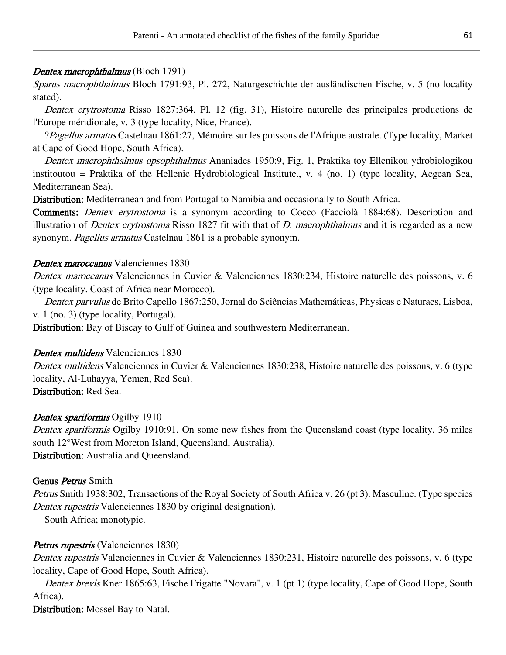# Dentex macrophthalmus (Bloch 1791)

Sparus macrophthalmus Bloch 1791:93, Pl. 272, Naturgeschichte der ausländischen Fische, v. 5 (no locality stated).

Dentex erytrostoma Risso 1827:364, Pl. 12 (fig. 31), Histoire naturelle des principales productions de l'Europe méridionale, v. 3 (type locality, Nice, France).

?Pagellus armatus Castelnau 1861:27, Mémoire sur les poissons de l'Afrique australe. (Type locality, Market at Cape of Good Hope, South Africa).

Dentex macrophthalmus opsophthalmus Ananiades 1950:9, Fig. 1, Praktika toy Ellenikou ydrobiologikou institoutou = Praktika of the Hellenic Hydrobiological Institute., v. 4 (no. 1) (type locality, Aegean Sea, Mediterranean Sea).

Distribution: Mediterranean and from Portugal to Namibia and occasionally to South Africa.

Comments: Dentex erytrostoma is a synonym according to Cocco (Facciolà 1884:68). Description and illustration of *Dentex erytrostoma* Risso 1827 fit with that of *D. macrophthalmus* and it is regarded as a new synonym. Pagellus armatus Castelnau 1861 is a probable synonym.

### Dentex maroccanus Valenciennes 1830

Dentex maroccanus Valenciennes in Cuvier & Valenciennes 1830:234, Histoire naturelle des poissons, v. 6 (type locality, Coast of Africa near Morocco).

Dentex parvulus de Brito Capello 1867:250, Jornal do Sciências Mathemáticas, Physicas e Naturaes, Lisboa, v. 1 (no. 3) (type locality, Portugal).

Distribution: Bay of Biscay to Gulf of Guinea and southwestern Mediterranean.

# Dentex multidens Valenciennes 1830

Dentex multidens Valenciennes in Cuvier & Valenciennes 1830:238, Histoire naturelle des poissons, v. 6 (type locality, Al-Luhayya, Yemen, Red Sea).

Distribution: Red Sea.

# Dentex spariformis Ogilby 1910

Dentex spariformis Ogilby 1910:91, On some new fishes from the Queensland coast (type locality, 36 miles south 12°West from Moreton Island, Queensland, Australia). Distribution: Australia and Queensland.

# Genus Petrus Smith

Petrus Smith 1938:302, Transactions of the Royal Society of South Africa v. 26 (pt 3). Masculine. (Type species Dentex rupestris Valenciennes 1830 by original designation).

South Africa; monotypic.

# Petrus rupestris (Valenciennes 1830)

Dentex rupestris Valenciennes in Cuvier & Valenciennes 1830:231, Histoire naturelle des poissons, v. 6 (type locality, Cape of Good Hope, South Africa).

Dentex brevis Kner 1865:63, Fische Frigatte "Novara", v. 1 (pt 1) (type locality, Cape of Good Hope, South Africa).

Distribution: Mossel Bay to Natal.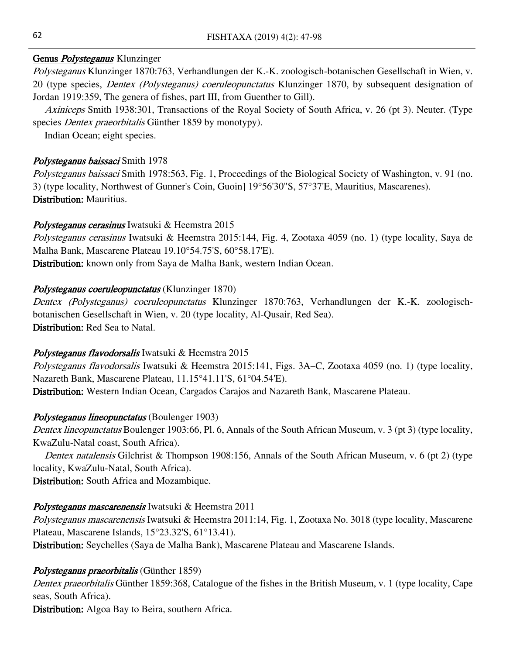# Genus *Polysteganus* Klunzinger

Polysteganus Klunzinger 1870:763, Verhandlungen der K.-K. zoologisch-botanischen Gesellschaft in Wien, v. 20 (type species, Dentex (Polysteganus) coeruleopunctatus Klunzinger 1870, by subsequent designation of Jordan 1919:359, The genera of fishes, part III, from Guenther to Gill).

Axiniceps Smith 1938:301, Transactions of the Royal Society of South Africa, v. 26 (pt 3). Neuter. (Type species *Dentex praeorbitalis* Günther 1859 by monotypy).

Indian Ocean; eight species.

# Polysteganus baissaci Smith 1978

Polysteganus baissaci Smith 1978:563, Fig. 1, Proceedings of the Biological Society of Washington, v. 91 (no. 3) (type locality, Northwest of Gunner's Coin, Guoin] 19°56'30"S, 57°37'E, Mauritius, Mascarenes). Distribution: Mauritius.

# Polysteganus cerasinus Iwatsuki & Heemstra 2015

Polysteganus cerasinus Iwatsuki & Heemstra 2015:144, Fig. 4, Zootaxa 4059 (no. 1) (type locality, Saya de Malha Bank, Mascarene Plateau 19.10°54.75'S, 60°58.17'E).

Distribution: known only from Saya de Malha Bank, western Indian Ocean.

# Polysteganus coeruleopunctatus (Klunzinger 1870)

Dentex (Polysteganus) coeruleopunctatus Klunzinger 1870:763, Verhandlungen der K.-K. zoologischbotanischen Gesellschaft in Wien, v. 20 (type locality, Al-Qusair, Red Sea). Distribution: Red Sea to Natal.

# Polysteganus flavodorsalis Iwatsuki & Heemstra 2015

Polysteganus flavodorsalis Iwatsuki & Heemstra 2015:141, Figs. 3A–C, Zootaxa 4059 (no. 1) (type locality, Nazareth Bank, Mascarene Plateau, 11.15°41.11'S, 61°04.54'E).

Distribution: Western Indian Ocean, Cargados Carajos and Nazareth Bank, Mascarene Plateau.

# Polysteganus lineopunctatus (Boulenger 1903)

Dentex lineopunctatus Boulenger 1903:66, Pl. 6, Annals of the South African Museum, v. 3 (pt 3) (type locality, KwaZulu-Natal coast, South Africa).

Dentex natalensis Gilchrist & Thompson 1908:156, Annals of the South African Museum, v. 6 (pt 2) (type locality, KwaZulu-Natal, South Africa).

Distribution: South Africa and Mozambique.

# Polysteganus mascarenensis Iwatsuki & Heemstra 2011

Polysteganus mascarenensis Iwatsuki & Heemstra 2011:14, Fig. 1, Zootaxa No. 3018 (type locality, Mascarene Plateau, Mascarene Islands, 15°23.32'S, 61°13.41).

Distribution: Seychelles (Saya de Malha Bank), Mascarene Plateau and Mascarene Islands.

# Polysteganus praeorbitalis (Günther 1859)

Dentex praeorbitalis Günther 1859:368, Catalogue of the fishes in the British Museum, v. 1 (type locality, Cape seas, South Africa).

Distribution: Algoa Bay to Beira, southern Africa.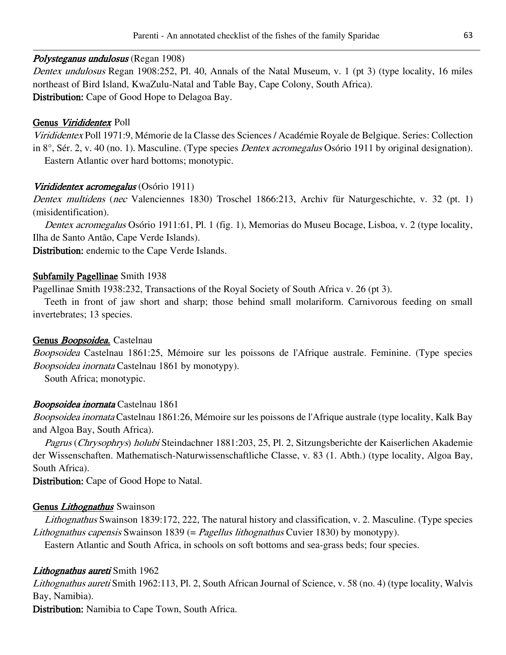### Polysteganus undulosus (Regan 1908)

Dentex undulosus Regan 1908:252, Pl. 40, Annals of the Natal Museum, v. 1 (pt 3) (type locality, 16 miles northeast of Bird Island, KwaZulu-Natal and Table Bay, Cape Colony, South Africa). Distribution: Cape of Good Hope to Delagoa Bay.

### Genus Virididentex Poll

Virididentex Poll 1971:9, Mémorie de la Classe des Sciences / Académie Royale de Belgique. Series: Collection in 8°, Sér. 2, v. 40 (no. 1). Masculine. (Type species Dentex acromegalus Osório 1911 by original designation). Eastern Atlantic over hard bottoms; monotypic.

### Virididentex acromegalus (Osório 1911)

Dentex multidens (nec Valenciennes 1830) Troschel 1866:213, Archiv für Naturgeschichte, v. 32 (pt. 1) (misidentification).

Dentex acromegalus Osório 1911:61, Pl. 1 (fig. 1), Memorias do Museu Bocage, Lisboa, v. 2 (type locality, Ilha de Santo Antão, Cape Verde Islands).

Distribution: endemic to the Cape Verde Islands.

### Subfamily Pagellinae Smith 1938

Pagellinae Smith 1938:232, Transactions of the Royal Society of South Africa v. 26 (pt 3).

Teeth in front of jaw short and sharp; those behind small molariform. Carnivorous feeding on small invertebrates; 13 species.

#### Genus Boopsoidea. Castelnau

Boopsoidea Castelnau 1861:25, Mémoire sur les poissons de l'Afrique australe. Feminine. (Type species Boopsoidea inornata Castelnau 1861 by monotypy).

South Africa; monotypic.

#### Boopsoidea inornata Castelnau 1861

Boopsoidea inornata Castelnau 1861:26, Mémoire sur les poissons de l'Afrique australe (type locality, Kalk Bay and Algoa Bay, South Africa).

Pagrus (Chrysophrys) holubi Steindachner 1881:203, 25, Pl. 2, Sitzungsberichte der Kaiserlichen Akademie der Wissenschaften. Mathematisch-Naturwissenschaftliche Classe, v. 83 (1. Abth.) (type locality, Algoa Bay, South Africa).

Distribution: Cape of Good Hope to Natal.

# Genus *Lithognathus* Swainson

Lithognathus Swainson 1839:172, 222, The natural history and classification, v. 2. Masculine. (Type species Lithognathus capensis Swainson 1839 (= Pagellus lithognathus Cuvier 1830) by monotypy).

Eastern Atlantic and South Africa, in schools on soft bottoms and sea-grass beds; four species.

# Lithognathus aureti Smith 1962

Lithognathus aureti Smith 1962:113, Pl. 2, South African Journal of Science, v. 58 (no. 4) (type locality, Walvis Bay, Namibia).

Distribution: Namibia to Cape Town, South Africa.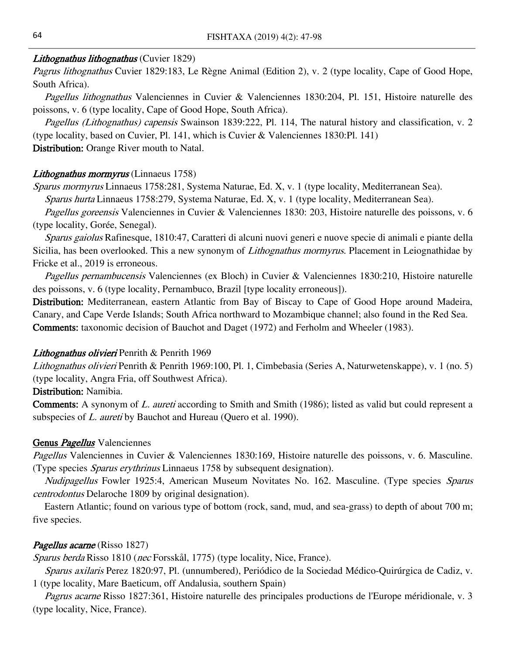#### Lithognathus lithognathus (Cuvier 1829)

Pagrus lithognathus Cuvier 1829:183, Le Règne Animal (Edition 2), v. 2 (type locality, Cape of Good Hope, South Africa).

Pagellus lithognathus Valenciennes in Cuvier & Valenciennes 1830:204, Pl. 151, Histoire naturelle des poissons, v. 6 (type locality, Cape of Good Hope, South Africa).

Pagellus (Lithognathus) capensis Swainson 1839:222, Pl. 114, The natural history and classification, v. 2 (type locality, based on Cuvier, Pl. 141, which is Cuvier & Valenciennes 1830:Pl. 141)

Distribution: Orange River mouth to Natal.

#### Lithognathus mormyrus (Linnaeus 1758)

Sparus mormyrus Linnaeus 1758:281, Systema Naturae, Ed. X, v. 1 (type locality, Mediterranean Sea).

Sparus hurta Linnaeus 1758:279, Systema Naturae, Ed. X, v. 1 (type locality, Mediterranean Sea).

Pagellus goreensis Valenciennes in Cuvier & Valenciennes 1830: 203, Histoire naturelle des poissons, v. 6 (type locality, Gorée, Senegal).

Sparus gaiolus Rafinesque, 1810:47, Caratteri di alcuni nuovi generi e nuove specie di animali e piante della Sicilia, has been overlooked. This a new synonym of *Lithognathus mormyrus*. Placement in Leiognathidae by Fricke et al., 2019 is erroneous.

Pagellus pernambucensis Valenciennes (ex Bloch) in Cuvier & Valenciennes 1830:210, Histoire naturelle des poissons, v. 6 (type locality, Pernambuco, Brazil [type locality erroneous]).

Distribution: Mediterranean, eastern Atlantic from Bay of Biscay to Cape of Good Hope around Madeira, Canary, and Cape Verde Islands; South Africa northward to Mozambique channel; also found in the Red Sea. Comments: taxonomic decision of Bauchot and Daget (1972) and Ferholm and Wheeler (1983).

#### Lithognathus olivieri Penrith & Penrith 1969

Lithognathus olivieri Penrith & Penrith 1969:100, Pl. 1, Cimbebasia (Series A, Naturwetenskappe), v. 1 (no. 5) (type locality, Angra Fria, off Southwest Africa).

# Distribution: Namibia.

**Comments:** A synonym of *L. aureti* according to Smith and Smith (1986); listed as valid but could represent a subspecies of L. aureti by Bauchot and Hureau (Quero et al. 1990).

#### Genus *Pagellus* Valenciennes

Pagellus Valenciennes in Cuvier & Valenciennes 1830:169, Histoire naturelle des poissons, v. 6. Masculine. (Type species Sparus erythrinus Linnaeus 1758 by subsequent designation).

Nudipagellus Fowler 1925:4, American Museum Novitates No. 162. Masculine. (Type species Sparus centrodontus Delaroche 1809 by original designation).

Eastern Atlantic; found on various type of bottom (rock, sand, mud, and sea-grass) to depth of about 700 m; five species.

#### Pagellus acarne (Risso 1827)

Sparus berda Risso 1810 (nec Forsskål, 1775) (type locality, Nice, France).

Sparus axilaris Perez 1820:97, Pl. (unnumbered), Periódico de la Sociedad Médico-Quirúrgica de Cadiz, v. 1 (type locality, Mare Baeticum, off Andalusia, southern Spain)

Pagrus acarne Risso 1827:361, Histoire naturelle des principales productions de l'Europe méridionale, v. 3 (type locality, Nice, France).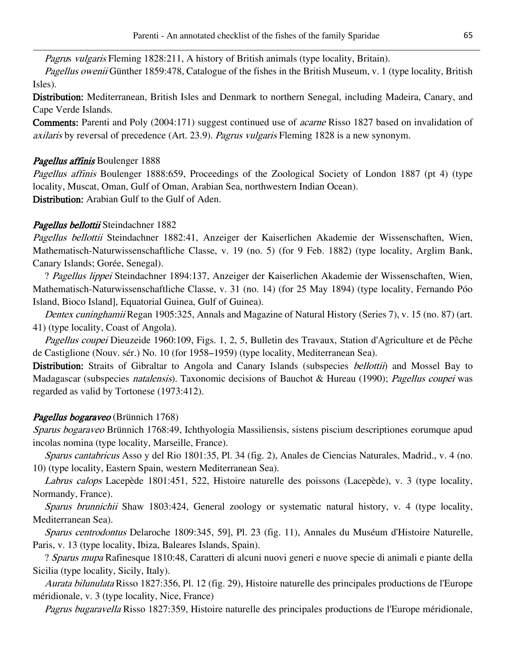Pagrus vulgaris Fleming 1828:211, A history of British animals (type locality, Britain).

Pagellus owenii Günther 1859:478, Catalogue of the fishes in the British Museum, v. 1 (type locality, British Isles).

Distribution: Mediterranean, British Isles and Denmark to northern Senegal, including Madeira, Canary, and Cape Verde Islands.

Comments: Parenti and Poly (2004:171) suggest continued use of *acarne* Risso 1827 based on invalidation of axilaris by reversal of precedence (Art. 23.9). Pagrus vulgaris Fleming 1828 is a new synonym.

# Pagellus affinis Boulenger 1888

Pagellus affinis Boulenger 1888:659, Proceedings of the Zoological Society of London 1887 (pt 4) (type locality, Muscat, Oman, Gulf of Oman, Arabian Sea, northwestern Indian Ocean). Distribution: Arabian Gulf to the Gulf of Aden.

# Pagellus bellottii Steindachner 1882

Pagellus bellottii Steindachner 1882:41, Anzeiger der Kaiserlichen Akademie der Wissenschaften, Wien, Mathematisch-Naturwissenschaftliche Classe, v. 19 (no. 5) (for 9 Feb. 1882) (type locality, Arglim Bank, Canary Islands; Gorée, Senegal).

? Pagellus lippei Steindachner 1894:137, Anzeiger der Kaiserlichen Akademie der Wissenschaften, Wien, Mathematisch-Naturwissenschaftliche Classe, v. 31 (no. 14) (for 25 May 1894) (type locality, Fernando Póo Island, Bioco Island], Equatorial Guinea, Gulf of Guinea).

Dentex cuninghamii Regan 1905:325, Annals and Magazine of Natural History (Series 7), v. 15 (no. 87) (art. 41) (type locality, Coast of Angola).

Pagellus coupei Dieuzeide 1960:109, Figs. 1, 2, 5, Bulletin des Travaux, Station d'Agriculture et de Pêche de Castiglione (Nouv. sér.) No. 10 (for 1958–1959) (type locality, Mediterranean Sea).

Distribution: Straits of Gibraltar to Angola and Canary Islands (subspecies *bellottii*) and Mossel Bay to Madagascar (subspecies *natalensis*). Taxonomic decisions of Bauchot & Hureau (1990); *Pagellus coupei* was regarded as valid by Tortonese (1973:412).

# Pagellus bogaraveo (Brünnich 1768)

Sparus bogaraveo Brünnich 1768:49, Ichthyologia Massiliensis, sistens piscium descriptiones eorumque apud incolas nomina (type locality, Marseille, France).

Sparus cantabricus Asso y del Rio 1801:35, Pl. 34 (fig. 2), Anales de Ciencias Naturales, Madrid., v. 4 (no. 10) (type locality, Eastern Spain, western Mediterranean Sea).

Labrus calops Lacepède 1801:451, 522, Histoire naturelle des poissons (Lacepède), v. 3 (type locality, Normandy, France).

Sparus brunnichii Shaw 1803:424, General zoology or systematic natural history, v. 4 (type locality, Mediterranean Sea).

Sparus centrodontus Delaroche 1809:345, 59], Pl. 23 (fig. 11), Annales du Muséum d'Histoire Naturelle, Paris, v. 13 (type locality, Ibiza, Baleares Islands, Spain).

? Sparus mupa Rafinesque 1810:48, Caratteri di alcuni nuovi generi e nuove specie di animali e piante della Sicilia (type locality, Sicily, Italy).

Aurata bilunulata Risso 1827:356, Pl. 12 (fig. 29), Histoire naturelle des principales productions de l'Europe méridionale, v. 3 (type locality, Nice, France)

Pagrus bugaravella Risso 1827:359, Histoire naturelle des principales productions de l'Europe méridionale,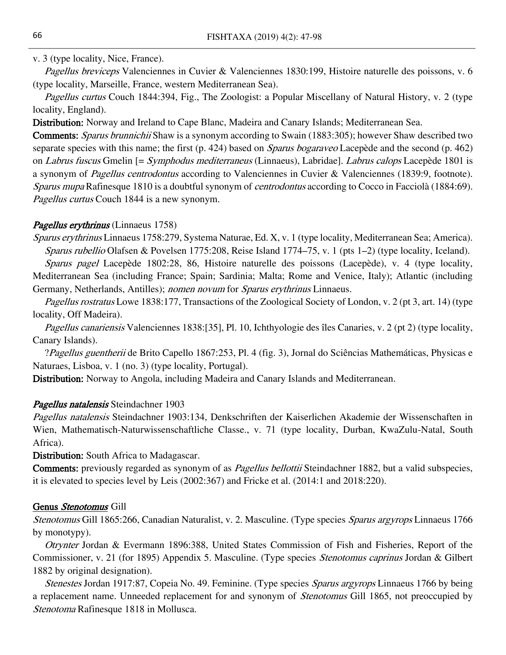### v. 3 (type locality, Nice, France).

Pagellus breviceps Valenciennes in Cuvier & Valenciennes 1830:199, Histoire naturelle des poissons, v. 6 (type locality, Marseille, France, western Mediterranean Sea).

Pagellus curtus Couch 1844:394, Fig., The Zoologist: a Popular Miscellany of Natural History, v. 2 (type locality, England).

Distribution: Norway and Ireland to Cape Blanc, Madeira and Canary Islands; Mediterranean Sea.

Comments: Sparus brunnichii Shaw is a synonym according to Swain (1883:305); however Shaw described two separate species with this name; the first (p. 424) based on *Sparus bogaraveo* Lacepède and the second (p. 462) on Labrus fuscus Gmelin [= Symphodus mediterraneus (Linnaeus), Labridae]. Labrus calops Lacepède 1801 is a synonym of Pagellus centrodontus according to Valenciennes in Cuvier & Valenciennes (1839:9, footnote). Sparus mupa Rafinesque 1810 is a doubtful synonym of *centrodontus* according to Cocco in Facciolà (1884:69). Pagellus curtus Couch 1844 is a new synonym.

# Pagellus erythrinus (Linnaeus 1758)

Sparus erythrinus Linnaeus 1758:279, Systema Naturae, Ed. X, v. 1 (type locality, Mediterranean Sea; America). Sparus rubellio Olafsen & Povelsen 1775:208, Reise Island 1774–75, v. 1 (pts 1–2) (type locality, Iceland).

Sparus pagel Lacepède 1802:28, 86, Histoire naturelle des poissons (Lacepède), v. 4 (type locality, Mediterranean Sea (including France; Spain; Sardinia; Malta; Rome and Venice, Italy); Atlantic (including Germany, Netherlands, Antilles); nomen novum for Sparus erythrinus Linnaeus.

Pagellus rostratus Lowe 1838:177, Transactions of the Zoological Society of London, v. 2 (pt 3, art. 14) (type locality, Off Madeira).

Pagellus canariensis Valenciennes 1838:[35], Pl. 10, Ichthyologie des îles Canaries, v. 2 (pt 2) (type locality, Canary Islands).

?Pagellus guentherii de Brito Capello 1867:253, Pl. 4 (fig. 3), Jornal do Sciências Mathemáticas, Physicas e Naturaes, Lisboa, v. 1 (no. 3) (type locality, Portugal).

Distribution: Norway to Angola, including Madeira and Canary Islands and Mediterranean.

# Pagellus natalensis Steindachner 1903

Pagellus natalensis Steindachner 1903:134, Denkschriften der Kaiserlichen Akademie der Wissenschaften in Wien, Mathematisch-Naturwissenschaftliche Classe., v. 71 (type locality, Durban, KwaZulu-Natal, South Africa).

Distribution: South Africa to Madagascar.

Comments: previously regarded as synonym of as *Pagellus bellottii* Steindachner 1882, but a valid subspecies, it is elevated to species level by Leis (2002:367) and Fricke et al. (2014:1 and 2018:220).

#### Genus Stenotomus Gill

Stenotomus Gill 1865:266, Canadian Naturalist, v. 2. Masculine. (Type species Sparus argyrops Linnaeus 1766 by monotypy).

Otrynter Jordan & Evermann 1896:388, United States Commission of Fish and Fisheries, Report of the Commissioner, v. 21 (for 1895) Appendix 5. Masculine. (Type species Stenotomus caprinus Jordan & Gilbert 1882 by original designation).

Stenestes Jordan 1917:87, Copeia No. 49. Feminine. (Type species Sparus argyrops Linnaeus 1766 by being a replacement name. Unneeded replacement for and synonym of Stenotomus Gill 1865, not preoccupied by Stenotoma Rafinesque 1818 in Mollusca.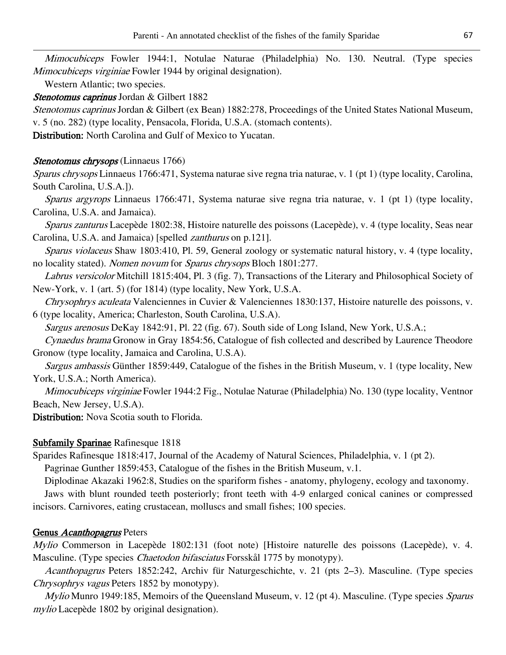Mimocubiceps Fowler 1944:1, Notulae Naturae (Philadelphia) No. 130. Neutral. (Type species Mimocubiceps virginiae Fowler 1944 by original designation).

Western Atlantic; two species.

Stenotomus caprinus Jordan & Gilbert 1882

Stenotomus caprinus Jordan & Gilbert (ex Bean) 1882:278, Proceedings of the United States National Museum, v. 5 (no. 282) (type locality, Pensacola, Florida, U.S.A. (stomach contents).

Distribution: North Carolina and Gulf of Mexico to Yucatan.

### Stenotomus chrysops (Linnaeus 1766)

Sparus chrysops Linnaeus 1766:471, Systema naturae sive regna tria naturae, v. 1 (pt 1) (type locality, Carolina, South Carolina, U.S.A.]).

Sparus argyrops Linnaeus 1766:471, Systema naturae sive regna tria naturae, v. 1 (pt 1) (type locality, Carolina, U.S.A. and Jamaica).

Sparus zanturus Lacepède 1802:38, Histoire naturelle des poissons (Lacepède), v. 4 (type locality, Seas near Carolina, U.S.A. and Jamaica) [spelled zanthurus on p.121].

Sparus violaceus Shaw 1803:410, Pl. 59, General zoology or systematic natural history, v. 4 (type locality, no locality stated). Nomen novum for Sparus chrysops Bloch 1801:277.

Labrus versicolor Mitchill 1815:404, Pl. 3 (fig. 7), Transactions of the Literary and Philosophical Society of New-York, v. 1 (art. 5) (for 1814) (type locality, New York, U.S.A.

Chrysophrys aculeata Valenciennes in Cuvier & Valenciennes 1830:137, Histoire naturelle des poissons, v. 6 (type locality, America; Charleston, South Carolina, U.S.A).

Sargus arenosus DeKay 1842:91, Pl. 22 (fig. 67). South side of Long Island, New York, U.S.A.;

Cynaedus brama Gronow in Gray 1854:56, Catalogue of fish collected and described by Laurence Theodore Gronow (type locality, Jamaica and Carolina, U.S.A).

Sargus ambassis Günther 1859:449, Catalogue of the fishes in the British Museum, v. 1 (type locality, New York, U.S.A.; North America).

Mimocubiceps virginiae Fowler 1944:2 Fig., Notulae Naturae (Philadelphia) No. 130 (type locality, Ventnor Beach, New Jersey, U.S.A).

Distribution: Nova Scotia south to Florida.

# Subfamily Sparinae Rafinesque 1818

Sparides Rafinesque 1818:417, Journal of the Academy of Natural Sciences, Philadelphia, v. 1 (pt 2).

Pagrinae Gunther 1859:453, Catalogue of the fishes in the British Museum, v.1.

Diplodinae Akazaki 1962:8, Studies on the spariform fishes - anatomy, phylogeny, ecology and taxonomy.

Jaws with blunt rounded teeth posteriorly; front teeth with 4-9 enlarged conical canines or compressed incisors. Carnivores, eating crustacean, molluscs and small fishes; 100 species.

# Genus Acanthopagrus Peters

Mylio Commerson in Lacepède 1802:131 (foot note) [Histoire naturelle des poissons (Lacepède), v. 4. Masculine. (Type species *Chaetodon bifasciatus* Forsskål 1775 by monotypy).

Acanthopagrus Peters 1852:242, Archiv für Naturgeschichte, v. 21 (pts 2–3). Masculine. (Type species Chrysophrys vagus Peters 1852 by monotypy).

Mylio Munro 1949:185, Memoirs of the Queensland Museum, v. 12 (pt 4). Masculine. (Type species Sparus mylio Lacepède 1802 by original designation).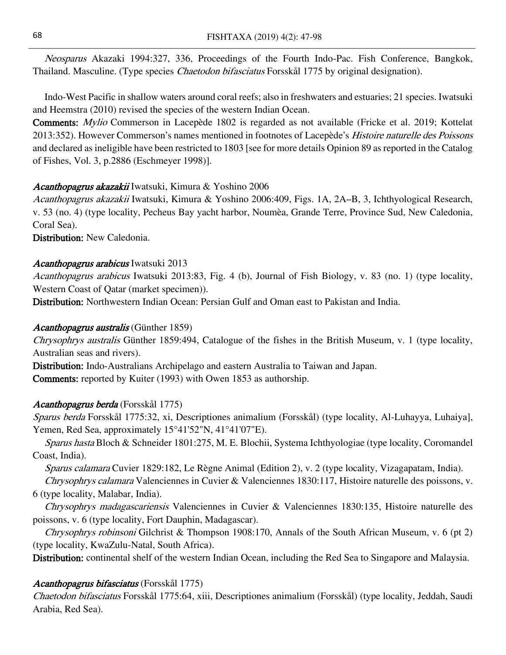Neosparus Akazaki 1994:327, 336, Proceedings of the Fourth Indo-Pac. Fish Conference, Bangkok, Thailand. Masculine. (Type species Chaetodon bifasciatus Forsskål 1775 by original designation).

Indo-West Pacific in shallow waters around coral reefs; also in freshwaters and estuaries; 21 species. Iwatsuki and Heemstra (2010) revised the species of the western Indian Ocean.

Comments: Mylio Commerson in Lacepède 1802 is regarded as not available (Fricke et al. 2019; Kottelat 2013:352). However Commerson's names mentioned in footnotes of Lacepède's Histoire naturelle des Poissons and declared as ineligible have been restricted to 1803 [see for more details Opinion 89 as reported in the Catalog of Fishes, Vol. 3, p.2886 (Eschmeyer 1998)].

# Acanthopagrus akazakii Iwatsuki, Kimura & Yoshino 2006

Acanthopagrus akazakii Iwatsuki, Kimura & Yoshino 2006:409, Figs. 1A, 2A–B, 3, Ichthyological Research, v. 53 (no. 4) (type locality, Pecheus Bay yacht harbor, Noumèa, Grande Terre, Province Sud, New Caledonia, Coral Sea).

Distribution: New Caledonia.

### Acanthopagrus arabicus Iwatsuki 2013

Acanthopagrus arabicus Iwatsuki 2013:83, Fig. 4 (b), Journal of Fish Biology, v. 83 (no. 1) (type locality, Western Coast of Qatar (market specimen)).

Distribution: Northwestern Indian Ocean: Persian Gulf and Oman east to Pakistan and India.

# Acanthopagrus australis (Günther 1859)

Chrysophrys australis Günther 1859:494, Catalogue of the fishes in the British Museum, v. 1 (type locality, Australian seas and rivers).

Distribution: Indo-Australians Archipelago and eastern Australia to Taiwan and Japan. Comments: reported by Kuiter (1993) with Owen 1853 as authorship.

# Acanthopagrus berda (Forsskål 1775)

Sparus berda Forsskål 1775:32, xi, Descriptiones animalium (Forsskål) (type locality, Al-Luhayya, Luhaiya], Yemen, Red Sea, approximately 15°41'52"N, 41°41'07"E).

Sparus hasta Bloch & Schneider 1801:275, M. E. Blochii, Systema Ichthyologiae (type locality, Coromandel Coast, India).

Sparus calamara Cuvier 1829:182, Le Règne Animal (Edition 2), v. 2 (type locality, Vizagapatam, India).

Chrysophrys calamara Valenciennes in Cuvier & Valenciennes 1830:117, Histoire naturelle des poissons, v. 6 (type locality, Malabar, India).

Chrysophrys madagascariensis Valenciennes in Cuvier & Valenciennes 1830:135, Histoire naturelle des poissons, v. 6 (type locality, Fort Dauphin, Madagascar).

Chrysophrys robinsoni Gilchrist & Thompson 1908:170, Annals of the South African Museum, v. 6 (pt 2) (type locality, KwaZulu-Natal, South Africa).

Distribution: continental shelf of the western Indian Ocean, including the Red Sea to Singapore and Malaysia.

# Acanthopagrus bifasciatus (Forsskål 1775)

Chaetodon bifasciatus Forsskål 1775:64, xiii, Descriptiones animalium (Forsskål) (type locality, Jeddah, Saudi Arabia, Red Sea).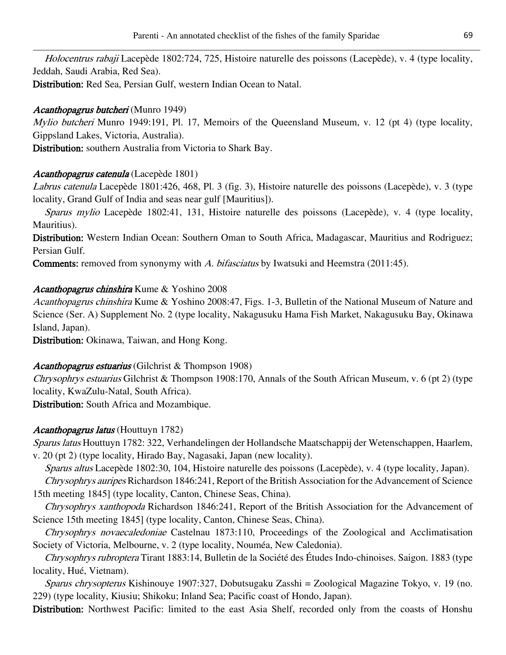Holocentrus rabaji Lacepède 1802:724, 725, Histoire naturelle des poissons (Lacepède), v. 4 (type locality, Jeddah, Saudi Arabia, Red Sea).

Distribution: Red Sea, Persian Gulf, western Indian Ocean to Natal.

# Acanthopagrus butcheri (Munro 1949)

Mylio butcheri Munro 1949:191, Pl. 17, Memoirs of the Queensland Museum, v. 12 (pt 4) (type locality, Gippsland Lakes, Victoria, Australia).

Distribution: southern Australia from Victoria to Shark Bay.

# Acanthopagrus catenula (Lacepède 1801)

Labrus catenula Lacepède 1801:426, 468, Pl. 3 (fig. 3), Histoire naturelle des poissons (Lacepède), v. 3 (type locality, Grand Gulf of India and seas near gulf [Mauritius]).

Sparus mylio Lacepède 1802:41, 131, Histoire naturelle des poissons (Lacepède), v. 4 (type locality, Mauritius).

Distribution: Western Indian Ocean: Southern Oman to South Africa, Madagascar, Mauritius and Rodriguez; Persian Gulf.

**Comments:** removed from synonymy with A. bifasciatus by Iwatsuki and Heemstra (2011:45).

# Acanthopagrus chinshira Kume & Yoshino 2008

Acanthopagrus chinshira Kume & Yoshino 2008:47, Figs. 1-3, Bulletin of the National Museum of Nature and Science (Ser. A) Supplement No. 2 (type locality, Nakagusuku Hama Fish Market, Nakagusuku Bay, Okinawa Island, Japan).

Distribution: Okinawa, Taiwan, and Hong Kong.

# Acanthopagrus estuarius (Gilchrist & Thompson 1908)

Chrysophrys estuarius Gilchrist & Thompson 1908:170, Annals of the South African Museum, v. 6 (pt 2) (type locality, KwaZulu-Natal, South Africa).

Distribution: South Africa and Mozambique.

# Acanthopagrus latus (Houttuyn 1782)

Sparus latus Houttuyn 1782: 322, Verhandelingen der Hollandsche Maatschappij der Wetenschappen, Haarlem, v. 20 (pt 2) (type locality, Hirado Bay, Nagasaki, Japan (new locality).

Sparus altus Lacepède 1802:30, 104, Histoire naturelle des poissons (Lacepède), v. 4 (type locality, Japan).

Chrysophrys auripes Richardson 1846:241, Report of the British Association for the Advancement of Science 15th meeting 1845] (type locality, Canton, Chinese Seas, China).

Chrysophrys xanthopoda Richardson 1846:241, Report of the British Association for the Advancement of Science 15th meeting 1845] (type locality, Canton, Chinese Seas, China).

Chrysophrys novaecaledoniae Castelnau 1873:110, Proceedings of the Zoological and Acclimatisation Society of Victoria, Melbourne, v. 2 (type locality, Nouméa, New Caledonia).

Chrysophrys rubroptera Tirant 1883:14, Bulletin de la Société des Études Indo-chinoises. Saigon. 1883 (type locality, Hué, Vietnam).

Sparus chrysopterus Kishinouye 1907:327, Dobutsugaku Zasshi = Zoological Magazine Tokyo, v. 19 (no. 229) (type locality, Kiusiu; Shikoku; Inland Sea; Pacific coast of Hondo, Japan).

Distribution: Northwest Pacific: limited to the east Asia Shelf, recorded only from the coasts of Honshu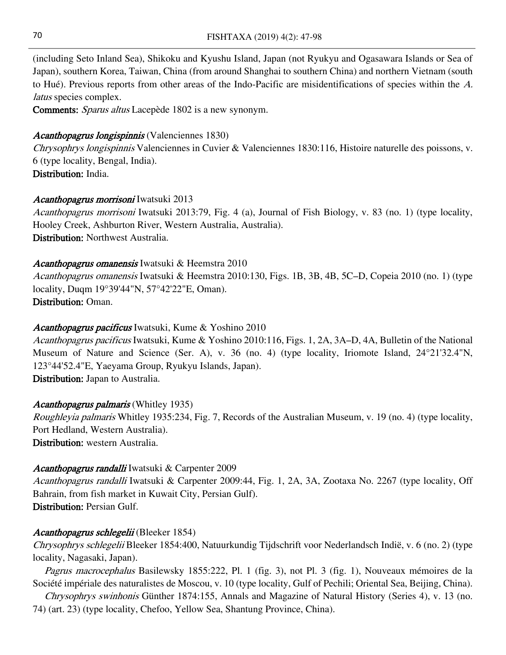(including Seto Inland Sea), Shikoku and Kyushu Island, Japan (not Ryukyu and Ogasawara Islands or Sea of Japan), southern Korea, Taiwan, China (from around Shanghai to southern China) and northern Vietnam (south to Hué). Previous reports from other areas of the Indo-Pacific are misidentifications of species within the A. latus species complex.

Comments: Sparus altus Lacepède 1802 is a new synonym.

# Acanthopagrus longispinnis (Valenciennes 1830)

Chrysophrys longispinnis Valenciennes in Cuvier & Valenciennes 1830:116, Histoire naturelle des poissons, v. 6 (type locality, Bengal, India). Distribution: India.

# Acanthopagrus morrisoni Iwatsuki 2013

Acanthopagrus morrisoni Iwatsuki 2013:79, Fig. 4 (a), Journal of Fish Biology, v. 83 (no. 1) (type locality, Hooley Creek, Ashburton River, Western Australia, Australia). Distribution: Northwest Australia.

# Acanthopagrus omanensis Iwatsuki & Heemstra 2010

Acanthopagrus omanensis Iwatsuki & Heemstra 2010:130, Figs. 1B, 3B, 4B, 5C–D, Copeia 2010 (no. 1) (type locality, Duqm 19°39'44"N, 57°42'22"E, Oman). Distribution: Oman.

# Acanthopagrus pacificus Iwatsuki, Kume & Yoshino 2010

Acanthopagrus pacificus Iwatsuki, Kume & Yoshino 2010:116, Figs. 1, 2A, 3A–D, 4A, Bulletin of the National Museum of Nature and Science (Ser. A), v. 36 (no. 4) (type locality, Iriomote Island, 24°21'32.4"N, 123°44'52.4"E, Yaeyama Group, Ryukyu Islands, Japan). Distribution: Japan to Australia.

# Acanthopagrus palmaris (Whitley 1935)

Roughleyia palmaris Whitley 1935:234, Fig. 7, Records of the Australian Museum, v. 19 (no. 4) (type locality, Port Hedland, Western Australia).

Distribution: western Australia.

# Acanthopagrus randalli Iwatsuki & Carpenter 2009

Acanthopagrus randalli Iwatsuki & Carpenter 2009:44, Fig. 1, 2A, 3A, Zootaxa No. 2267 (type locality, Off Bahrain, from fish market in Kuwait City, Persian Gulf). Distribution: Persian Gulf.

# Acanthopagrus schlegelii (Bleeker 1854)

Chrysophrys schlegelii Bleeker 1854:400, Natuurkundig Tijdschrift voor Nederlandsch Indië, v. 6 (no. 2) (type locality, Nagasaki, Japan).

Pagrus macrocephalus Basilewsky 1855:222, Pl. 1 (fig. 3), not Pl. 3 (fig. 1), Nouveaux mémoires de la Société impériale des naturalistes de Moscou, v. 10 (type locality, Gulf of Pechili; Oriental Sea, Beijing, China).

Chrysophrys swinhonis Günther 1874:155, Annals and Magazine of Natural History (Series 4), v. 13 (no. 74) (art. 23) (type locality, Chefoo, Yellow Sea, Shantung Province, China).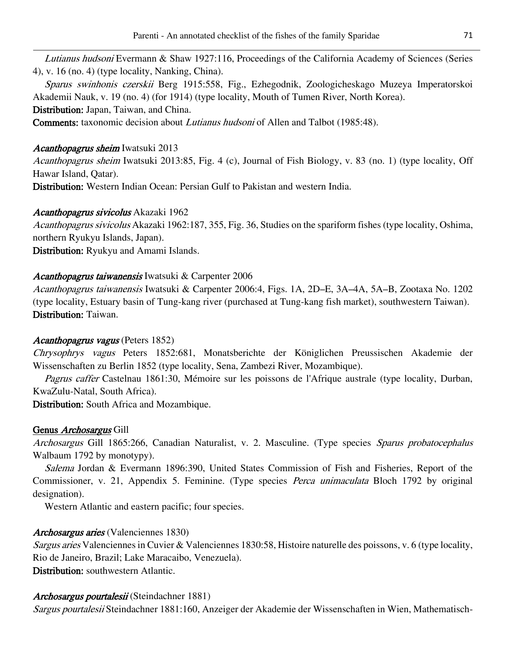Lutianus hudsoni Evermann & Shaw 1927:116, Proceedings of the California Academy of Sciences (Series 4), v. 16 (no. 4) (type locality, Nanking, China).

Sparus swinhonis czerskii Berg 1915:558, Fig., Ezhegodnik, Zoologicheskago Muzeya Imperatorskoi Akademii Nauk, v. 19 (no. 4) (for 1914) (type locality, Mouth of Tumen River, North Korea). Distribution: Japan, Taiwan, and China.

Comments: taxonomic decision about Lutianus hudsoni of Allen and Talbot (1985:48).

# Acanthopagrus sheim Iwatsuki 2013

Acanthopagrus sheim Iwatsuki 2013:85, Fig. 4 (c), Journal of Fish Biology, v. 83 (no. 1) (type locality, Off Hawar Island, Qatar).

Distribution: Western Indian Ocean: Persian Gulf to Pakistan and western India.

# Acanthopagrus sivicolus Akazaki 1962

Acanthopagrus sivicolus Akazaki 1962:187, 355, Fig. 36, Studies on the spariform fishes (type locality, Oshima, northern Ryukyu Islands, Japan).

Distribution: Ryukyu and Amami Islands.

# Acanthopagrus taiwanensis Iwatsuki & Carpenter 2006

Acanthopagrus taiwanensis Iwatsuki & Carpenter 2006:4, Figs. 1A, 2D–E, 3A–4A, 5A–B, Zootaxa No. 1202 (type locality, Estuary basin of Tung-kang river (purchased at Tung-kang fish market), southwestern Taiwan). Distribution: Taiwan.

# Acanthopagrus vagus (Peters 1852)

Chrysophrys vagus Peters 1852:681, Monatsberichte der Königlichen Preussischen Akademie der Wissenschaften zu Berlin 1852 (type locality, Sena, Zambezi River, Mozambique).

Pagrus caffer Castelnau 1861:30, Mémoire sur les poissons de l'Afrique australe (type locality, Durban, KwaZulu-Natal, South Africa).

Distribution: South Africa and Mozambique.

# Genus *Archosargus* Gill

Archosargus Gill 1865:266, Canadian Naturalist, v. 2. Masculine. (Type species Sparus probatocephalus Walbaum 1792 by monotypy).

Salema Jordan & Evermann 1896:390, United States Commission of Fish and Fisheries, Report of the Commissioner, v. 21, Appendix 5. Feminine. (Type species *Perca unimaculata* Bloch 1792 by original designation).

Western Atlantic and eastern pacific; four species.

# Archosargus aries (Valenciennes 1830)

Sargus aries Valenciennes in Cuvier & Valenciennes 1830:58, Histoire naturelle des poissons, v. 6 (type locality, Rio de Janeiro, Brazil; Lake Maracaibo, Venezuela). Distribution: southwestern Atlantic.

# Archosargus pourtalesii (Steindachner 1881)

Sargus pourtalesii Steindachner 1881:160, Anzeiger der Akademie der Wissenschaften in Wien, Mathematisch-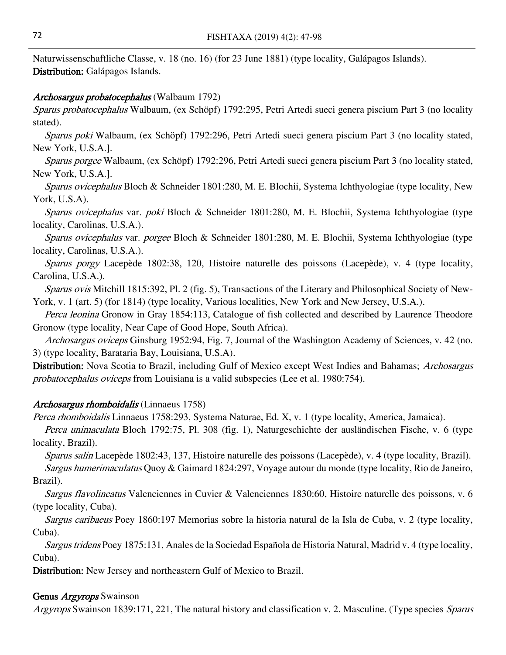Naturwissenschaftliche Classe, v. 18 (no. 16) (for 23 June 1881) (type locality, Galápagos Islands). Distribution: Galápagos Islands.

### Archosargus probatocephalus (Walbaum 1792)

Sparus probatocephalus Walbaum, (ex Schöpf) 1792:295, Petri Artedi sueci genera piscium Part 3 (no locality stated).

Sparus poki Walbaum, (ex Schöpf) 1792:296, Petri Artedi sueci genera piscium Part 3 (no locality stated, New York, U.S.A.].

Sparus porgee Walbaum, (ex Schöpf) 1792:296, Petri Artedi sueci genera piscium Part 3 (no locality stated, New York, U.S.A.].

Sparus ovicephalus Bloch & Schneider 1801:280, M. E. Blochii, Systema Ichthyologiae (type locality, New York, U.S.A).

Sparus ovicephalus var. poki Bloch & Schneider 1801:280, M. E. Blochii, Systema Ichthyologiae (type locality, Carolinas, U.S.A.).

Sparus ovicephalus var. porgee Bloch & Schneider 1801:280, M. E. Blochii, Systema Ichthyologiae (type locality, Carolinas, U.S.A.).

Sparus porgy Lacepède 1802:38, 120, Histoire naturelle des poissons (Lacepède), v. 4 (type locality, Carolina, U.S.A.).

Sparus ovis Mitchill 1815:392, Pl. 2 (fig. 5), Transactions of the Literary and Philosophical Society of New-York, v. 1 (art. 5) (for 1814) (type locality, Various localities, New York and New Jersey, U.S.A.).

Perca leonina Gronow in Gray 1854:113, Catalogue of fish collected and described by Laurence Theodore Gronow (type locality, Near Cape of Good Hope, South Africa).

Archosargus oviceps Ginsburg 1952:94, Fig. 7, Journal of the Washington Academy of Sciences, v. 42 (no. 3) (type locality, Barataria Bay, Louisiana, U.S.A).

Distribution: Nova Scotia to Brazil, including Gulf of Mexico except West Indies and Bahamas; Archosargus probatocephalus oviceps from Louisiana is a valid subspecies (Lee et al. 1980:754).

# Archosargus rhomboidalis (Linnaeus 1758)

Perca rhomboidalis Linnaeus 1758:293, Systema Naturae, Ed. X, v. 1 (type locality, America, Jamaica).

Perca unimaculata Bloch 1792:75, Pl. 308 (fig. 1), Naturgeschichte der ausländischen Fische, v. 6 (type locality, Brazil).

Sparus salin Lacepède 1802:43, 137, Histoire naturelle des poissons (Lacepède), v. 4 (type locality, Brazil). Sargus humerimaculatus Quoy & Gaimard 1824:297, Voyage autour du monde (type locality, Rio de Janeiro,

# Brazil).

Sargus flavolineatus Valenciennes in Cuvier & Valenciennes 1830:60, Histoire naturelle des poissons, v. 6 (type locality, Cuba).

Sargus caribaeus Poey 1860:197 Memorias sobre la historia natural de la Isla de Cuba, v. 2 (type locality, Cuba).

Sargus tridens Poey 1875:131, Anales de la Sociedad Española de Historia Natural, Madrid v. 4 (type locality, Cuba).

Distribution: New Jersey and northeastern Gulf of Mexico to Brazil.

# Genus *Argyrops* Swainson

Argyrops Swainson 1839:171, 221, The natural history and classification v. 2. Masculine. (Type species Sparus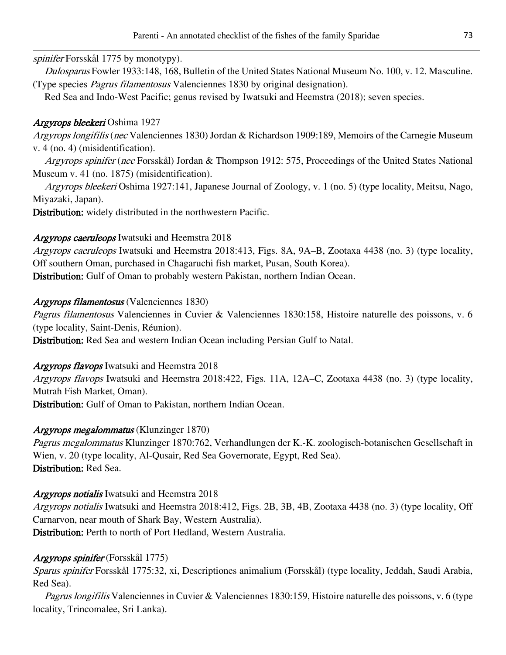# spinifer Forsskål 1775 by monotypy).

Dulosparus Fowler 1933:148, 168, Bulletin of the United States National Museum No. 100, v. 12. Masculine. (Type species Pagrus filamentosus Valenciennes 1830 by original designation).

Red Sea and Indo-West Pacific; genus revised by Iwatsuki and Heemstra (2018); seven species.

# Argyrops bleekeri Oshima 1927

Argyrops longifilis (nec Valenciennes 1830) Jordan & Richardson 1909:189, Memoirs of the Carnegie Museum v. 4 (no. 4) (misidentification).

Argyrops spinifer (nec Forsskål) Jordan & Thompson 1912: 575, Proceedings of the United States National Museum v. 41 (no. 1875) (misidentification).

Argyrops bleekeri Oshima 1927:141, Japanese Journal of Zoology, v. 1 (no. 5) (type locality, Meitsu, Nago, Miyazaki, Japan).

Distribution: widely distributed in the northwestern Pacific.

# Argyrops caeruleops Iwatsuki and Heemstra 2018

Argyrops caeruleops Iwatsuki and Heemstra 2018:413, Figs. 8A, 9A–B, Zootaxa 4438 (no. 3) (type locality, Off southern Oman, purchased in Chagaruchi fish market, Pusan, South Korea). Distribution: Gulf of Oman to probably western Pakistan, northern Indian Ocean.

# Argyrops filamentosus (Valenciennes 1830)

Pagrus filamentosus Valenciennes in Cuvier & Valenciennes 1830:158, Histoire naturelle des poissons, v. 6 (type locality, Saint-Denis, Réunion).

Distribution: Red Sea and western Indian Ocean including Persian Gulf to Natal.

# Argyrops flavops Iwatsuki and Heemstra 2018

Argyrops flavops Iwatsuki and Heemstra 2018:422, Figs. 11A, 12A–C, Zootaxa 4438 (no. 3) (type locality, Mutrah Fish Market, Oman).

Distribution: Gulf of Oman to Pakistan, northern Indian Ocean.

# Argyrops megalommatus (Klunzinger 1870)

Pagrus megalommatus Klunzinger 1870:762, Verhandlungen der K.-K. zoologisch-botanischen Gesellschaft in Wien, v. 20 (type locality, Al-Qusair, Red Sea Governorate, Egypt, Red Sea). Distribution: Red Sea.

# Argyrops notialis Iwatsuki and Heemstra 2018

Argyrops notialis Iwatsuki and Heemstra 2018:412, Figs. 2B, 3B, 4B, Zootaxa 4438 (no. 3) (type locality, Off Carnarvon, near mouth of Shark Bay, Western Australia). Distribution: Perth to north of Port Hedland, Western Australia.

# Argyrops spinifer (Forsskål 1775)

Sparus spinifer Forsskål 1775:32, xi, Descriptiones animalium (Forsskål) (type locality, Jeddah, Saudi Arabia, Red Sea).

Pagrus longifilis Valenciennes in Cuvier & Valenciennes 1830:159, Histoire naturelle des poissons, v. 6 (type locality, Trincomalee, Sri Lanka).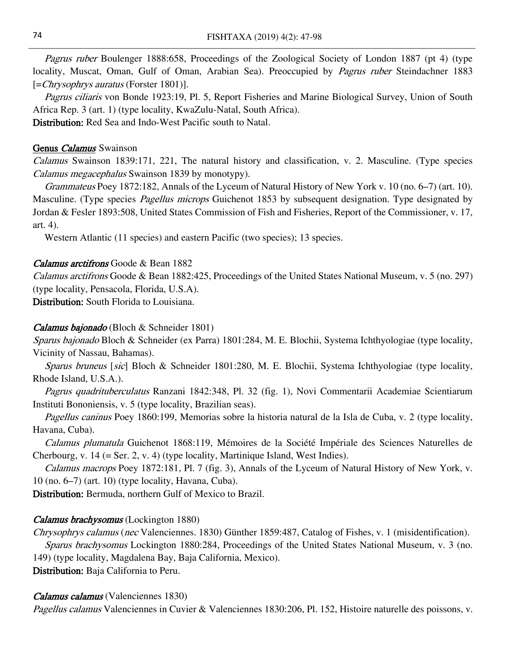Pagrus ruber Boulenger 1888:658, Proceedings of the Zoological Society of London 1887 (pt 4) (type locality, Muscat, Oman, Gulf of Oman, Arabian Sea). Preoccupied by Pagrus ruber Steindachner 1883 [=Chrysophrys auratus (Forster 1801)].

Pagrus ciliaris von Bonde 1923:19, Pl. 5, Report Fisheries and Marine Biological Survey, Union of South Africa Rep. 3 (art. 1) (type locality, KwaZulu-Natal, South Africa).

Distribution: Red Sea and Indo-West Pacific south to Natal.

#### Genus Calamus Swainson

Calamus Swainson 1839:171, 221, The natural history and classification, v. 2. Masculine. (Type species Calamus megacephalus Swainson 1839 by monotypy).

Grammateus Poey 1872:182, Annals of the Lyceum of Natural History of New York v. 10 (no. 6–7) (art. 10). Masculine. (Type species *Pagellus microps* Guichenot 1853 by subsequent designation. Type designated by Jordan & Fesler 1893:508, United States Commission of Fish and Fisheries, Report of the Commissioner, v. 17, art. 4).

Western Atlantic (11 species) and eastern Pacific (two species); 13 species.

#### Calamus arctifrons Goode & Bean 1882

Calamus arctifrons Goode & Bean 1882:425, Proceedings of the United States National Museum, v. 5 (no. 297) (type locality, Pensacola, Florida, U.S.A).

Distribution: South Florida to Louisiana.

#### Calamus bajonado (Bloch & Schneider 1801)

Sparus bajonado Bloch & Schneider (ex Parra) 1801:284, M. E. Blochii, Systema Ichthyologiae (type locality, Vicinity of Nassau, Bahamas).

Sparus bruneus [sic] Bloch & Schneider 1801:280, M. E. Blochii, Systema Ichthyologiae (type locality, Rhode Island, U.S.A.).

Pagrus quadrituberculatus Ranzani 1842:348, Pl. 32 (fig. 1), Novi Commentarii Academiae Scientiarum Instituti Bononiensis, v. 5 (type locality, Brazilian seas).

Pagellus caninus Poey 1860:199, Memorias sobre la historia natural de la Isla de Cuba, v. 2 (type locality, Havana, Cuba).

Calamus plumatula Guichenot 1868:119, Mémoires de la Société Impériale des Sciences Naturelles de Cherbourg, v.  $14$  (= Ser. 2, v. 4) (type locality, Martinique Island, West Indies).

Calamus macrops Poey 1872:181, Pl. 7 (fig. 3), Annals of the Lyceum of Natural History of New York, v. 10 (no. 6–7) (art. 10) (type locality, Havana, Cuba).

Distribution: Bermuda, northern Gulf of Mexico to Brazil.

#### Calamus brachysomus (Lockington 1880)

Chrysophrys calamus (nec Valenciennes. 1830) Günther 1859:487, Catalog of Fishes, v. 1 (misidentification). Sparus brachysomus Lockington 1880:284, Proceedings of the United States National Museum, v. 3 (no. 149) (type locality, Magdalena Bay, Baja California, Mexico).

Distribution: Baja California to Peru.

#### Calamus calamus (Valenciennes 1830)

Pagellus calamus Valenciennes in Cuvier & Valenciennes 1830:206, Pl. 152, Histoire naturelle des poissons, v.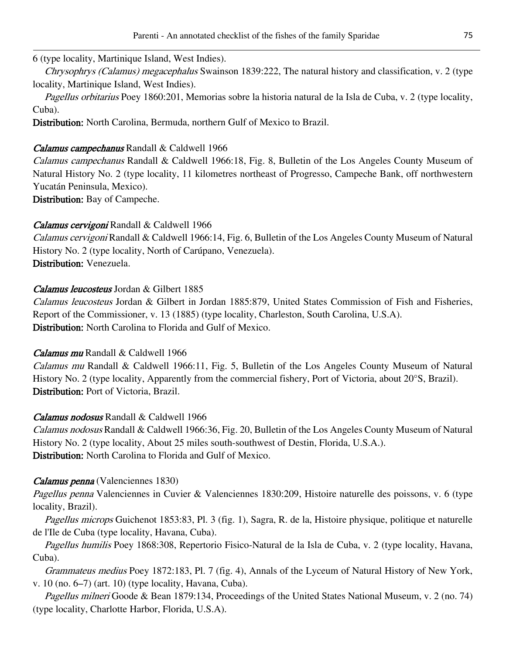### 6 (type locality, Martinique Island, West Indies).

Chrysophrys (Calamus) megacephalus Swainson 1839:222, The natural history and classification, v. 2 (type locality, Martinique Island, West Indies).

Pagellus orbitarius Poey 1860:201, Memorias sobre la historia natural de la Isla de Cuba, v. 2 (type locality, Cuba).

Distribution: North Carolina, Bermuda, northern Gulf of Mexico to Brazil.

### Calamus campechanus Randall & Caldwell 1966

Calamus campechanus Randall & Caldwell 1966:18, Fig. 8, Bulletin of the Los Angeles County Museum of Natural History No. 2 (type locality, 11 kilometres northeast of Progresso, Campeche Bank, off northwestern Yucatán Peninsula, Mexico).

Distribution: Bay of Campeche.

# Calamus cervigoni Randall & Caldwell 1966

Calamus cervigoni Randall & Caldwell 1966:14, Fig. 6, Bulletin of the Los Angeles County Museum of Natural History No. 2 (type locality, North of Carúpano, Venezuela). Distribution: Venezuela.

# Calamus leucosteus Jordan & Gilbert 1885

Calamus leucosteus Jordan & Gilbert in Jordan 1885:879, United States Commission of Fish and Fisheries, Report of the Commissioner, v. 13 (1885) (type locality, Charleston, South Carolina, U.S.A). Distribution: North Carolina to Florida and Gulf of Mexico.

#### Calamus mu Randall & Caldwell 1966

Calamus mu Randall & Caldwell 1966:11, Fig. 5, Bulletin of the Los Angeles County Museum of Natural History No. 2 (type locality, Apparently from the commercial fishery, Port of Victoria, about 20°S, Brazil). Distribution: Port of Victoria, Brazil.

# Calamus nodosus Randall & Caldwell 1966

Calamus nodosus Randall & Caldwell 1966:36, Fig. 20, Bulletin of the Los Angeles County Museum of Natural History No. 2 (type locality, About 25 miles south-southwest of Destin, Florida, U.S.A.). Distribution: North Carolina to Florida and Gulf of Mexico.

#### Calamus penna (Valenciennes 1830)

Pagellus penna Valenciennes in Cuvier & Valenciennes 1830:209, Histoire naturelle des poissons, v. 6 (type locality, Brazil).

Pagellus microps Guichenot 1853:83, Pl. 3 (fig. 1), Sagra, R. de la, Histoire physique, politique et naturelle de l'Ile de Cuba (type locality, Havana, Cuba).

Pagellus humilis Poey 1868:308, Repertorio Fisico-Natural de la Isla de Cuba, v. 2 (type locality, Havana, Cuba).

Grammateus medius Poey 1872:183, Pl. 7 (fig. 4), Annals of the Lyceum of Natural History of New York, v. 10 (no. 6–7) (art. 10) (type locality, Havana, Cuba).

Pagellus milneri Goode & Bean 1879:134, Proceedings of the United States National Museum, v. 2 (no. 74) (type locality, Charlotte Harbor, Florida, U.S.A).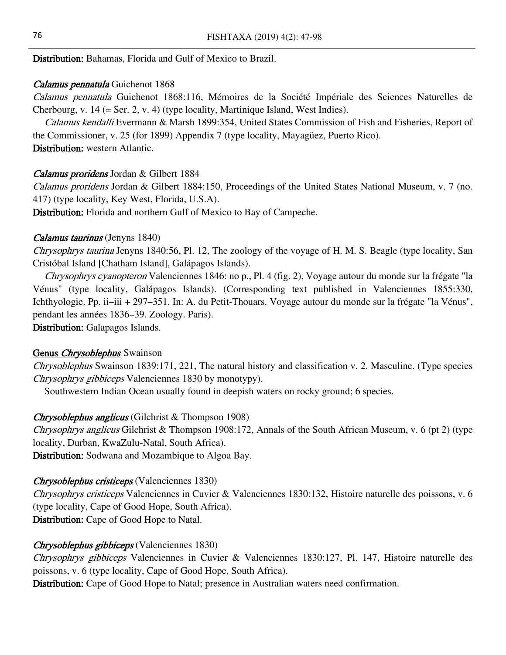Distribution: Bahamas, Florida and Gulf of Mexico to Brazil.

#### Calamus pennatula Guichenot 1868

Calamus pennatula Guichenot 1868:116, Mémoires de la Société Impériale des Sciences Naturelles de Cherbourg, v. 14 (= Ser. 2, v. 4) (type locality, Martinique Island, West Indies).

Calamus kendalli Evermann & Marsh 1899:354, United States Commission of Fish and Fisheries, Report of the Commissioner, v. 25 (for 1899) Appendix 7 (type locality, Mayagüez, Puerto Rico). Distribution: western Atlantic.

#### Calamus proridens Jordan & Gilbert 1884

Calamus proridens Jordan & Gilbert 1884:150, Proceedings of the United States National Museum, v. 7 (no. 417) (type locality, Key West, Florida, U.S.A).

Distribution: Florida and northern Gulf of Mexico to Bay of Campeche.

#### Calamus taurinus (Jenyns 1840)

Chrysophrys taurina Jenyns 1840:56, Pl. 12, The zoology of the voyage of H. M. S. Beagle (type locality, San Cristóbal Island [Chatham Island], Galápagos Islands).

Chrysophrys cyanopteron Valenciennes 1846: no p., Pl. 4 (fig. 2), Voyage autour du monde sur la frégate "la Vénus" (type locality, Galápagos Islands). (Corresponding text published in Valenciennes 1855:330, Ichthyologie. Pp. ii–iii + 297–351. In: A. du Petit-Thouars. Voyage autour du monde sur la frégate "la Vénus", pendant les années 1836–39. Zoology. Paris).

Distribution: Galapagos Islands.

#### Genus *Chrysoblephus* Swainson

Chrysoblephus Swainson 1839:171, 221, The natural history and classification v. 2. Masculine. (Type species Chrysophrys gibbiceps Valenciennes 1830 by monotypy).

Southwestern Indian Ocean usually found in deepish waters on rocky ground; 6 species.

#### Chrysoblephus anglicus (Gilchrist & Thompson 1908)

Chrysophrys anglicus Gilchrist & Thompson 1908:172, Annals of the South African Museum, v. 6 (pt 2) (type locality, Durban, KwaZulu-Natal, South Africa).

Distribution: Sodwana and Mozambique to Algoa Bay.

#### Chrysoblephus cristiceps (Valenciennes 1830)

Chrysophrys cristiceps Valenciennes in Cuvier & Valenciennes 1830:132, Histoire naturelle des poissons, v. 6 (type locality, Cape of Good Hope, South Africa). Distribution: Cape of Good Hope to Natal.

#### Chrysoblephus gibbiceps (Valenciennes 1830)

Chrysophrys gibbiceps Valenciennes in Cuvier & Valenciennes 1830:127, Pl. 147, Histoire naturelle des poissons, v. 6 (type locality, Cape of Good Hope, South Africa).

Distribution: Cape of Good Hope to Natal; presence in Australian waters need confirmation.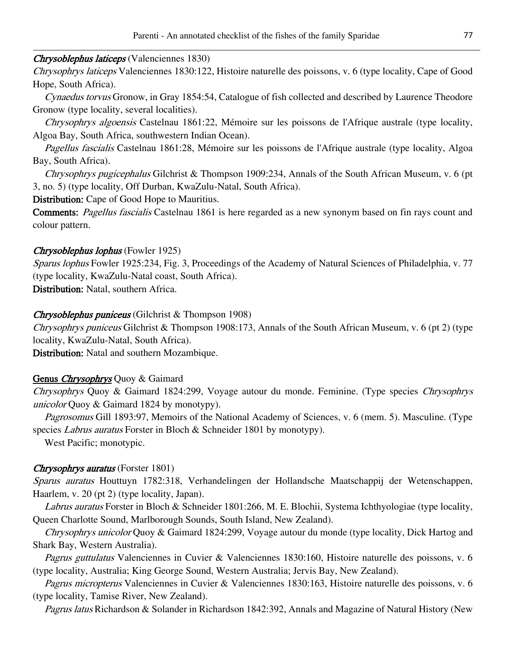#### Chrysoblephus laticeps (Valenciennes 1830)

Chrysophrys laticeps Valenciennes 1830:122, Histoire naturelle des poissons, v. 6 (type locality, Cape of Good Hope, South Africa).

Cynaedus torvus Gronow, in Gray 1854:54, Catalogue of fish collected and described by Laurence Theodore Gronow (type locality, several localities).

Chrysophrys algoensis Castelnau 1861:22, Mémoire sur les poissons de l'Afrique australe (type locality, Algoa Bay, South Africa, southwestern Indian Ocean).

Pagellus fascialis Castelnau 1861:28, Mémoire sur les poissons de l'Afrique australe (type locality, Algoa Bay, South Africa).

Chrysophrys pugicephalus Gilchrist & Thompson 1909:234, Annals of the South African Museum, v. 6 (pt 3, no. 5) (type locality, Off Durban, KwaZulu-Natal, South Africa).

Distribution: Cape of Good Hope to Mauritius.

Comments: Pagellus fascialis Castelnau 1861 is here regarded as a new synonym based on fin rays count and colour pattern.

### Chrysoblephus lophus (Fowler 1925)

Sparus lophus Fowler 1925:234, Fig. 3, Proceedings of the Academy of Natural Sciences of Philadelphia, v. 77 (type locality, KwaZulu-Natal coast, South Africa).

Distribution: Natal, southern Africa.

### Chrysoblephus puniceus (Gilchrist & Thompson 1908)

Chrysophrys puniceus Gilchrist & Thompson 1908:173, Annals of the South African Museum, v. 6 (pt 2) (type locality, KwaZulu-Natal, South Africa).

Distribution: Natal and southern Mozambique.

# Genus *Chrysophrys* Quoy & Gaimard

Chrysophrys Quoy & Gaimard 1824:299, Voyage autour du monde. Feminine. (Type species Chrysophrys unicolor Quoy & Gaimard 1824 by monotypy).

Pagrosomus Gill 1893:97, Memoirs of the National Academy of Sciences, v. 6 (mem. 5). Masculine. (Type species Labrus auratus Forster in Bloch & Schneider 1801 by monotypy).

West Pacific; monotypic.

# Chrysophrys auratus (Forster 1801)

Sparus auratus Houttuyn 1782:318, Verhandelingen der Hollandsche Maatschappij der Wetenschappen, Haarlem, v. 20 (pt 2) (type locality, Japan).

Labrus auratus Forster in Bloch & Schneider 1801:266, M. E. Blochii, Systema Ichthyologiae (type locality, Queen Charlotte Sound, Marlborough Sounds, South Island, New Zealand).

Chrysophrys unicolor Quoy & Gaimard 1824:299, Voyage autour du monde (type locality, Dick Hartog and Shark Bay, Western Australia).

Pagrus guttulatus Valenciennes in Cuvier & Valenciennes 1830:160, Histoire naturelle des poissons, v. 6 (type locality, Australia; King George Sound, Western Australia; Jervis Bay, New Zealand).

Pagrus micropterus Valenciennes in Cuvier & Valenciennes 1830:163, Histoire naturelle des poissons, v. 6 (type locality, Tamise River, New Zealand).

Pagrus latus Richardson & Solander in Richardson 1842:392, Annals and Magazine of Natural History (New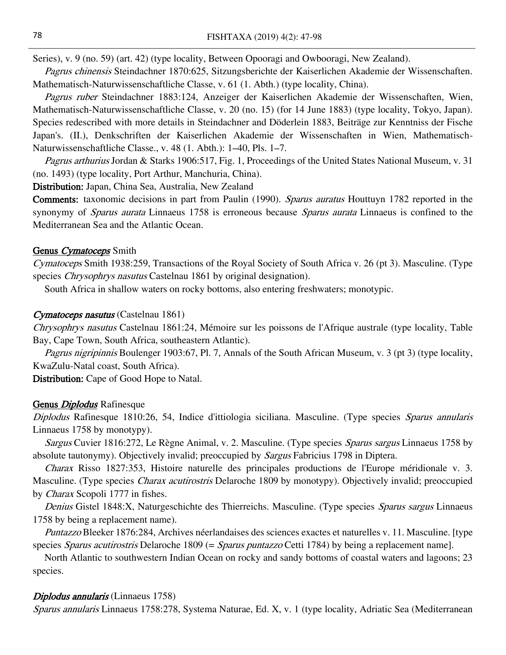Series), v. 9 (no. 59) (art. 42) (type locality, Between Opooragi and Owbooragi, New Zealand).

Pagrus chinensis Steindachner 1870:625, Sitzungsberichte der Kaiserlichen Akademie der Wissenschaften. Mathematisch-Naturwissenschaftliche Classe, v. 61 (1. Abth.) (type locality, China).

Pagrus ruber Steindachner 1883:124, Anzeiger der Kaiserlichen Akademie der Wissenschaften, Wien, Mathematisch-Naturwissenschaftliche Classe, v. 20 (no. 15) (for 14 June 1883) (type locality, Tokyo, Japan). Species redescribed with more details in Steindachner and Döderlein 1883, Beiträge zur Kenntniss der Fische Japan's. (II.), Denkschriften der Kaiserlichen Akademie der Wissenschaften in Wien, Mathematisch-Naturwissenschaftliche Classe., v. 48 (1. Abth.): 1–40, Pls. 1–7.

Pagrus arthurius Jordan & Starks 1906:517, Fig. 1, Proceedings of the United States National Museum, v. 31 (no. 1493) (type locality, Port Arthur, Manchuria, China).

Distribution: Japan, China Sea, Australia, New Zealand

Comments: taxonomic decisions in part from Paulin (1990). Sparus auratus Houttuyn 1782 reported in the synonymy of *Sparus aurata* Linnaeus 1758 is erroneous because *Sparus aurata* Linnaeus is confined to the Mediterranean Sea and the Atlantic Ocean.

#### Genus Cymatoceps Smith

Cymatoceps Smith 1938:259, Transactions of the Royal Society of South Africa v. 26 (pt 3). Masculine. (Type species *Chrysophrys nasutus* Castelnau 1861 by original designation).

South Africa in shallow waters on rocky bottoms, also entering freshwaters; monotypic.

#### Cymatoceps nasutus (Castelnau 1861)

Chrysophrys nasutus Castelnau 1861:24, Mémoire sur les poissons de l'Afrique australe (type locality, Table Bay, Cape Town, South Africa, southeastern Atlantic).

Pagrus nigripinnis Boulenger 1903:67, Pl. 7, Annals of the South African Museum, v. 3 (pt 3) (type locality, KwaZulu-Natal coast, South Africa).

Distribution: Cape of Good Hope to Natal.

#### Genus *Diplodus* Rafinesque

Diplodus Rafinesque 1810:26, 54, Indice d'ittiologia siciliana. Masculine. (Type species Sparus annularis Linnaeus 1758 by monotypy).

Sargus Cuvier 1816:272, Le Règne Animal, v. 2. Masculine. (Type species *Sparus sargus Linnaeus* 1758 by absolute tautonymy). Objectively invalid; preoccupied by *Sargus* Fabricius 1798 in Diptera.

Charax Risso 1827:353, Histoire naturelle des principales productions de l'Europe méridionale v. 3. Masculine. (Type species *Charax acutirostris* Delaroche 1809 by monotypy). Objectively invalid; preoccupied by Charax Scopoli 1777 in fishes.

Denius Gistel 1848:X, Naturgeschichte des Thierreichs. Masculine. (Type species Sparus sargus Linnaeus 1758 by being a replacement name).

Puntazzo Bleeker 1876:284, Archives néerlandaises des sciences exactes et naturelles v. 11. Masculine. [type species *Sparus acutirostris* Delaroche 1809 (= *Sparus puntazzo* Cetti 1784) by being a replacement name].

North Atlantic to southwestern Indian Ocean on rocky and sandy bottoms of coastal waters and lagoons; 23 species.

#### Diplodus annularis (Linnaeus 1758)

Sparus annularis Linnaeus 1758:278, Systema Naturae, Ed. X, v. 1 (type locality, Adriatic Sea (Mediterranean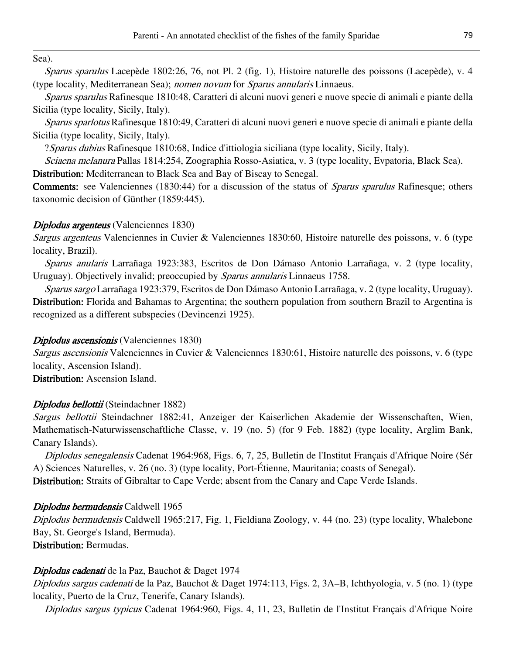Sea).

Sparus sparulus Lacepède 1802:26, 76, not Pl. 2 (fig. 1), Histoire naturelle des poissons (Lacepède), v. 4 (type locality, Mediterranean Sea); nomen novum for Sparus annularis Linnaeus.

Sparus sparulus Rafinesque 1810:48, Caratteri di alcuni nuovi generi e nuove specie di animali e piante della Sicilia (type locality, Sicily, Italy).

Sparus sparlotus Rafinesque 1810:49, Caratteri di alcuni nuovi generi e nuove specie di animali e piante della Sicilia (type locality, Sicily, Italy).

?Sparus dubius Rafinesque 1810:68, Indice d'ittiologia siciliana (type locality, Sicily, Italy).

Sciaena melanura Pallas 1814:254, Zoographia Rosso-Asiatica, v. 3 (type locality, Evpatoria, Black Sea).

Distribution: Mediterranean to Black Sea and Bay of Biscay to Senegal.

Comments: see Valenciennes (1830:44) for a discussion of the status of Sparus sparulus Rafinesque; others taxonomic decision of Günther (1859:445).

# Diplodus argenteus (Valenciennes 1830)

Sargus argenteus Valenciennes in Cuvier & Valenciennes 1830:60, Histoire naturelle des poissons, v. 6 (type locality, Brazil).

Sparus anularis Larrañaga 1923:383, Escritos de Don Dámaso Antonio Larrañaga, v. 2 (type locality, Uruguay). Objectively invalid; preoccupied by Sparus annularis Linnaeus 1758.

Sparus sargo Larrañaga 1923:379, Escritos de Don Dámaso Antonio Larrañaga, v. 2 (type locality, Uruguay). Distribution: Florida and Bahamas to Argentina; the southern population from southern Brazil to Argentina is recognized as a different subspecies (Devincenzi 1925).

# Diplodus ascensionis (Valenciennes 1830)

Sargus ascensionis Valenciennes in Cuvier & Valenciennes 1830:61, Histoire naturelle des poissons, v. 6 (type locality, Ascension Island).

Distribution: Ascension Island.

# Diplodus bellottii (Steindachner 1882)

Sargus bellottii Steindachner 1882:41, Anzeiger der Kaiserlichen Akademie der Wissenschaften, Wien, Mathematisch-Naturwissenschaftliche Classe, v. 19 (no. 5) (for 9 Feb. 1882) (type locality, Arglim Bank, Canary Islands).

Diplodus senegalensis Cadenat 1964:968, Figs. 6, 7, 25, Bulletin de l'Institut Français d'Afrique Noire (Sér A) Sciences Naturelles, v. 26 (no. 3) (type locality, Port-Étienne, Mauritania; coasts of Senegal). Distribution: Straits of Gibraltar to Cape Verde; absent from the Canary and Cape Verde Islands.

# Diplodus bermudensis Caldwell 1965

Diplodus bermudensis Caldwell 1965:217, Fig. 1, Fieldiana Zoology, v. 44 (no. 23) (type locality, Whalebone Bay, St. George's Island, Bermuda).

Distribution: Bermudas.

# Diplodus cadenati de la Paz, Bauchot & Daget 1974

Diplodus sargus cadenati de la Paz, Bauchot & Daget 1974:113, Figs. 2, 3A–B, Ichthyologia, v. 5 (no. 1) (type locality, Puerto de la Cruz, Tenerife, Canary Islands).

Diplodus sargus typicus Cadenat 1964:960, Figs. 4, 11, 23, Bulletin de l'Institut Français d'Afrique Noire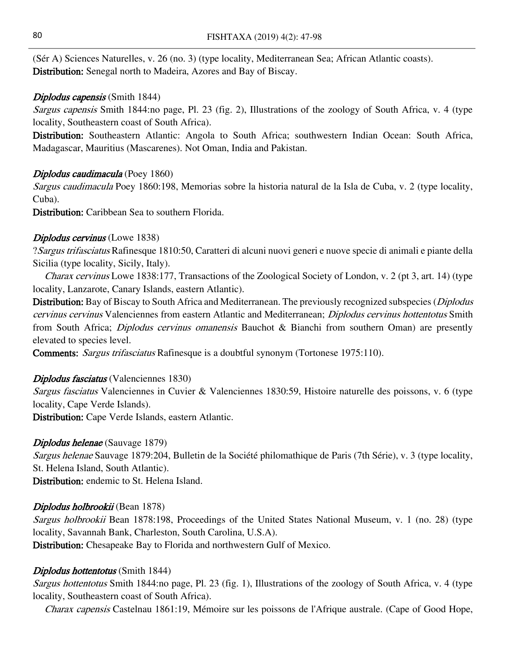(Sér A) Sciences Naturelles, v. 26 (no. 3) (type locality, Mediterranean Sea; African Atlantic coasts). Distribution: Senegal north to Madeira, Azores and Bay of Biscay.

#### Diplodus capensis (Smith 1844)

Sargus capensis Smith 1844:no page, Pl. 23 (fig. 2), Illustrations of the zoology of South Africa, v. 4 (type locality, Southeastern coast of South Africa).

Distribution: Southeastern Atlantic: Angola to South Africa; southwestern Indian Ocean: South Africa, Madagascar, Mauritius (Mascarenes). Not Oman, India and Pakistan.

#### Diplodus caudimacula (Poey 1860)

Sargus caudimacula Poey 1860:198, Memorias sobre la historia natural de la Isla de Cuba, v. 2 (type locality, Cuba).

Distribution: Caribbean Sea to southern Florida.

#### Diplodus cervinus (Lowe 1838)

?Sargus trifasciatus Rafinesque 1810:50, Caratteri di alcuni nuovi generi e nuove specie di animali e piante della Sicilia (type locality, Sicily, Italy).

Charax cervinus Lowe 1838:177, Transactions of the Zoological Society of London, v. 2 (pt 3, art. 14) (type locality, Lanzarote, Canary Islands, eastern Atlantic).

Distribution: Bay of Biscay to South Africa and Mediterranean. The previously recognized subspecies (*Diplodus* cervinus cervinus Valenciennes from eastern Atlantic and Mediterranean; Diplodus cervinus hottentotus Smith from South Africa; *Diplodus cervinus omanensis* Bauchot & Bianchi from southern Oman) are presently elevated to species level.

Comments: Sargus trifasciatus Rafinesque is a doubtful synonym (Tortonese 1975:110).

#### Diplodus fasciatus (Valenciennes 1830)

Sargus fasciatus Valenciennes in Cuvier & Valenciennes 1830:59, Histoire naturelle des poissons, v. 6 (type locality, Cape Verde Islands).

Distribution: Cape Verde Islands, eastern Atlantic.

#### Diplodus helenae (Sauvage 1879)

Sargus helenae Sauvage 1879:204, Bulletin de la Société philomathique de Paris (7th Série), v. 3 (type locality, St. Helena Island, South Atlantic).

Distribution: endemic to St. Helena Island.

#### Diplodus holbrookii (Bean 1878)

Sargus holbrookii Bean 1878:198, Proceedings of the United States National Museum, v. 1 (no. 28) (type locality, Savannah Bank, Charleston, South Carolina, U.S.A).

Distribution: Chesapeake Bay to Florida and northwestern Gulf of Mexico.

#### Diplodus hottentotus (Smith 1844)

Sargus hottentotus Smith 1844:no page, Pl. 23 (fig. 1), Illustrations of the zoology of South Africa, v. 4 (type locality, Southeastern coast of South Africa).

Charax capensis Castelnau 1861:19, Mémoire sur les poissons de l'Afrique australe. (Cape of Good Hope,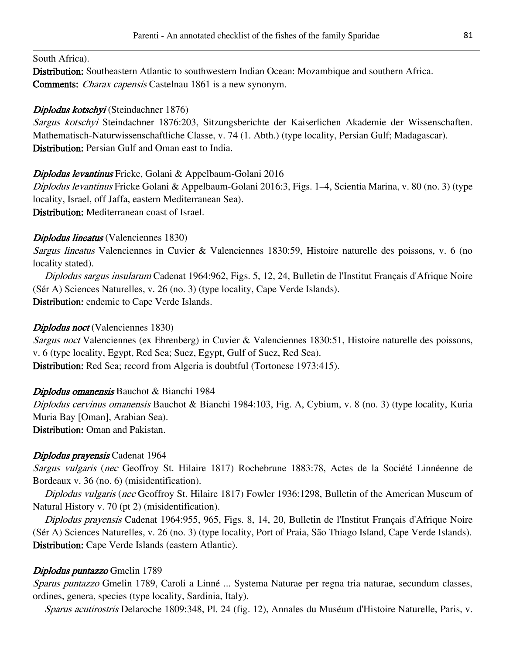#### South Africa).

Distribution: Southeastern Atlantic to southwestern Indian Ocean: Mozambique and southern Africa. Comments: Charax capensis Castelnau 1861 is a new synonym.

### Diplodus kotschyi (Steindachner 1876)

Sargus kotschyi Steindachner 1876:203, Sitzungsberichte der Kaiserlichen Akademie der Wissenschaften. Mathematisch-Naturwissenschaftliche Classe, v. 74 (1. Abth.) (type locality, Persian Gulf; Madagascar). Distribution: Persian Gulf and Oman east to India.

### Diplodus levantinus Fricke, Golani & Appelbaum-Golani 2016

Diplodus levantinus Fricke Golani & Appelbaum-Golani 2016:3, Figs. 1–4, Scientia Marina, v. 80 (no. 3) (type locality, Israel, off Jaffa, eastern Mediterranean Sea). Distribution: Mediterranean coast of Israel.

### Diplodus lineatus (Valenciennes 1830)

Sargus lineatus Valenciennes in Cuvier & Valenciennes 1830:59, Histoire naturelle des poissons, v. 6 (no locality stated).

Diplodus sargus insularum Cadenat 1964:962, Figs. 5, 12, 24, Bulletin de l'Institut Français d'Afrique Noire (Sér A) Sciences Naturelles, v. 26 (no. 3) (type locality, Cape Verde Islands). Distribution: endemic to Cape Verde Islands.

### Diplodus noct (Valenciennes 1830)

Sargus noct Valenciennes (ex Ehrenberg) in Cuvier & Valenciennes 1830:51, Histoire naturelle des poissons, v. 6 (type locality, Egypt, Red Sea; Suez, Egypt, Gulf of Suez, Red Sea). Distribution: Red Sea; record from Algeria is doubtful (Tortonese 1973:415).

#### Diplodus omanensis Bauchot & Bianchi 1984

Diplodus cervinus omanensis Bauchot & Bianchi 1984:103, Fig. A, Cybium, v. 8 (no. 3) (type locality, Kuria Muria Bay [Oman], Arabian Sea).

Distribution: Oman and Pakistan.

# Diplodus prayensis Cadenat 1964

Sargus vulgaris (nec Geoffroy St. Hilaire 1817) Rochebrune 1883:78, Actes de la Société Linnéenne de Bordeaux v. 36 (no. 6) (misidentification).

Diplodus vulgaris (nec Geoffroy St. Hilaire 1817) Fowler 1936:1298, Bulletin of the American Museum of Natural History v. 70 (pt 2) (misidentification).

Diplodus prayensis Cadenat 1964:955, 965, Figs. 8, 14, 20, Bulletin de l'Institut Français d'Afrique Noire (Sér A) Sciences Naturelles, v. 26 (no. 3) (type locality, Port of Praia, São Thiago Island, Cape Verde Islands). Distribution: Cape Verde Islands (eastern Atlantic).

# Diplodus puntazzo Gmelin 1789

Sparus puntazzo Gmelin 1789, Caroli a Linné ... Systema Naturae per regna tria naturae, secundum classes, ordines, genera, species (type locality, Sardinia, Italy).

Sparus acutirostris Delaroche 1809:348, Pl. 24 (fig. 12), Annales du Muséum d'Histoire Naturelle, Paris, v.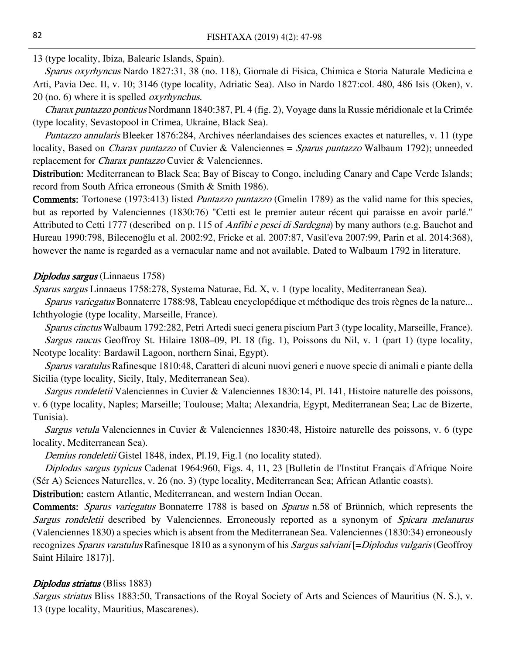13 (type locality, Ibiza, Balearic Islands, Spain).

Sparus oxyrhyncus Nardo 1827:31, 38 (no. 118), Giornale di Fisica, Chimica e Storia Naturale Medicina e Arti, Pavia Dec. II, v. 10; 3146 (type locality, Adriatic Sea). Also in Nardo 1827:col. 480, 486 Isis (Oken), v. 20 (no. 6) where it is spelled oxyrhynchus.

Charax puntazzo ponticus Nordmann 1840:387, Pl. 4 (fig. 2), Voyage dans la Russie méridionale et la Crimée (type locality, Sevastopool in Crimea, Ukraine, Black Sea).

Puntazzo annularis Bleeker 1876:284, Archives néerlandaises des sciences exactes et naturelles, v. 11 (type locality, Based on *Charax puntazzo* of Cuvier & Valenciennes = *Sparus puntazzo* Walbaum 1792); unneeded replacement for *Charax puntazzo* Cuvier & Valenciennes.

Distribution: Mediterranean to Black Sea; Bay of Biscay to Congo, including Canary and Cape Verde Islands; record from South Africa erroneous (Smith & Smith 1986).

Comments: Tortonese (1973:413) listed *Puntazzo puntazzo* (Gmelin 1789) as the valid name for this species, but as reported by Valenciennes (1830:76) "Cetti est le premier auteur récent qui paraisse en avoir parlé." Attributed to Cetti 1777 (described on p. 115 of *Anfibi e pesci di Sardegna*) by many authors (e.g. Bauchot and Hureau 1990:798, Bilecenoğlu et al. 2002:92, Fricke et al. 2007:87, Vasil'eva 2007:99, Parin et al. 2014:368), however the name is regarded as a vernacular name and not available. Dated to Walbaum 1792 in literature.

#### Diplodus sargus (Linnaeus 1758)

Sparus sargus Linnaeus 1758:278, Systema Naturae, Ed. X, v. 1 (type locality, Mediterranean Sea).

Sparus variegatus Bonnaterre 1788:98, Tableau encyclopédique et méthodique des trois règnes de la nature... Ichthyologie (type locality, Marseille, France).

Sparus cinctus Walbaum 1792:282, Petri Artedi sueci genera piscium Part 3 (type locality, Marseille, France). Sargus raucus Geoffroy St. Hilaire 1808–09, Pl. 18 (fig. 1), Poissons du Nil, v. 1 (part 1) (type locality, Neotype locality: Bardawil Lagoon, northern Sinai, Egypt).

Sparus varatulus Rafinesque 1810:48, Caratteri di alcuni nuovi generi e nuove specie di animali e piante della Sicilia (type locality, Sicily, Italy, Mediterranean Sea).

Sargus rondeletii Valenciennes in Cuvier & Valenciennes 1830:14, Pl. 141, Histoire naturelle des poissons, v. 6 (type locality, Naples; Marseille; Toulouse; Malta; Alexandria, Egypt, Mediterranean Sea; Lac de Bizerte, Tunisia).

Sargus vetula Valenciennes in Cuvier & Valenciennes 1830:48, Histoire naturelle des poissons, v. 6 (type locality, Mediterranean Sea).

Demius rondeletii Gistel 1848, index, Pl.19, Fig.1 (no locality stated).

Diplodus sargus typicus Cadenat 1964:960, Figs. 4, 11, 23 [Bulletin de l'Institut Français d'Afrique Noire (Sér A) Sciences Naturelles, v. 26 (no. 3) (type locality, Mediterranean Sea; African Atlantic coasts).

Distribution: eastern Atlantic, Mediterranean, and western Indian Ocean.

Comments: Sparus variegatus Bonnaterre 1788 is based on Sparus n.58 of Brünnich, which represents the Sargus rondeletii described by Valenciennes. Erroneously reported as a synonym of Spicara melanurus (Valenciennes 1830) a species which is absent from the Mediterranean Sea. Valenciennes (1830:34) erroneously recognizes Sparus varatulus Rafinesque 1810 as a synonym of his Sargus salviani [=Diplodus vulgaris (Geoffroy Saint Hilaire 1817)].

#### Diplodus striatus (Bliss 1883)

Sargus striatus Bliss 1883:50, Transactions of the Royal Society of Arts and Sciences of Mauritius (N. S.), v. 13 (type locality, Mauritius, Mascarenes).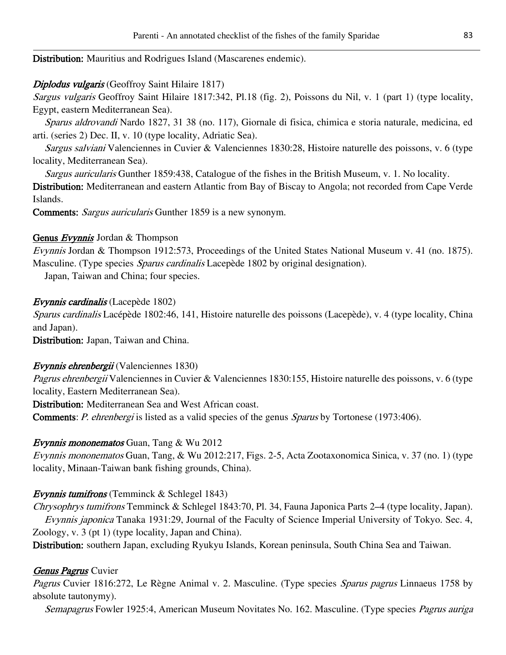Distribution: Mauritius and Rodrigues Island (Mascarenes endemic).

# Diplodus vulgaris (Geoffroy Saint Hilaire 1817)

Sargus vulgaris Geoffroy Saint Hilaire 1817:342, Pl.18 (fig. 2), Poissons du Nil, v. 1 (part 1) (type locality, Egypt, eastern Mediterranean Sea).

Sparus aldrovandi Nardo 1827, 31 38 (no. 117), Giornale di fisica, chimica e storia naturale, medicina, ed arti. (series 2) Dec. II, v. 10 (type locality, Adriatic Sea).

Sargus salviani Valenciennes in Cuvier & Valenciennes 1830:28, Histoire naturelle des poissons, v. 6 (type locality, Mediterranean Sea).

Sargus auricularis Gunther 1859:438, Catalogue of the fishes in the British Museum, v. 1. No locality. Distribution: Mediterranean and eastern Atlantic from Bay of Biscay to Angola; not recorded from Cape Verde

Islands.

Comments: Sargus auricularis Gunther 1859 is a new synonym.

# Genus Evynnis Jordan & Thompson

Evynnis Jordan & Thompson 1912:573, Proceedings of the United States National Museum v. 41 (no. 1875). Masculine. (Type species *Sparus cardinalis* Lacepède 1802 by original designation).

Japan, Taiwan and China; four species.

# Evynnis cardinalis (Lacepède 1802)

Sparus cardinalis Lacépède 1802:46, 141, Histoire naturelle des poissons (Lacepède), v. 4 (type locality, China and Japan).

Distribution: Japan, Taiwan and China.

# Evynnis ehrenbergii (Valenciennes 1830)

Pagrus ehrenbergii Valenciennes in Cuvier & Valenciennes 1830:155, Histoire naturelle des poissons, v. 6 (type locality, Eastern Mediterranean Sea).

Distribution: Mediterranean Sea and West African coast.

Comments: *P. ehrenbergi* is listed as a valid species of the genus *Sparus* by Tortonese (1973:406).

# Evynnis mononematos Guan, Tang & Wu 2012

Evynnis mononematos Guan, Tang, & Wu 2012:217, Figs. 2-5, Acta Zootaxonomica Sinica, v. 37 (no. 1) (type locality, Minaan-Taiwan bank fishing grounds, China).

# Evynnis tumifrons (Temminck & Schlegel 1843)

Chrysophrys tumifrons Temminck & Schlegel 1843:70, Pl. 34, Fauna Japonica Parts 2–4 (type locality, Japan). Evynnis japonica Tanaka 1931:29, Journal of the Faculty of Science Imperial University of Tokyo. Sec. 4, Zoology, v. 3 (pt 1) (type locality, Japan and China).

Distribution: southern Japan, excluding Ryukyu Islands, Korean peninsula, South China Sea and Taiwan.

# Genus Pagrus Cuvier

Pagrus Cuvier 1816:272, Le Règne Animal v. 2. Masculine. (Type species Sparus pagrus Linnaeus 1758 by absolute tautonymy).

Semapagrus Fowler 1925:4, American Museum Novitates No. 162. Masculine. (Type species Pagrus auriga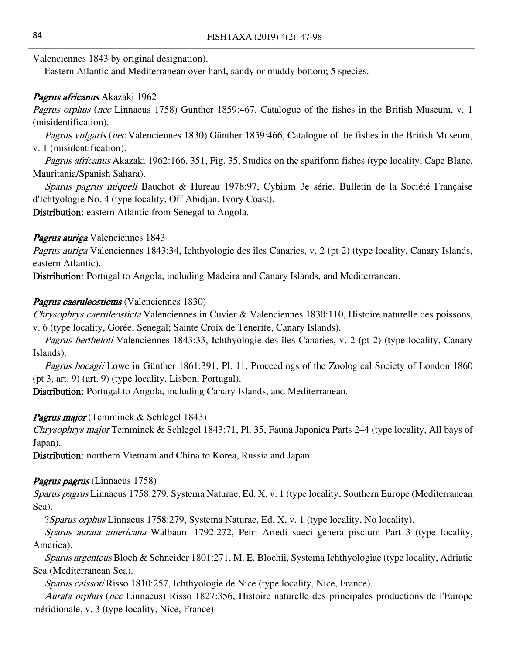Valenciennes 1843 by original designation).

Eastern Atlantic and Mediterranean over hard, sandy or muddy bottom; 5 species.

# Pagrus africanus Akazaki 1962

Pagrus orphus (nec Linnaeus 1758) Günther 1859:467, Catalogue of the fishes in the British Museum, v. 1 (misidentification).

Pagrus vulgaris (nec Valenciennes 1830) Günther 1859:466, Catalogue of the fishes in the British Museum, v. 1 (misidentification).

Pagrus africanus Akazaki 1962:166, 351, Fig. 35, Studies on the spariform fishes (type locality, Cape Blanc, Mauritania/Spanish Sahara).

Sparus pagrus miqueli Bauchot & Hureau 1978:97, Cybium 3e série. Bulletin de la Société Française d'Ichtyologie No. 4 (type locality, Off Abidjan, Ivory Coast).

Distribution: eastern Atlantic from Senegal to Angola.

# Pagrus auriga Valenciennes 1843

Pagrus auriga Valenciennes 1843:34, Ichthyologie des îles Canaries, v. 2 (pt 2) (type locality, Canary Islands, eastern Atlantic).

Distribution: Portugal to Angola, including Madeira and Canary Islands, and Mediterranean.

# Pagrus caeruleostictus (Valenciennes 1830)

Chrysophrys caeruleosticta Valenciennes in Cuvier & Valenciennes 1830:110, Histoire naturelle des poissons, v. 6 (type locality, Gorée, Senegal; Sainte Croix de Tenerife, Canary Islands).

Pagrus bertheloti Valenciennes 1843:33, Ichthyologie des îles Canaries, v. 2 (pt 2) (type locality, Canary Islands).

Pagrus bocagii Lowe in Günther 1861:391, Pl. 11, Proceedings of the Zoological Society of London 1860 (pt 3, art. 9) (art. 9) (type locality, Lisbon, Portugal).

Distribution: Portugal to Angola, including Canary Islands, and Mediterranean.

# **Pagrus major** (Temminck & Schlegel 1843)

Chrysophrys major Temminck & Schlegel 1843:71, Pl. 35, Fauna Japonica Parts 2–4 (type locality, All bays of Japan).

Distribution: northern Vietnam and China to Korea, Russia and Japan.

# Pagrus pagrus (Linnaeus 1758)

Sparus pagrus Linnaeus 1758:279, Systema Naturae, Ed. X, v. 1 (type locality, Southern Europe (Mediterranean Sea).

?Sparus orphus Linnaeus 1758:279, Systema Naturae, Ed. X, v. 1 (type locality, No locality).

Sparus aurata americana Walbaum 1792:272, Petri Artedi sueci genera piscium Part 3 (type locality, America).

Sparus argenteus Bloch & Schneider 1801:271, M. E. Blochii, Systema Ichthyologiae (type locality, Adriatic Sea (Mediterranean Sea).

Sparus caissoti Risso 1810:257, Ichthyologie de Nice (type locality, Nice, France).

Aurata orphus (nec Linnaeus) Risso 1827:356, Histoire naturelle des principales productions de l'Europe méridionale, v. 3 (type locality, Nice, France).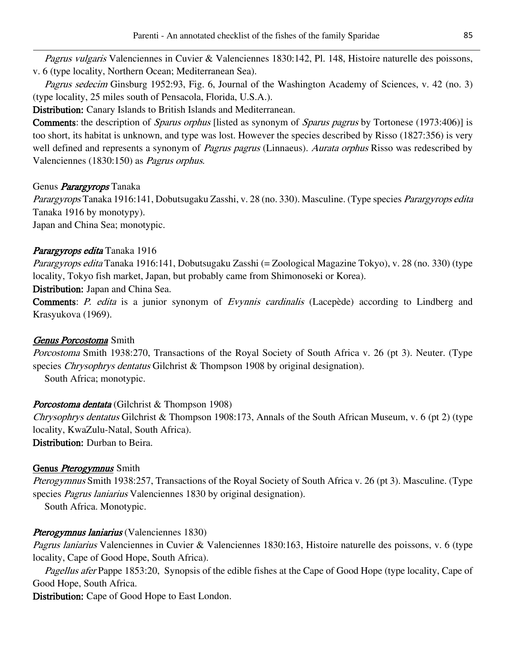Pagrus vulgaris Valenciennes in Cuvier & Valenciennes 1830:142, Pl. 148, Histoire naturelle des poissons, v. 6 (type locality, Northern Ocean; Mediterranean Sea).

Pagrus sedecim Ginsburg 1952:93, Fig. 6, Journal of the Washington Academy of Sciences, v. 42 (no. 3) (type locality, 25 miles south of Pensacola, Florida, U.S.A.).

Distribution: Canary Islands to British Islands and Mediterranean.

Comments: the description of *Sparus orphus* [listed as synonym of *Sparus pagrus* by Tortonese (1973:406)] is too short, its habitat is unknown, and type was lost. However the species described by Risso (1827:356) is very well defined and represents a synonym of *Pagrus pagrus* (Linnaeus). Aurata orphus Risso was redescribed by Valenciennes (1830:150) as Pagrus orphus.

# Genus *Parargyrops* Tanaka

Parargyrops Tanaka 1916:141, Dobutsugaku Zasshi, v. 28 (no. 330). Masculine. (Type species Parargyrops edita Tanaka 1916 by monotypy).

Japan and China Sea; monotypic.

# Parargyrops edita Tanaka 1916

Parargyrops edita Tanaka 1916:141, Dobutsugaku Zasshi (= Zoological Magazine Tokyo), v. 28 (no. 330) (type locality, Tokyo fish market, Japan, but probably came from Shimonoseki or Korea).

Distribution: Japan and China Sea.

Comments: P. edita is a junior synonym of Evynnis cardinalis (Lacepède) according to Lindberg and Krasyukova (1969).

# Genus Porcostoma Smith

Porcostoma Smith 1938:270, Transactions of the Royal Society of South Africa v. 26 (pt 3). Neuter. (Type species *Chrysophrys dentatus* Gilchrist & Thompson 1908 by original designation).

South Africa; monotypic.

# Porcostoma dentata (Gilchrist & Thompson 1908)

Chrysophrys dentatus Gilchrist & Thompson 1908:173, Annals of the South African Museum, v. 6 (pt 2) (type locality, KwaZulu-Natal, South Africa).

Distribution: Durban to Beira.

# Genus *Pterogymnus* Smith

Pterogymnus Smith 1938:257, Transactions of the Royal Society of South Africa v. 26 (pt 3). Masculine. (Type species *Pagrus laniarius* Valenciennes 1830 by original designation).

South Africa. Monotypic.

# Pterogymnus laniarius (Valenciennes 1830)

Pagrus laniarius Valenciennes in Cuvier & Valenciennes 1830:163, Histoire naturelle des poissons, v. 6 (type locality, Cape of Good Hope, South Africa).

Pagellus afer Pappe 1853:20, Synopsis of the edible fishes at the Cape of Good Hope (type locality, Cape of Good Hope, South Africa.

Distribution: Cape of Good Hope to East London.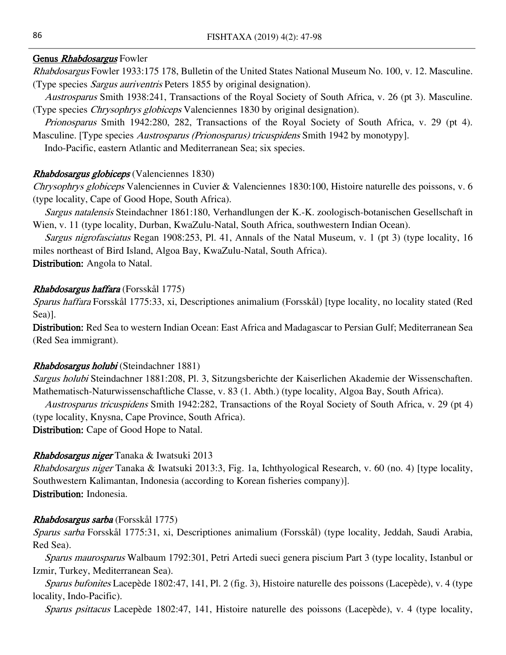# Genus Rhabdosargus Fowler

Rhabdosargus Fowler 1933:175 178, Bulletin of the United States National Museum No. 100, v. 12. Masculine. (Type species Sargus auriventris Peters 1855 by original designation).

Austrosparus Smith 1938:241, Transactions of the Royal Society of South Africa, v. 26 (pt 3). Masculine. (Type species Chrysophrys globiceps Valenciennes 1830 by original designation).

Prionosparus Smith 1942:280, 282, Transactions of the Royal Society of South Africa, v. 29 (pt 4). Masculine. [Type species *Austrosparus (Prionosparus) tricuspidens* Smith 1942 by monotypy].

Indo-Pacific, eastern Atlantic and Mediterranean Sea; six species.

# Rhabdosargus globiceps (Valenciennes 1830)

Chrysophrys globiceps Valenciennes in Cuvier & Valenciennes 1830:100, Histoire naturelle des poissons, v. 6 (type locality, Cape of Good Hope, South Africa).

Sargus natalensis Steindachner 1861:180, Verhandlungen der K.-K. zoologisch-botanischen Gesellschaft in Wien, v. 11 (type locality, Durban, KwaZulu-Natal, South Africa, southwestern Indian Ocean).

Sargus nigrofasciatus Regan 1908:253, Pl. 41, Annals of the Natal Museum, v. 1 (pt 3) (type locality, 16 miles northeast of Bird Island, Algoa Bay, KwaZulu-Natal, South Africa).

Distribution: Angola to Natal.

# Rhabdosargus haffara (Forsskål 1775)

Sparus haffara Forsskål 1775:33, xi, Descriptiones animalium (Forsskål) [type locality, no locality stated (Red Sea)].

Distribution: Red Sea to western Indian Ocean: East Africa and Madagascar to Persian Gulf; Mediterranean Sea (Red Sea immigrant).

# Rhabdosargus holubi (Steindachner 1881)

Sargus holubi Steindachner 1881:208, Pl. 3, Sitzungsberichte der Kaiserlichen Akademie der Wissenschaften. Mathematisch-Naturwissenschaftliche Classe, v. 83 (1. Abth.) (type locality, Algoa Bay, South Africa).

Austrosparus tricuspidens Smith 1942:282, Transactions of the Royal Society of South Africa, v. 29 (pt 4) (type locality, Knysna, Cape Province, South Africa).

Distribution: Cape of Good Hope to Natal.

# Rhabdosargus niger Tanaka & Iwatsuki 2013

Rhabdosargus niger Tanaka & Iwatsuki 2013:3, Fig. 1a, Ichthyological Research, v. 60 (no. 4) [type locality, Southwestern Kalimantan, Indonesia (according to Korean fisheries company)]. Distribution: Indonesia.

# Rhabdosargus sarba (Forsskål 1775)

Sparus sarba Forsskål 1775:31, xi, Descriptiones animalium (Forsskål) (type locality, Jeddah, Saudi Arabia, Red Sea).

Sparus maurosparus Walbaum 1792:301, Petri Artedi sueci genera piscium Part 3 (type locality, Istanbul or Izmir, Turkey, Mediterranean Sea).

Sparus bufonites Lacepède 1802:47, 141, Pl. 2 (fig. 3), Histoire naturelle des poissons (Lacepède), v. 4 (type locality, Indo-Pacific).

Sparus psittacus Lacepède 1802:47, 141, Histoire naturelle des poissons (Lacepède), v. 4 (type locality,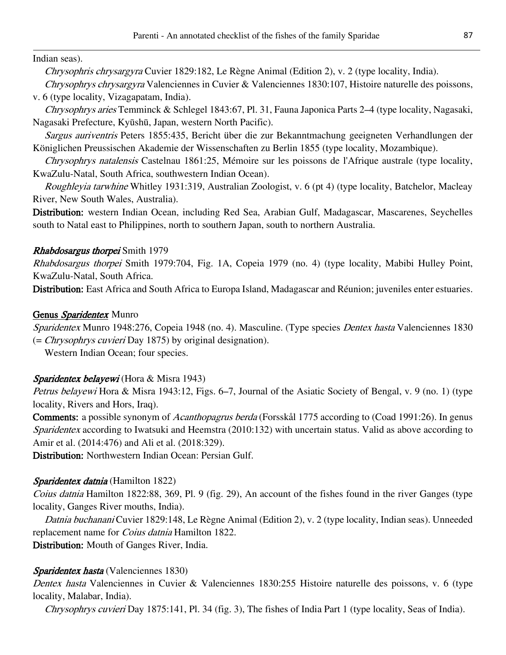Indian seas).

Chrysophris chrysargyra Cuvier 1829:182, Le Règne Animal (Edition 2), v. 2 (type locality, India).

Chrysophrys chrysargyra Valenciennes in Cuvier & Valenciennes 1830:107, Histoire naturelle des poissons, v. 6 (type locality, Vizagapatam, India).

Chrysophrys aries Temminck & Schlegel 1843:67, Pl. 31, Fauna Japonica Parts 2–4 (type locality, Nagasaki, Nagasaki Prefecture, Kyūshū, Japan, western North Pacific).

Sargus auriventris Peters 1855:435, Bericht über die zur Bekanntmachung geeigneten Verhandlungen der Königlichen Preussischen Akademie der Wissenschaften zu Berlin 1855 (type locality, Mozambique).

Chrysophrys natalensis Castelnau 1861:25, Mémoire sur les poissons de l'Afrique australe (type locality, KwaZulu-Natal, South Africa, southwestern Indian Ocean).

Roughleyia tarwhine Whitley 1931:319, Australian Zoologist, v. 6 (pt 4) (type locality, Batchelor, Macleay River, New South Wales, Australia).

Distribution: western Indian Ocean, including Red Sea, Arabian Gulf, Madagascar, Mascarenes, Seychelles south to Natal east to Philippines, north to southern Japan, south to northern Australia.

# Rhabdosargus thorpei Smith 1979

Rhabdosargus thorpei Smith 1979:704, Fig. 1A, Copeia 1979 (no. 4) (type locality, Mabibi Hulley Point, KwaZulu-Natal, South Africa.

Distribution: East Africa and South Africa to Europa Island, Madagascar and Réunion; juveniles enter estuaries.

# Genus Sparidentex Munro

Sparidentex Munro 1948:276, Copeia 1948 (no. 4). Masculine. (Type species Dentex hasta Valenciennes 1830 (= Chrysophrys cuvieri Day 1875) by original designation).

Western Indian Ocean; four species.

# Sparidentex belayewi (Hora & Misra 1943)

Petrus belayewi Hora & Misra 1943:12, Figs. 6–7, Journal of the Asiatic Society of Bengal, v. 9 (no. 1) (type locality, Rivers and Hors, Iraq).

Comments: a possible synonym of *Acanthopagrus berda* (Forsskål 1775 according to (Coad 1991:26). In genus Sparidentex according to Iwatsuki and Heemstra (2010:132) with uncertain status. Valid as above according to Amir et al. (2014:476) and Ali et al. (2018:329).

Distribution: Northwestern Indian Ocean: Persian Gulf.

# Sparidentex datnia (Hamilton 1822)

Coius datnia Hamilton 1822:88, 369, Pl. 9 (fig. 29), An account of the fishes found in the river Ganges (type locality, Ganges River mouths, India).

Datnia buchanani Cuvier 1829:148, Le Règne Animal (Edition 2), v. 2 (type locality, Indian seas). Unneeded replacement name for Coius datnia Hamilton 1822.

Distribution: Mouth of Ganges River, India.

# Sparidentex hasta (Valenciennes 1830)

Dentex hasta Valenciennes in Cuvier & Valenciennes 1830:255 Histoire naturelle des poissons, v. 6 (type locality, Malabar, India).

Chrysophrys cuvieri Day 1875:141, Pl. 34 (fig. 3), The fishes of India Part 1 (type locality, Seas of India).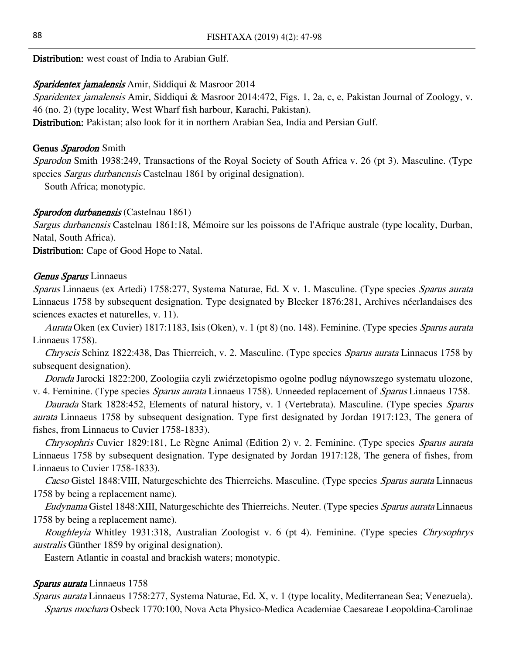Distribution: west coast of India to Arabian Gulf.

### Sparidentex jamalensis Amir, Siddiqui & Masroor 2014

Sparidentex jamalensis Amir, Siddiqui & Masroor 2014:472, Figs. 1, 2a, c, e, Pakistan Journal of Zoology, v. 46 (no. 2) (type locality, West Wharf fish harbour, Karachi, Pakistan).

Distribution: Pakistan; also look for it in northern Arabian Sea, India and Persian Gulf.

# Genus Sparodon Smith

Sparodon Smith 1938:249, Transactions of the Royal Society of South Africa v. 26 (pt 3). Masculine. (Type species Sargus durbanensis Castelnau 1861 by original designation).

South Africa; monotypic.

### Sparodon durbanensis (Castelnau 1861)

Sargus durbanensis Castelnau 1861:18, Mémoire sur les poissons de l'Afrique australe (type locality, Durban, Natal, South Africa).

Distribution: Cape of Good Hope to Natal.

### Genus Sparus Linnaeus

Sparus Linnaeus (ex Artedi) 1758:277, Systema Naturae, Ed. X v. 1. Masculine. (Type species Sparus aurata Linnaeus 1758 by subsequent designation. Type designated by Bleeker 1876:281, Archives néerlandaises des sciences exactes et naturelles, v. 11).

Aurata Oken (ex Cuvier) 1817:1183, Isis (Oken), v. 1 (pt 8) (no. 148). Feminine. (Type species Sparus aurata Linnaeus 1758).

Chryseis Schinz 1822:438, Das Thierreich, v. 2. Masculine. (Type species *Sparus aurata* Linnaeus 1758 by subsequent designation).

Dorada Jarocki 1822:200, Zoologiia czyli zwiérzetopismo ogolne podlug náynowszego systematu ulozone, v. 4. Feminine. (Type species Sparus aurata Linnaeus 1758). Unneeded replacement of Sparus Linnaeus 1758.

Daurada Stark 1828:452, Elements of natural history, v. 1 (Vertebrata). Masculine. (Type species Sparus aurata Linnaeus 1758 by subsequent designation. Type first designated by Jordan 1917:123, The genera of fishes, from Linnaeus to Cuvier 1758-1833).

Chrysophris Cuvier 1829:181, Le Règne Animal (Edition 2) v. 2. Feminine. (Type species Sparus aurata Linnaeus 1758 by subsequent designation. Type designated by Jordan 1917:128, The genera of fishes, from Linnaeus to Cuvier 1758-1833).

Caeso Gistel 1848: VIII, Naturgeschichte des Thierreichs. Masculine. (Type species Sparus aurata Linnaeus 1758 by being a replacement name).

Eudynama Gistel 1848:XIII, Naturgeschichte des Thierreichs. Neuter. (Type species Sparus aurata Linnaeus 1758 by being a replacement name).

Roughleyia Whitley 1931:318, Australian Zoologist v. 6 (pt 4). Feminine. (Type species Chrysophrys australis Günther 1859 by original designation).

Eastern Atlantic in coastal and brackish waters; monotypic.

# Sparus aurata Linnaeus 1758

Sparus aurata Linnaeus 1758:277, Systema Naturae, Ed. X, v. 1 (type locality, Mediterranean Sea; Venezuela). Sparus mochara Osbeck 1770:100, Nova Acta Physico-Medica Academiae Caesareae Leopoldina-Carolinae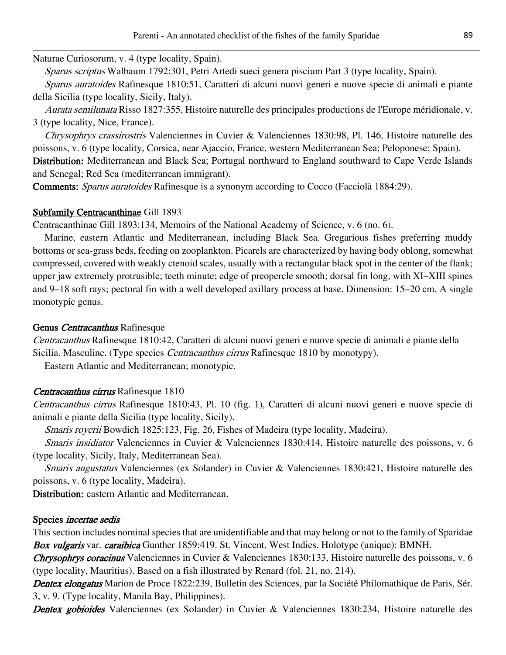Naturae Curiosorum, v. 4 (type locality, Spain).

Sparus scriptus Walbaum 1792:301, Petri Artedi sueci genera piscium Part 3 (type locality, Spain).

Sparus auratoides Rafinesque 1810:51, Caratteri di alcuni nuovi generi e nuove specie di animali e piante della Sicilia (type locality, Sicily, Italy).

Aurata semilunata Risso 1827:355, Histoire naturelle des principales productions de l'Europe méridionale, v. 3 (type locality, Nice, France).

Chrysophrys crassirostris Valenciennes in Cuvier & Valenciennes 1830:98, Pl. 146, Histoire naturelle des poissons, v. 6 (type locality, Corsica, near Ajaccio, France, western Mediterranean Sea; Peloponese; Spain). Distribution: Mediterranean and Black Sea; Portugal northward to England southward to Cape Verde Islands and Senegal; Red Sea (mediterranean immigrant).

Comments: Sparus auratoides Rafinesque is a synonym according to Cocco (Facciolà 1884:29).

#### Subfamily Centracanthinae Gill 1893

Centracanthinae Gill 1893:134, Memoirs of the National Academy of Science, v. 6 (no. 6).

Marine, eastern Atlantic and Mediterranean, including Black Sea. Gregarious fishes preferring muddy bottoms or sea-grass beds, feeding on zooplankton. Picarels are characterized by having body oblong, somewhat compressed, covered with weakly ctenoid scales, usually with a rectangular black spot in the center of the flank; upper jaw extremely protrusible; teeth minute; edge of preopercle smooth; dorsal fin long, with XI–XIII spines and 9–18 soft rays; pectoral fin with a well developed axillary process at base. Dimension: 15–20 cm. A single monotypic genus.

#### Genus Centracanthus Rafinesque

Centracanthus Rafinesque 1810:42, Caratteri di alcuni nuovi generi e nuove specie di animali e piante della Sicilia. Masculine. (Type species *Centracanthus cirrus* Rafinesque 1810 by monotypy).

Eastern Atlantic and Mediterranean; monotypic.

#### Centracanthus cirrus Rafinesque 1810

Centracanthus cirrus Rafinesque 1810:43, Pl. 10 (fig. 1), Caratteri di alcuni nuovi generi e nuove specie di animali e piante della Sicilia (type locality, Sicily).

Smaris royerii Bowdich 1825:123, Fig. 26, Fishes of Madeira (type locality, Madeira).

Smaris insidiator Valenciennes in Cuvier & Valenciennes 1830:414, Histoire naturelle des poissons, v. 6 (type locality, Sicily, Italy, Mediterranean Sea).

Smaris angustatus Valenciennes (ex Solander) in Cuvier & Valenciennes 1830:421, Histoire naturelle des poissons, v. 6 (type locality, Madeira).

Distribution: eastern Atlantic and Mediterranean.

#### Species incertae sedis

This section includes nominal species that are unidentifiable and that may belong or not to the family of Sparidae Box vulgaris var. caraibica Gunther 1859:419. St. Vincent, West Indies. Holotype (unique): BMNH.

Chrysophrys coracinus Valenciennes in Cuvier & Valenciennes 1830:133, Histoire naturelle des poissons, v. 6 (type locality, Mauritius). Based on a fish illustrated by Renard (fol. 21, no. 214).

Dentex elongatus Marion de Proce 1822:239, Bulletin des Sciences, par la Société Philomathique de Paris, Sér. 3, v. 9. (Type locality, Manila Bay, Philippines).

Dentex gobioides Valenciennes (ex Solander) in Cuvier & Valenciennes 1830:234, Histoire naturelle des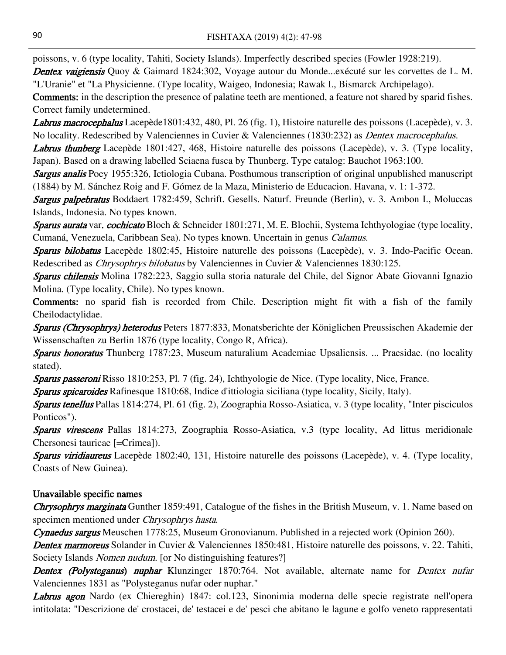poissons, v. 6 (type locality, Tahiti, Society Islands). Imperfectly described species (Fowler 1928:219).

Dentex vaigiensis Quoy & Gaimard 1824:302, Voyage autour du Monde...exécuté sur les corvettes de L. M. "L'Uranie" et "La Physicienne. (Type locality, Waigeo, Indonesia; Rawak I., Bismarck Archipelago).

Comments: in the description the presence of palatine teeth are mentioned, a feature not shared by sparid fishes. Correct family undetermined.

Labrus macrocephalus Lacepède1801:432, 480, Pl. 26 (fig. 1), Histoire naturelle des poissons (Lacepède), v. 3. No locality. Redescribed by Valenciennes in Cuvier & Valenciennes (1830:232) as *Dentex macrocephalus*.

Labrus thunberg Lacepède 1801:427, 468, Histoire naturelle des poissons (Lacepède), v. 3. (Type locality, Japan). Based on a drawing labelled Sciaena fusca by Thunberg. Type catalog: Bauchot 1963:100.

Sargus analis Poey 1955:326, Ictiologia Cubana. Posthumous transcription of original unpublished manuscript (1884) by M. Sánchez Roig and F. Gómez de la Maza, Ministerio de Educacion. Havana, v. 1: 1-372.

Sargus palpebratus Boddaert 1782:459, Schrift. Gesells. Naturf. Freunde (Berlin), v. 3. Ambon I., Moluccas Islands, Indonesia. No types known.

Sparus aurata var. cochicato Bloch & Schneider 1801:271, M. E. Blochii, Systema Ichthyologiae (type locality, Cumaná, Venezuela, Caribbean Sea). No types known. Uncertain in genus Calamus.

Sparus bilobatus Lacepède 1802:45, Histoire naturelle des poissons (Lacepède), v. 3. Indo-Pacific Ocean. Redescribed as Chrysophrys bilobatus by Valenciennes in Cuvier & Valenciennes 1830:125.

Sparus chilensis Molina 1782:223, Saggio sulla storia naturale del Chile, del Signor Abate Giovanni Ignazio Molina. (Type locality, Chile). No types known.

Comments: no sparid fish is recorded from Chile. Description might fit with a fish of the family Cheilodactylidae.

Sparus (Chrysophrys) heterodus Peters 1877:833, Monatsberichte der Königlichen Preussischen Akademie der Wissenschaften zu Berlin 1876 (type locality, Congo R, Africa).

Sparus honoratus Thunberg 1787:23, Museum naturalium Academiae Upsaliensis. ... Praesidae. (no locality stated).

Sparus passeroni Risso 1810:253, Pl. 7 (fig. 24), Ichthyologie de Nice. (Type locality, Nice, France.

Sparus spicaroides Rafinesque 1810:68, Indice d'ittiologia siciliana (type locality, Sicily, Italy).

Sparus tenellus Pallas 1814:274, Pl. 61 (fig. 2), Zoographia Rosso-Asiatica, v. 3 (type locality, "Inter pisciculos Ponticos").

**Sparus virescens** Pallas 1814:273, Zoographia Rosso-Asiatica, v.3 (type locality, Ad littus meridionale Chersonesi tauricae [=Crimea]).

Sparus viridiaureus Lacepède 1802:40, 131, Histoire naturelle des poissons (Lacepède), v. 4. (Type locality, Coasts of New Guinea).

# Unavailable specific names

**Chrysophrys marginata** Gunther 1859:491, Catalogue of the fishes in the British Museum, v. 1. Name based on specimen mentioned under Chrysophrys hasta.

Cynaedus sargus Meuschen 1778:25, Museum Gronovianum. Published in a rejected work (Opinion 260).

Dentex marmoreus Solander in Cuvier & Valenciennes 1850:481, Histoire naturelle des poissons, v. 22. Tahiti, Society Islands *Nomen nudum*. [or No distinguishing features?]

Dentex (Polysteganus) nuphar Klunzinger 1870:764. Not available, alternate name for Dentex nufar Valenciennes 1831 as "Polysteganus nufar oder nuphar."

Labrus agon Nardo (ex Chiereghin) 1847: col.123, Sinonimia moderna delle specie registrate nell'opera intitolata: "Descrizione de' crostacei, de' testacei e de' pesci che abitano le lagune e golfo veneto rappresentati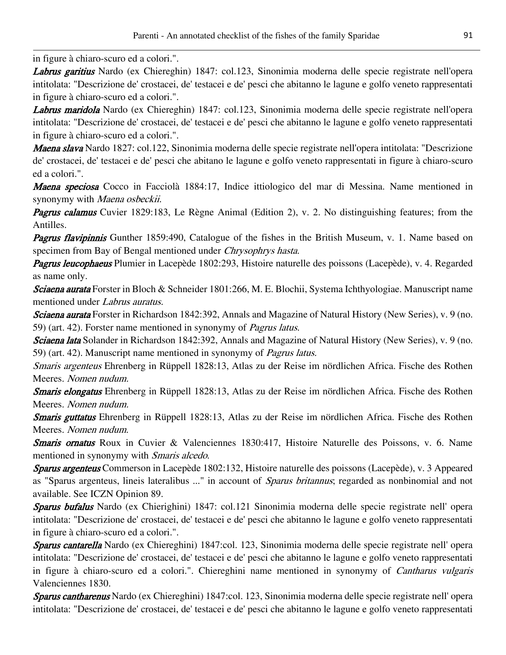in figure à chiaro-scuro ed a colori.".

Labrus garitius Nardo (ex Chiereghin) 1847: col.123, Sinonimia moderna delle specie registrate nell'opera intitolata: "Descrizione de' crostacei, de' testacei e de' pesci che abitanno le lagune e golfo veneto rappresentati in figure à chiaro-scuro ed a colori.".

Labrus maridola Nardo (ex Chiereghin) 1847: col.123, Sinonimia moderna delle specie registrate nell'opera intitolata: "Descrizione de' crostacei, de' testacei e de' pesci che abitanno le lagune e golfo veneto rappresentati in figure à chiaro-scuro ed a colori.".

Maena slava Nardo 1827: col.122, Sinonimia moderna delle specie registrate nell'opera intitolata: "Descrizione de' crostacei, de' testacei e de' pesci che abitano le lagune e golfo veneto rappresentati in figure à chiaro-scuro ed a colori.".

Maena speciosa Cocco in Facciolà 1884:17, Indice ittiologico del mar di Messina. Name mentioned in synonymy with Maena osbeckii.

Pagrus calamus Cuvier 1829:183, Le Règne Animal (Edition 2), v. 2. No distinguishing features; from the Antilles.

**Pagrus flavipinnis** Gunther 1859:490, Catalogue of the fishes in the British Museum, v. 1. Name based on specimen from Bay of Bengal mentioned under Chrysophrys hasta.

Pagrus leucophaeus Plumier in Lacepède 1802:293, Histoire naturelle des poissons (Lacepède), v. 4. Regarded as name only.

Sciaena aurata Forster in Bloch & Schneider 1801:266, M. E. Blochii, Systema Ichthyologiae. Manuscript name mentioned under Labrus auratus.

Sciaena aurata Forster in Richardson 1842:392, Annals and Magazine of Natural History (New Series), v. 9 (no. 59) (art. 42). Forster name mentioned in synonymy of Pagrus latus.

Sciaena lata Solander in Richardson 1842:392, Annals and Magazine of Natural History (New Series), v. 9 (no. 59) (art. 42). Manuscript name mentioned in synonymy of Pagrus latus.

Smaris argenteus Ehrenberg in Rüppell 1828:13, Atlas zu der Reise im nördlichen Africa. Fische des Rothen Meeres. Nomen nudum.

Smaris elongatus Ehrenberg in Rüppell 1828:13, Atlas zu der Reise im nördlichen Africa. Fische des Rothen Meeres. Nomen nudum.

Smaris guttatus Ehrenberg in Rüppell 1828:13, Atlas zu der Reise im nördlichen Africa. Fische des Rothen Meeres. Nomen nudum.

Smaris ornatus Roux in Cuvier & Valenciennes 1830:417, Histoire Naturelle des Poissons, v. 6. Name mentioned in synonymy with Smaris alcedo.

Sparus argenteus Commerson in Lacepède 1802:132, Histoire naturelle des poissons (Lacepède), v. 3 Appeared as "Sparus argenteus, lineis lateralibus ..." in account of Sparus britannus; regarded as nonbinomial and not available. See ICZN Opinion 89.

Sparus bufalus Nardo (ex Chierighini) 1847: col.121 Sinonimia moderna delle specie registrate nell' opera intitolata: "Descrizione de' crostacei, de' testacei e de' pesci che abitanno le lagune e golfo veneto rappresentati in figure à chiaro-scuro ed a colori.".

Sparus cantarella Nardo (ex Chiereghini) 1847:col. 123, Sinonimia moderna delle specie registrate nell' opera intitolata: "Descrizione de' crostacei, de' testacei e de' pesci che abitanno le lagune e golfo veneto rappresentati in figure à chiaro-scuro ed a colori.". Chiereghini name mentioned in synonymy of Cantharus vulgaris Valenciennes 1830.

Sparus cantharenus Nardo (ex Chiereghini) 1847:col. 123, Sinonimia moderna delle specie registrate nell'opera intitolata: "Descrizione de' crostacei, de' testacei e de' pesci che abitanno le lagune e golfo veneto rappresentati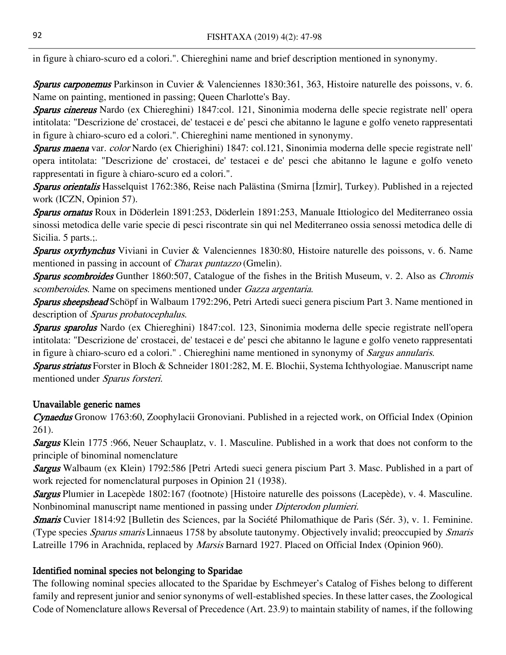in figure à chiaro-scuro ed a colori.". Chiereghini name and brief description mentioned in synonymy.

Sparus carponemus Parkinson in Cuvier & Valenciennes 1830:361, 363, Histoire naturelle des poissons, v. 6. Name on painting, mentioned in passing; Queen Charlotte's Bay.

Sparus cinereus Nardo (ex Chiereghini) 1847:col. 121, Sinonimia moderna delle specie registrate nell'opera intitolata: "Descrizione de' crostacei, de' testacei e de' pesci che abitanno le lagune e golfo veneto rappresentati in figure à chiaro-scuro ed a colori.". Chiereghini name mentioned in synonymy.

Sparus maena var. color Nardo (ex Chierighini) 1847: col.121, Sinonimia moderna delle specie registrate nell' opera intitolata: "Descrizione de' crostacei, de' testacei e de' pesci che abitanno le lagune e golfo veneto rappresentati in figure à chiaro-scuro ed a colori.".

Sparus orientalis Hasselquist 1762:386, Reise nach Palästina (Smirna [İzmir], Turkey). Published in a rejected work (ICZN, Opinion 57).

Sparus ornatus Roux in Döderlein 1891:253, Döderlein 1891:253, Manuale Ittiologico del Mediterraneo ossia sinossi metodica delle varie specie di pesci riscontrate sin qui nel Mediterraneo ossia senossi metodica delle di Sicilia. 5 parts.;

Sparus oxyrhynchus Viviani in Cuvier & Valenciennes 1830:80, Histoire naturelle des poissons, v. 6. Name mentioned in passing in account of *Charax puntazzo* (Gmelin).

Sparus scombroides Gunther 1860:507, Catalogue of the fishes in the British Museum, v. 2. Also as Chromis scomberoides. Name on specimens mentioned under Gazza argentaria.

Sparus sheepshead Schöpf in Walbaum 1792:296, Petri Artedi sueci genera piscium Part 3. Name mentioned in description of Sparus probatocephalus.

Sparus sparolus Nardo (ex Chiereghini) 1847:col. 123, Sinonimia moderna delle specie registrate nell'opera intitolata: "Descrizione de' crostacei, de' testacei e de' pesci che abitanno le lagune e golfo veneto rappresentati in figure à chiaro-scuro ed a colori." . Chiereghini name mentioned in synonymy of Sargus annularis.

Sparus striatus Forster in Bloch & Schneider 1801:282, M. E. Blochii, Systema Ichthyologiae. Manuscript name mentioned under Sparus forsteri.

# Unavailable generic names

Cynaedus Gronow 1763:60, Zoophylacii Gronoviani. Published in a rejected work, on Official Index (Opinion 261).

**Sargus** Klein 1775 :966, Neuer Schauplatz, v. 1. Masculine. Published in a work that does not conform to the principle of binominal nomenclature

Sargus Walbaum (ex Klein) 1792:586 [Petri Artedi sueci genera piscium Part 3. Masc. Published in a part of work rejected for nomenclatural purposes in Opinion 21 (1938).

Sargus Plumier in Lacepède 1802:167 (footnote) [Histoire naturelle des poissons (Lacepède), v. 4. Masculine. Nonbinominal manuscript name mentioned in passing under Dipterodon plumieri.

Smaris Cuvier 1814:92 [Bulletin des Sciences, par la Société Philomathique de Paris (Sér. 3), v. 1. Feminine. (Type species Sparus smaris Linnaeus 1758 by absolute tautonymy. Objectively invalid; preoccupied by Smaris Latreille 1796 in Arachnida, replaced by *Marsis* Barnard 1927. Placed on Official Index (Opinion 960).

# Identified nominal species not belonging to Sparidae

The following nominal species allocated to the Sparidae by Eschmeyer's Catalog of Fishes belong to different family and represent junior and senior synonyms of well-established species. In these latter cases, the Zoological Code of Nomenclature allows Reversal of Precedence (Art. 23.9) to maintain stability of names, if the following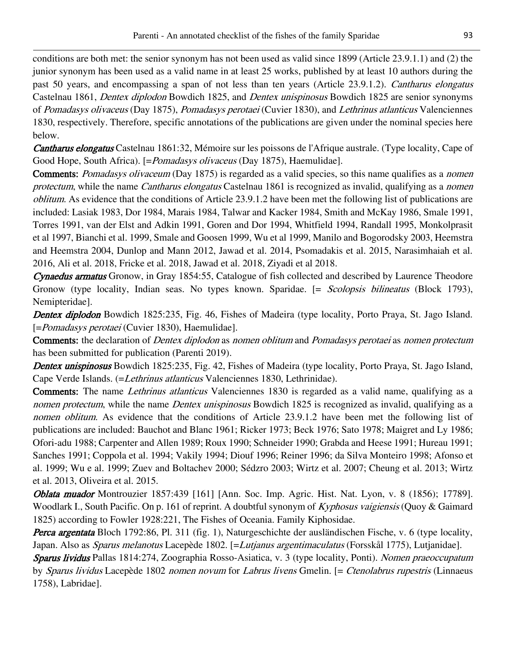conditions are both met: the senior synonym has not been used as valid since 1899 (Article 23.9.1.1) and (2) the junior synonym has been used as a valid name in at least 25 works, published by at least 10 authors during the past 50 years, and encompassing a span of not less than ten years (Article 23.9.1.2). Cantharus elongatus Castelnau 1861, Dentex diplodon Bowdich 1825, and Dentex unispinosus Bowdich 1825 are senior synonyms of Pomadasys olivaceus (Day 1875), Pomadasys perotaei (Cuvier 1830), and Lethrinus atlanticus Valenciennes 1830, respectively. Therefore, specific annotations of the publications are given under the nominal species here below.

Cantharus elongatus Castelnau 1861:32, Mémoire sur les poissons de l'Afrique australe. (Type locality, Cape of Good Hope, South Africa). [=*Pomadasys olivaceus* (Day 1875), Haemulidae].

Comments: *Pomadasys olivaceum* (Day 1875) is regarded as a valid species, so this name qualifies as a *nomen* protectum, while the name Cantharus elongatus Castelnau 1861 is recognized as invalid, qualifying as a nomen oblitum. As evidence that the conditions of Article 23.9.1.2 have been met the following list of publications are included: Lasiak 1983, Dor 1984, Marais 1984, Talwar and Kacker 1984, Smith and McKay 1986, Smale 1991, Torres 1991, van der Elst and Adkin 1991, Goren and Dor 1994, Whitfield 1994, Randall 1995, Monkolprasit et al 1997, Bianchi et al. 1999, Smale and Goosen 1999, Wu et al 1999, Manilo and Bogorodsky 2003, Heemstra and Heemstra 2004, Dunlop and Mann 2012, Jawad et al. 2014, Psomadakis et al. 2015, Narasimhaiah et al. 2016, Ali et al. 2018, Fricke et al. 2018, Jawad et al. 2018, Ziyadi et al 2018.

Cynaedus armatus Gronow, in Gray 1854:55, Catalogue of fish collected and described by Laurence Theodore Gronow (type locality, Indian seas. No types known. Sparidae. [= Scolopsis bilineatus (Block 1793), Nemipteridae].

Dentex diplodon Bowdich 1825:235, Fig. 46, Fishes of Madeira (type locality, Porto Praya, St. Jago Island. [=Pomadasys perotaei (Cuvier 1830), Haemulidae].

Comments: the declaration of *Dentex diplodon* as nomen oblitum and *Pomadasys perotaei* as nomen protectum has been submitted for publication (Parenti 2019).

Dentex unispinosus Bowdich 1825:235, Fig. 42, Fishes of Madeira (type locality, Porto Praya, St. Jago Island, Cape Verde Islands. (=Lethrinus atlanticus Valenciennes 1830, Lethrinidae).

Comments: The name Lethrinus atlanticus Valenciennes 1830 is regarded as a valid name, qualifying as a nomen protectum, while the name Dentex unispinosus Bowdich 1825 is recognized as invalid, qualifying as a nomen oblitum. As evidence that the conditions of Article 23.9.1.2 have been met the following list of publications are included: Bauchot and Blanc 1961; Ricker 1973; Beck 1976; Sato 1978; Maigret and Ly 1986; Ofori-adu 1988; Carpenter and Allen 1989; Roux 1990; Schneider 1990; Grabda and Heese 1991; Hureau 1991; Sanches 1991; Coppola et al. 1994; Vakily 1994; Diouf 1996; Reiner 1996; da Silva Monteiro 1998; Afonso et al. 1999; Wu e al. 1999; Zuev and Boltachev 2000; Sédzro 2003; Wirtz et al. 2007; Cheung et al. 2013; Wirtz et al. 2013, Oliveira et al. 2015.

Oblata muador Montrouzier 1857:439 [161] [Ann. Soc. Imp. Agric. Hist. Nat. Lyon, v. 8 (1856); 17789]. Woodlark I., South Pacific. On p. 161 of reprint. A doubtful synonym of Kyphosus vaigiensis (Quoy & Gaimard 1825) according to Fowler 1928:221, The Fishes of Oceania. Family Kiphosidae.

Perca argentata Bloch 1792:86, Pl. 311 (fig. 1), Naturgeschichte der ausländischen Fische, v. 6 (type locality, Japan. Also as *Sparus melanotus* Lacepède 1802. [=*Lutjanus argentimaculatus* (Forsskål 1775), Lutjanidae].

Sparus lividus Pallas 1814:274, Zoographia Rosso-Asiatica, v. 3 (type locality, Ponti). Nomen praeoccupatum by Sparus lividus Lacepède 1802 nomen novum for Labrus livens Gmelin. [= Ctenolabrus rupestris (Linnaeus 1758), Labridae].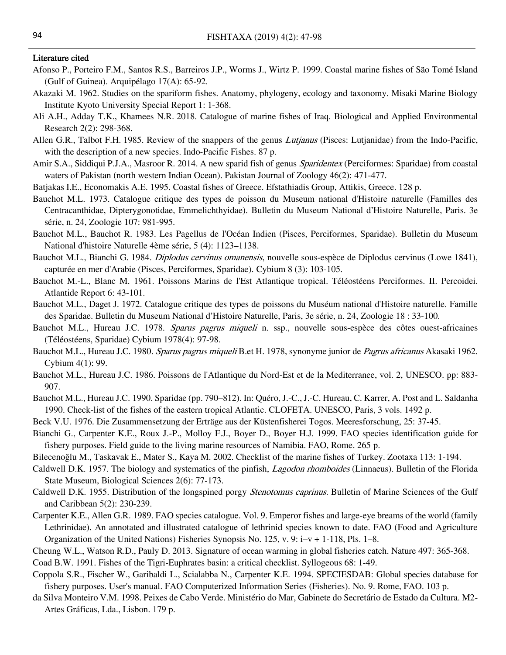#### Literature cited

- Afonso P., Porteiro F.M., Santos R.S., Barreiros J.P., Worms J., Wirtz P. 1999. Coastal marine fishes of São Tomé Island (Gulf of Guinea). Arquipélago 17(A): 65-92.
- Akazaki M. 1962. Studies on the spariform fishes. Anatomy, phylogeny, ecology and taxonomy. Misaki Marine Biology Institute Kyoto University Special Report 1: 1-368.
- Ali A.H., Adday T.K., Khamees N.R. 2018. Catalogue of marine fishes of Iraq. Biological and Applied Environmental Research 2(2): 298-368.
- Allen G.R., Talbot F.H. 1985. Review of the snappers of the genus *Lutjanus* (Pisces: Lutjanidae) from the Indo-Pacific, with the description of a new species. Indo-Pacific Fishes. 87 p.
- Amir S.A., Siddiqui P.J.A., Masroor R. 2014. A new sparid fish of genus *Sparidentex* (Perciformes: Sparidae) from coastal waters of Pakistan (north western Indian Ocean). Pakistan Journal of Zoology 46(2): 471-477.
- Batjakas I.E., Economakis A.E. 1995. Coastal fishes of Greece. Efstathiadis Group, Attikis, Greece. 128 p.
- Bauchot M.L. 1973. Catalogue critique des types de poisson du Museum national d'Histoire naturelle (Familles des Centracanthidae, Dipterygonotidae, Emmelichthyidae). Bulletin du Museum National d'Histoire Naturelle, Paris. 3e série, n. 24, Zoologie 107: 981-995.
- Bauchot M.L., Bauchot R. 1983. Les Pagellus de l'Océan Indien (Pisces, Perciformes, Sparidae). Bulletin du Museum National d'histoire Naturelle 4ème série, 5 (4): 1123–1138.
- Bauchot M.L., Bianchi G. 1984. *Diplodus cervinus omanensis*, nouvelle sous-espèce de Diplodus cervinus (Lowe 1841), capturée en mer d'Arabie (Pisces, Perciformes, Sparidae). Cybium 8 (3): 103-105.
- Bauchot M.-L., Blanc M. 1961. Poissons Marins de l'Est Atlantique tropical. Téléostéens Perciformes. II. Percoidei. Atlantide Report 6: 43-101.
- Bauchot M.L., Daget J. 1972. Catalogue critique des types de poissons du Muséum national d'Histoire naturelle. Famille des Sparidae. Bulletin du Museum National d'Histoire Naturelle, Paris, 3e série, n. 24, Zoologie 18 : 33-100.
- Bauchot M.L., Hureau J.C. 1978. Sparus pagrus miqueli n. ssp., nouvelle sous-espèce des côtes ouest-africaines (Téléostéens, Sparidae) Cybium 1978(4): 97-98.
- Bauchot M.L., Hureau J.C. 1980. Sparus pagrus miqueli B.et H. 1978, synonyme junior de Pagrus africanus Akasaki 1962. Cybium 4(1): 99.
- Bauchot M.L., Hureau J.C. 1986. Poissons de l'Atlantique du Nord-Est et de la Mediterranee, vol. 2, UNESCO. pp: 883- 907.
- Bauchot M.L., Hureau J.C. 1990. Sparidae (pp. 790–812). In: Quéro, J.-C., J.-C. Hureau, C. Karrer, A. Post and L. Saldanha 1990. Check-list of the fishes of the eastern tropical Atlantic. CLOFETA. UNESCO, Paris, 3 vols. 1492 p.
- Beck V.U. 1976. Die Zusammensetzung der Erträge aus der Küstenfisherei Togos. Meeresforschung, 25: 37-45.
- Bianchi G., Carpenter K.E., Roux J.-P., Molloy F.J., Boyer D., Boyer H.J. 1999. FAO species identification guide for fishery purposes. Field guide to the living marine resources of Namibia. FAO, Rome. 265 p.
- Bilecenoğlu M., Taskavak E., Mater S., Kaya M. 2002. Checklist of the marine fishes of Turkey. Zootaxa 113: 1-194.
- Caldwell D.K. 1957. The biology and systematics of the pinfish, Lagodon rhomboides (Linnaeus). Bulletin of the Florida State Museum, Biological Sciences 2(6): 77-173.
- Caldwell D.K. 1955. Distribution of the longspined porgy Stenotomus caprinus. Bulletin of Marine Sciences of the Gulf and Caribbean 5(2): 230-239.
- Carpenter K.E., Allen G.R. 1989. FAO species catalogue. Vol. 9. Emperor fishes and large-eye breams of the world (family Lethrinidae). An annotated and illustrated catalogue of lethrinid species known to date. FAO (Food and Agriculture Organization of the United Nations) Fisheries Synopsis No. 125, v. 9: i–v + 1-118, Pls. 1–8.
- Cheung W.L., Watson R.D., Pauly D. 2013. Signature of ocean warming in global fisheries catch. Nature 497: 365-368.
- Coad B.W. 1991. Fishes of the Tigri-Euphrates basin: a critical checklist. Syllogeous 68: 1-49.
- Coppola S.R., Fischer W., Garibaldi L., Scialabba N., Carpenter K.E. 1994. SPECIESDAB: Global species database for fishery purposes. User's manual. FAO Computerized Information Series (Fisheries). No. 9. Rome, FAO. 103 p.
- da Silva Monteiro V.M. 1998. Peixes de Cabo Verde. Ministério do Mar, Gabinete do Secretário de Estado da Cultura. M2- Artes Gráficas, Lda., Lisbon. 179 p.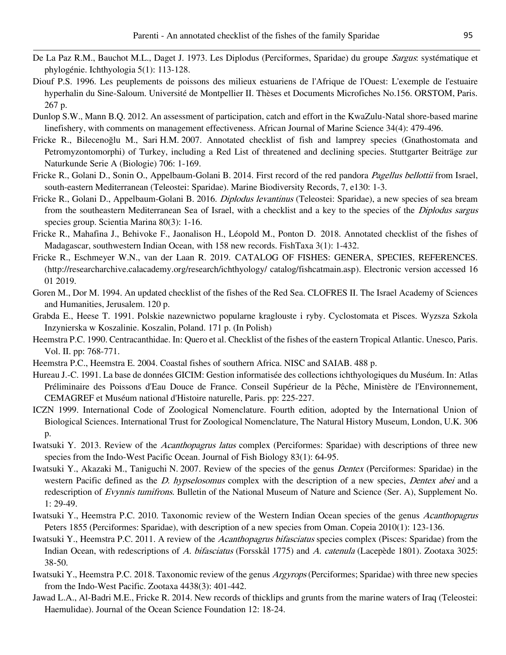- De La Paz R.M., Bauchot M.L., Daget J. 1973. Les Diplodus (Perciformes, Sparidae) du groupe Sargus: systématique et phylogénie. Ichthyologia 5(1): 113-128.
- Diouf P.S. 1996. Les peuplements de poissons des milieux estuariens de l'Afrique de l'Ouest: L'exemple de l'estuaire hyperhalin du Sine-Saloum. Université de Montpellier II. Thèses et Documents Microfiches No.156. ORSTOM, Paris. 267 p.
- Dunlop S.W., Mann B.Q. 2012. An assessment of participation, catch and effort in the KwaZulu-Natal shore-based marine linefishery, with comments on management effectiveness. African Journal of Marine Science 34(4): 479-496.
- Fricke R., Bilecenoğlu M., Sari H.M. 2007. Annotated checklist of fish and lamprey species (Gnathostomata and Petromyzontomorphi) of Turkey, including a Red List of threatened and declining species. Stuttgarter Beiträge zur Naturkunde Serie A (Biologie) 706: 1-169.
- Fricke R., Golani D., Sonin O., Appelbaum-Golani B. 2014. First record of the red pandora *Pagellus bellottii* from Israel, south-eastern Mediterranean (Teleostei: Sparidae). Marine Biodiversity Records, 7, e130: 1-3.
- Fricke R., Golani D., Appelbaum-Golani B. 2016. *Diplodus levantinus* (Teleostei: Sparidae), a new species of sea bream from the southeastern Mediterranean Sea of Israel, with a checklist and a key to the species of the *Diplodus sargus* species group. Scientia Marina 80(3): 1-16.
- Fricke R., Mahafina J., Behivoke F., Jaonalison H., Léopold M., Ponton D. 2018. Annotated checklist of the fishes of Madagascar, southwestern Indian Ocean, with 158 new records. FishTaxa 3(1): 1-432.
- Fricke R., Eschmeyer W.N., van der Laan R. 2019. CATALOG OF FISHES: GENERA, SPECIES, REFERENCES. (http://researcharchive.calacademy.org/research/ichthyology/ catalog/fishcatmain.asp). Electronic version accessed 16 01 2019.
- Goren M., Dor M. 1994. An updated checklist of the fishes of the Red Sea. CLOFRES II. The Israel Academy of Sciences and Humanities, Jerusalem. 120 p.
- Grabda E., Heese T. 1991. Polskie nazewnictwo popularne kraglouste i ryby. Cyclostomata et Pisces. Wyzsza Szkola Inzynierska w Koszalinie. Koszalin, Poland. 171 p. (In Polish)
- Heemstra P.C. 1990. Centracanthidae. In: Quero et al. Checklist of the fishes of the eastern Tropical Atlantic. Unesco, Paris. Vol. II. pp: 768-771.
- Heemstra P.C., Heemstra E. 2004. Coastal fishes of southern Africa. NISC and SAIAB. 488 p.
- Hureau J.-C. 1991. La base de données GICIM: Gestion informatisée des collections ichthyologiques du Muséum. In: Atlas Préliminaire des Poissons d'Eau Douce de France. Conseil Supérieur de la Pêche, Ministère de l'Environnement, CEMAGREF et Muséum national d'Histoire naturelle, Paris. pp: 225-227.
- ICZN 1999. International Code of Zoological Nomenclature. Fourth edition, adopted by the International Union of Biological Sciences. International Trust for Zoological Nomenclature, The Natural History Museum, London, U.K. 306 p.
- Iwatsuki Y. 2013. Review of the Acanthopagrus latus complex (Perciformes: Sparidae) with descriptions of three new species from the Indo-West Pacific Ocean. Journal of Fish Biology 83(1): 64-95.
- Iwatsuki Y., Akazaki M., Taniguchi N. 2007. Review of the species of the genus Dentex (Perciformes: Sparidae) in the western Pacific defined as the D. hypselosomus complex with the description of a new species, Dentex abei and a redescription of Evynnis tumifrons. Bulletin of the National Museum of Nature and Science (Ser. A), Supplement No. 1: 29-49.
- Iwatsuki Y., Heemstra P.C. 2010. Taxonomic review of the Western Indian Ocean species of the genus Acanthopagrus Peters 1855 (Perciformes: Sparidae), with description of a new species from Oman. Copeia 2010(1): 123-136.
- Iwatsuki Y., Heemstra P.C. 2011. A review of the *Acanthopagrus bifasciatus* species complex (Pisces: Sparidae) from the Indian Ocean, with redescriptions of A. bifasciatus (Forsskål 1775) and A. catenula (Lacepède 1801). Zootaxa 3025: 38-50.
- Iwatsuki Y., Heemstra P.C. 2018. Taxonomic review of the genus Argyrops (Perciformes; Sparidae) with three new species from the Indo-West Pacific. Zootaxa 4438(3): 401-442.
- Jawad L.A., Al-Badri M.E., Fricke R. 2014. New records of thicklips and grunts from the marine waters of Iraq (Teleostei: Haemulidae). Journal of the Ocean Science Foundation 12: 18-24.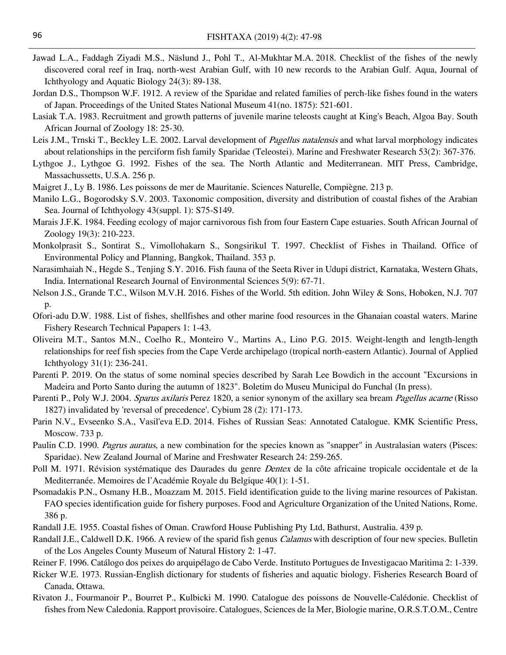- Jawad L.A., Faddagh Ziyadi M.S., Näslund J., Pohl T., Al-Mukhtar M.A. 2018. Checklist of the fishes of the newly discovered coral reef in Iraq, north-west Arabian Gulf, with 10 new records to the Arabian Gulf. Aqua, Journal of Ichthyology and Aquatic Biology 24(3): 89-138.
- Jordan D.S., Thompson W.F. 1912. A review of the Sparidae and related families of perch-like fishes found in the waters of Japan. Proceedings of the United States National Museum 41(no. 1875): 521-601.
- Lasiak T.A. 1983. Recruitment and growth patterns of juvenile marine teleosts caught at King's Beach, Algoa Bay. South African Journal of Zoology 18: 25-30.
- Leis J.M., Trnski T., Beckley L.E. 2002. Larval development of *Pagellus natalensis* and what larval morphology indicates about relationships in the perciform fish family Sparidae (Teleostei). Marine and Freshwater Research 53(2): 367-376.
- Lythgoe J., Lythgoe G. 1992. Fishes of the sea. The North Atlantic and Mediterranean. MIT Press, Cambridge, Massachussetts, U.S.A. 256 p.
- Maigret J., Ly B. 1986. Les poissons de mer de Mauritanie. Sciences Naturelle, Compiègne. 213 p.
- Manilo L.G., Bogorodsky S.V. 2003. Taxonomic composition, diversity and distribution of coastal fishes of the Arabian Sea. Journal of Ichthyology 43(suppl. 1): S75-S149.
- Marais J.F.K. 1984. Feeding ecology of major carnivorous fish from four Eastern Cape estuaries. South African Journal of Zoology 19(3): 210-223.
- Monkolprasit S., Sontirat S., Vimollohakarn S., Songsirikul T. 1997. Checklist of Fishes in Thailand. Office of Environmental Policy and Planning, Bangkok, Thailand. 353 p.
- Narasimhaiah N., Hegde S., Tenjing S.Y. 2016. Fish fauna of the Seeta River in Udupi district, Karnataka, Western Ghats, India. International Research Journal of Environmental Sciences 5(9): 67-71.
- Nelson J.S., Grande T.C., Wilson M.V.H. 2016. Fishes of the World. 5th edition. John Wiley & Sons, Hoboken, N.J. 707 p.
- Ofori-adu D.W. 1988. List of fishes, shellfishes and other marine food resources in the Ghanaian coastal waters. Marine Fishery Research Technical Papapers 1: 1-43.
- Oliveira M.T., Santos M.N., Coelho R., Monteiro V., Martins A., Lino P.G. 2015. Weight-length and length-length relationships for reef fish species from the Cape Verde archipelago (tropical north-eastern Atlantic). Journal of Applied Ichthyology 31(1): 236-241.
- Parenti P. 2019. On the status of some nominal species described by Sarah Lee Bowdich in the account "Excursions in Madeira and Porto Santo during the autumn of 1823". Boletim do Museu Municipal do Funchal (In press).
- Parenti P., Poly W.J. 2004. Sparus axilaris Perez 1820, a senior synonym of the axillary sea bream *Pagellus acarne* (Risso 1827) invalidated by 'reversal of precedence'. Cybium 28 (2): 171-173.
- Parin N.V., Evseenko S.A., Vasil'eva E.D. 2014. Fishes of Russian Seas: Annotated Catalogue. KMK Scientific Press, Moscow. 733 p.
- Paulin C.D. 1990. Pagrus auratus, a new combination for the species known as "snapper" in Australasian waters (Pisces: Sparidae). New Zealand Journal of Marine and Freshwater Research 24: 259-265.
- Poll M. 1971. Révision systématique des Daurades du genre *Dentex* de la côte africaine tropicale occidentale et de la Mediterranée. Memoires de l'Académie Royale du Belgique 40(1): 1-51.
- Psomadakis P.N., Osmany H.B., Moazzam M. 2015. Field identification guide to the living marine resources of Pakistan. FAO species identification guide for fishery purposes. Food and Agriculture Organization of the United Nations, Rome. 386 p.
- Randall J.E. 1955. Coastal fishes of Oman. Crawford House Publishing Pty Ltd, Bathurst, Australia. 439 p.
- Randall J.E., Caldwell D.K. 1966. A review of the sparid fish genus *Calamus* with description of four new species. Bulletin of the Los Angeles County Museum of Natural History 2: 1-47.
- Reiner F. 1996. Catálogo dos peixes do arquipélago de Cabo Verde. Instituto Portugues de Investigacao Maritima 2: 1-339.
- Ricker W.E. 1973. Russian-English dictionary for students of fisheries and aquatic biology. Fisheries Research Board of Canada, Ottawa.
- Rivaton J., Fourmanoir P., Bourret P., Kulbicki M. 1990. Catalogue des poissons de Nouvelle-Calédonie. Checklist of fishes from New Caledonia. Rapport provisoire. Catalogues, Sciences de la Mer, Biologie marine, O.R.S.T.O.M., Centre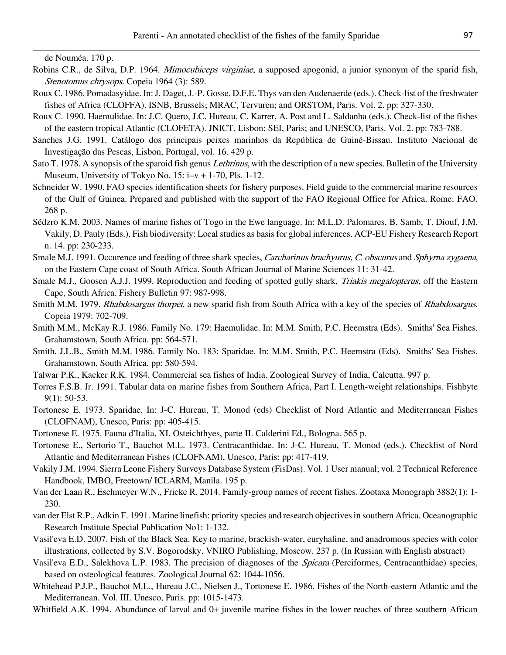de Nouméa. 170 p.

- Robins C.R., de Silva, D.P. 1964. *Mimocubiceps virginiae*, a supposed apogonid, a junior synonym of the sparid fish, Stenotomus chrysops. Copeia 1964 (3): 589.
- Roux C. 1986. Pomadasyidae. In:J. Daget, J.-P. Gosse, D.F.E. Thys van den Audenaerde (eds.). Check-list of the freshwater fishes of Africa (CLOFFA). ISNB, Brussels; MRAC, Tervuren; and ORSTOM, Paris. Vol. 2. pp: 327-330.
- Roux C. 1990. Haemulidae. In: J.C. Quero, J.C. Hureau, C. Karrer, A. Post and L. Saldanha (eds.). Check-list of the fishes of the eastern tropical Atlantic (CLOFETA). JNICT, Lisbon; SEI, Paris; and UNESCO, Paris. Vol. 2. pp: 783-788.
- Sanches J.G. 1991. Catálogo dos principais peixes marinhos da República de Guiné-Bissau. Instituto Nacional de Investigação das Pescas, Lisbon, Portugal, vol. 16. 429 p.
- Sato T. 1978. A synopsis of the sparoid fish genus *Lethrinus*, with the description of a new species. Bulletin of the University Museum, University of Tokyo No. 15: i–v + 1-70, Pls. 1-12.
- Schneider W. 1990. FAO species identification sheets for fishery purposes. Field guide to the commercial marine resources of the Gulf of Guinea. Prepared and published with the support of the FAO Regional Office for Africa. Rome: FAO. 268 p.
- Sédzro K.M. 2003. Names of marine fishes of Togo in the Ewe language. In: M.L.D. Palomares, B. Samb, T. Diouf, J.M. Vakily, D. Pauly (Eds.). Fish biodiversity: Local studies as basis for global inferences. ACP-EU Fishery Research Report n. 14. pp: 230-233.
- Smale M.J. 1991. Occurence and feeding of three shark species, Carcharinus brachyurus, C. obscurus and Sphyrna zygaena, on the Eastern Cape coast of South Africa. South African Journal of Marine Sciences 11: 31-42.
- Smale M.J., Goosen A.J.J. 1999. Reproduction and feeding of spotted gully shark, Triakis megalopterus, off the Eastern Cape, South Africa. Fishery Bulletin 97: 987-998.
- Smith M.M. 1979. Rhabdosargus thorpei, a new sparid fish from South Africa with a key of the species of Rhabdosargus. Copeia 1979: 702-709.
- Smith M.M., McKay R.J. 1986. Family No. 179: Haemulidae. In: M.M. Smith, P.C. Heemstra (Eds). Smiths' Sea Fishes. Grahamstown, South Africa. pp: 564-571.
- Smith, J.L.B., Smith M.M. 1986. Family No. 183: Sparidae. In: M.M. Smith, P.C. Heemstra (Eds). Smiths' Sea Fishes. Grahamstown, South Africa. pp: 580-594.
- Talwar P.K., Kacker R.K. 1984. Commercial sea fishes of India. Zoological Survey of India, Calcutta. 997 p.
- Torres F.S.B. Jr. 1991. Tabular data on marine fishes from Southern Africa, Part I. Length-weight relationships. Fishbyte 9(1): 50-53.
- Tortonese E. 1973. Sparidae. In: J-C. Hureau, T. Monod (eds) Checklist of Nord Atlantic and Mediterranean Fishes (CLOFNAM), Unesco, Paris: pp: 405-415.
- Tortonese E. 1975. Fauna d'Italia, XI. Osteichthyes, parte II. Calderini Ed., Bologna. 565 p.
- Tortonese E., Sertorio T., Bauchot M.L. 1973. Centracanthidae. In: J-C. Hureau, T. Monod (eds.). Checklist of Nord Atlantic and Mediterranean Fishes (CLOFNAM), Unesco, Paris: pp: 417-419.
- Vakily J.M. 1994. Sierra Leone Fishery Surveys Database System (FisDas). Vol. 1 User manual; vol. 2 Technical Reference Handbook, IMBO, Freetown/ ICLARM, Manila. 195 p.
- Van der Laan R., Eschmeyer W.N., Fricke R. 2014. Family-group names of recent fishes. Zootaxa Monograph 3882(1): 1- 230.
- van der Elst R.P., Adkin F. 1991. Marine linefish: priority species and research objectives in southern Africa. Oceanographic Research Institute Special Publication No1: 1-132.
- Vasil'eva E.D. 2007. Fish of the Black Sea. Key to marine, brackish-water, euryhaline, and anadromous species with color illustrations, collected by S.V. Bogorodsky. VNIRO Publishing, Moscow. 237 p. (In Russian with English abstract)
- Vasil'eva E.D., Salekhova L.P. 1983. The precision of diagnoses of the Spicara (Perciformes, Centracanthidae) species, based on osteological features. Zoological Journal 62: 1044-1056.
- Whitehead P.J.P., Bauchot M.L., Hureau J.C., Nielsen J., Tortonese E. 1986. Fishes of the North-eastern Atlantic and the Mediterranean. Vol. III. Unesco, Paris. pp: 1015-1473.
- Whitfield A.K. 1994. Abundance of larval and 0+ juvenile marine fishes in the lower reaches of three southern African